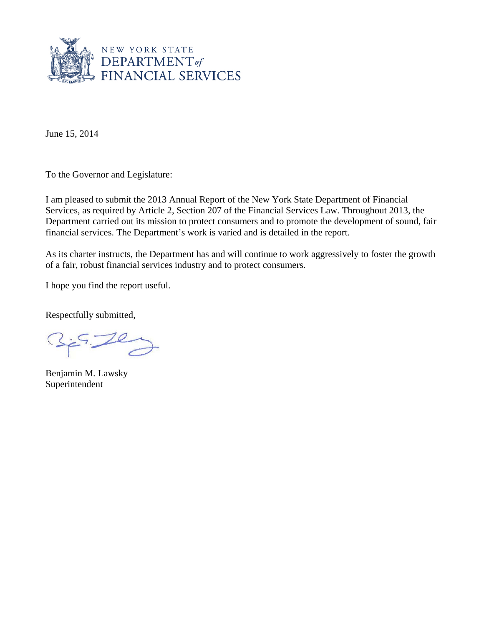

June 15, 2014

To the Governor and Legislature:

I am pleased to submit the 2013 Annual Report of the New York State Department of Financial Services, as required by Article 2, Section 207 of the Financial Services Law. Throughout 2013, the Department carried out its mission to protect consumers and to promote the development of sound, fair financial services. The Department's work is varied and is detailed in the report.

As its charter instructs, the Department has and will continue to work aggressively to foster the growth of a fair, robust financial services industry and to protect consumers.

I hope you find the report useful.

Respectfully submitted,

Benjamin M. Lawsky Superintendent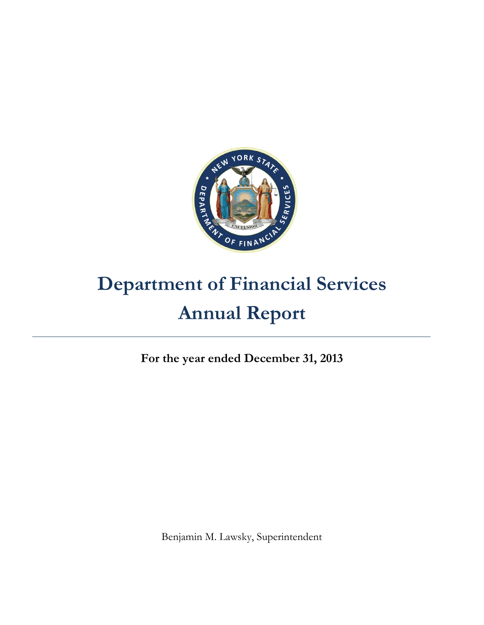

# **Department of Financial Services Annual Report**

**For the year ended December 31, 2013** 

Benjamin M. Lawsky, Superintendent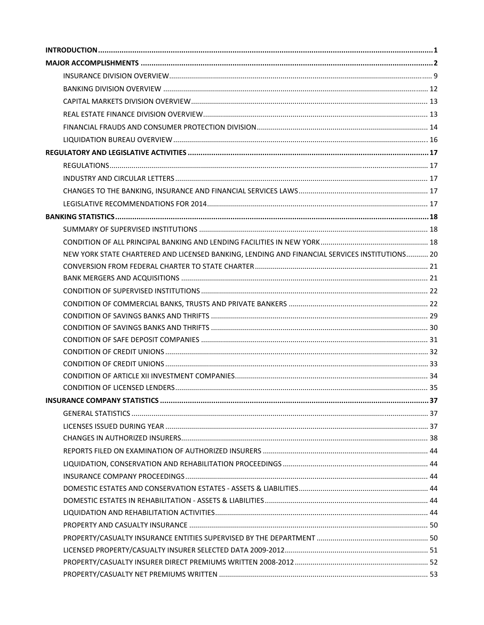| NEW YORK STATE CHARTERED AND LICENSED BANKING, LENDING AND FINANCIAL SERVICES INSTITUTIONS 20 |  |
|-----------------------------------------------------------------------------------------------|--|
|                                                                                               |  |
|                                                                                               |  |
|                                                                                               |  |
|                                                                                               |  |
|                                                                                               |  |
|                                                                                               |  |
|                                                                                               |  |
|                                                                                               |  |
|                                                                                               |  |
|                                                                                               |  |
|                                                                                               |  |
|                                                                                               |  |
|                                                                                               |  |
|                                                                                               |  |
|                                                                                               |  |
|                                                                                               |  |
|                                                                                               |  |
|                                                                                               |  |
|                                                                                               |  |
|                                                                                               |  |
|                                                                                               |  |
|                                                                                               |  |
|                                                                                               |  |
|                                                                                               |  |
|                                                                                               |  |
|                                                                                               |  |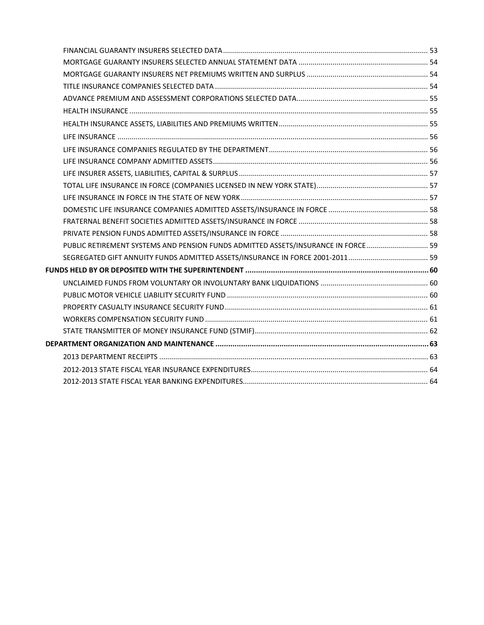| PUBLIC RETIREMENT SYSTEMS AND PENSION FUNDS ADMITTED ASSETS/INSURANCE IN FORCE 59 |  |
|-----------------------------------------------------------------------------------|--|
|                                                                                   |  |
|                                                                                   |  |
|                                                                                   |  |
|                                                                                   |  |
|                                                                                   |  |
|                                                                                   |  |
|                                                                                   |  |
|                                                                                   |  |
|                                                                                   |  |
|                                                                                   |  |
|                                                                                   |  |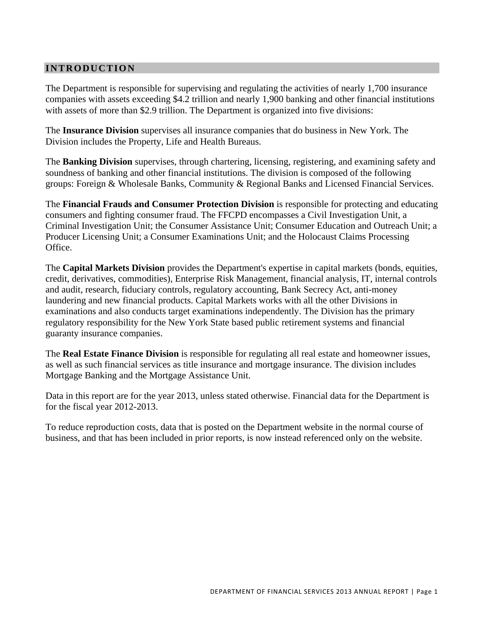## **INTRODUCTION**

The Department is responsible for supervising and regulating the activities of nearly 1,700 insurance companies with assets exceeding \$4.2 trillion and nearly 1,900 banking and other financial institutions with assets of more than \$2.9 trillion. The Department is organized into five divisions:

The **Insurance Division** supervises all insurance companies that do business in New York. The Division includes the Property, Life and Health Bureaus.

The **Banking Division** supervises, through chartering, licensing, registering, and examining safety and soundness of banking and other financial institutions. The division is composed of the following groups: Foreign & Wholesale Banks, Community & Regional Banks and Licensed Financial Services.

The **Financial Frauds and Consumer Protection Division** is responsible for protecting and educating consumers and fighting consumer fraud. The FFCPD encompasses a Civil Investigation Unit, a Criminal Investigation Unit; the Consumer Assistance Unit; Consumer Education and Outreach Unit; a Producer Licensing Unit; a Consumer Examinations Unit; and the Holocaust Claims Processing Office.

The **Capital Markets Division** provides the Department's expertise in capital markets (bonds, equities, credit, derivatives, commodities), Enterprise Risk Management, financial analysis, IT, internal controls and audit, research, fiduciary controls, regulatory accounting, Bank Secrecy Act, anti-money laundering and new financial products. Capital Markets works with all the other Divisions in examinations and also conducts target examinations independently. The Division has the primary regulatory responsibility for the New York State based public retirement systems and financial guaranty insurance companies.

The **Real Estate Finance Division** is responsible for regulating all real estate and homeowner issues, as well as such financial services as title insurance and mortgage insurance. The division includes Mortgage Banking and the Mortgage Assistance Unit.

Data in this report are for the year 2013, unless stated otherwise. Financial data for the Department is for the fiscal year 2012-2013.

To reduce reproduction costs, data that is posted on the Department website in the normal course of business, and that has been included in prior reports, is now instead referenced only on the website.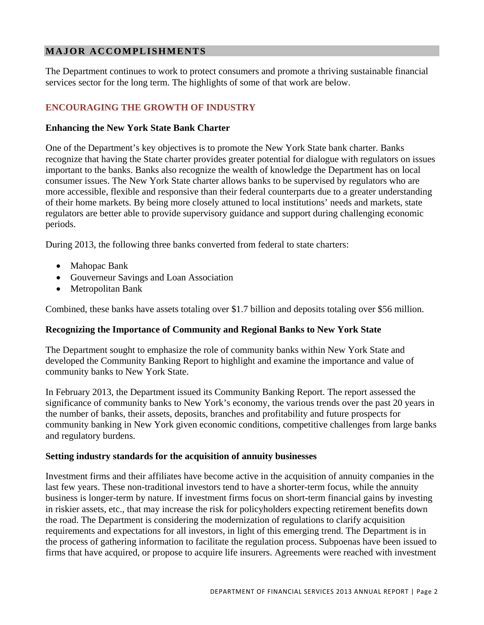# <span id="page-5-0"></span>**MAJOR ACCOMPLISHMENTS**

The Department continues to work to protect consumers and promote a thriving sustainable financial services sector for the long term. The highlights of some of that work are below.

# **ENCOURAGING THE GROWTH OF INDUSTRY**

## **Enhancing the New York State Bank Charter**

One of the Department's key objectives is to promote the New York State bank charter. Banks recognize that having the State charter provides greater potential for dialogue with regulators on issues important to the banks. Banks also recognize the wealth of knowledge the Department has on local consumer issues. The New York State charter allows banks to be supervised by regulators who are more accessible, flexible and responsive than their federal counterparts due to a greater understanding of their home markets. By being more closely attuned to local institutions' needs and markets, state regulators are better able to provide supervisory guidance and support during challenging economic periods.

During 2013, the following three banks converted from federal to state charters:

- Mahopac Bank
- Gouverneur Savings and Loan Association
- Metropolitan Bank

Combined, these banks have assets totaling over \$1.7 billion and deposits totaling over \$56 million.

## **Recognizing the Importance of Community and Regional Banks to New York State**

The Department sought to emphasize the role of community banks within New York State and developed the Community Banking Report to highlight and examine the importance and value of community banks to New York State.

In February 2013, the Department issued its Community Banking Report. The report assessed the significance of community banks to New York's economy, the various trends over the past 20 years in the number of banks, their assets, deposits, branches and profitability and future prospects for community banking in New York given economic conditions, competitive challenges from large banks and regulatory burdens.

## **Setting industry standards for the acquisition of annuity businesses**

Investment firms and their affiliates have become active in the acquisition of annuity companies in the last few years. These non-traditional investors tend to have a shorter-term focus, while the annuity business is longer-term by nature. If investment firms focus on short-term financial gains by investing in riskier assets, etc., that may increase the risk for policyholders expecting retirement benefits down the road. The Department is considering the modernization of regulations to clarify acquisition requirements and expectations for all investors, in light of this emerging trend. The Department is in the process of gathering information to facilitate the regulation process. Subpoenas have been issued to firms that have acquired, or propose to acquire life insurers. Agreements were reached with investment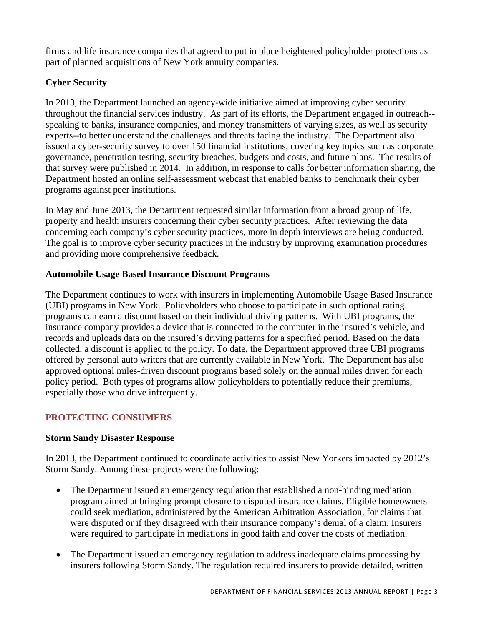firms and life insurance companies that agreed to put in place heightened policyholder protections as part of planned acquisitions of New York annuity companies.

# **Cyber Security**

In 2013, the Department launched an agency-wide initiative aimed at improving cyber security throughout the financial services industry. As part of its efforts, the Department engaged in outreach- speaking to banks, insurance companies, and money transmitters of varying sizes, as well as security experts--to better understand the challenges and threats facing the industry. The Department also issued a cyber-security survey to over 150 financial institutions, covering key topics such as corporate governance, penetration testing, security breaches, budgets and costs, and future plans. The results of that survey were published in 2014. In addition, in response to calls for better information sharing, the Department hosted an online self-assessment webcast that enabled banks to benchmark their cyber programs against peer institutions.

In May and June 2013, the Department requested similar information from a broad group of life, property and health insurers concerning their cyber security practices. After reviewing the data concerning each company's cyber security practices, more in depth interviews are being conducted. The goal is to improve cyber security practices in the industry by improving examination procedures and providing more comprehensive feedback.

# **Automobile Usage Based Insurance Discount Programs**

The Department continues to work with insurers in implementing Automobile Usage Based Insurance (UBI) programs in New York. Policyholders who choose to participate in such optional rating programs can earn a discount based on their individual driving patterns. With UBI programs, the insurance company provides a device that is connected to the computer in the insured's vehicle, and records and uploads data on the insured's driving patterns for a specified period. Based on the data collected, a discount is applied to the policy. To date, the Department approved three UBI programs offered by personal auto writers that are currently available in New York. The Department has also approved optional miles-driven discount programs based solely on the annual miles driven for each policy period. Both types of programs allow policyholders to potentially reduce their premiums, especially those who drive infrequently.

# **PROTECTING CONSUMERS**

# **Storm Sandy Disaster Response**

In 2013, the Department continued to coordinate activities to assist New Yorkers impacted by 2012's Storm Sandy. Among these projects were the following:

- The Department issued an emergency regulation that established a non-binding mediation program aimed at bringing prompt closure to disputed insurance claims. Eligible homeowners could seek mediation, administered by the American Arbitration Association, for claims that were disputed or if they disagreed with their insurance company's denial of a claim. Insurers were required to participate in mediations in good faith and cover the costs of mediation.
- The Department issued an emergency regulation to address inadequate claims processing by insurers following Storm Sandy. The regulation required insurers to provide detailed, written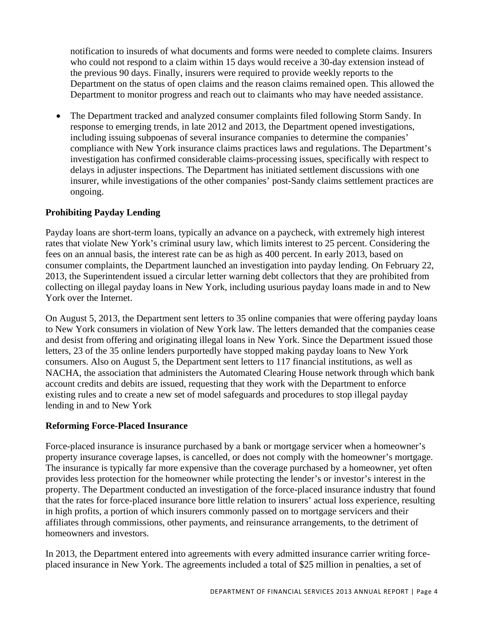notification to insureds of what documents and forms were needed to complete claims. Insurers who could not respond to a claim within 15 days would receive a 30-day extension instead of the previous 90 days. Finally, insurers were required to provide weekly reports to the Department on the status of open claims and the reason claims remained open. This allowed the Department to monitor progress and reach out to claimants who may have needed assistance.

• The Department tracked and analyzed consumer complaints filed following Storm Sandy. In response to emerging trends, in late 2012 and 2013, the Department opened investigations, including issuing subpoenas of several insurance companies to determine the companies' compliance with New York insurance claims practices laws and regulations. The Department's investigation has confirmed considerable claims-processing issues, specifically with respect to delays in adjuster inspections. The Department has initiated settlement discussions with one insurer, while investigations of the other companies' post-Sandy claims settlement practices are ongoing.

# **Prohibiting Payday Lending**

Payday loans are short-term loans, typically an advance on a paycheck, with extremely high interest rates that violate New York's criminal usury law, which limits interest to 25 percent. Considering the fees on an annual basis, the interest rate can be as high as 400 percent. In early 2013, based on consumer complaints, the Department launched an investigation into payday lending. On February 22, 2013, the Superintendent issued a circular letter warning debt collectors that they are prohibited from collecting on illegal payday loans in New York, including usurious payday loans made in and to New York over the Internet.

On August 5, 2013, the Department sent letters to 35 online companies that were offering payday loans to New York consumers in violation of New York law. The letters demanded that the companies cease and desist from offering and originating illegal loans in New York. Since the Department issued those letters, 23 of the 35 online lenders purportedly have stopped making payday loans to New York consumers. Also on August 5, the Department sent letters to 117 financial institutions, as well as NACHA, the association that administers the Automated Clearing House network through which bank account credits and debits are issued, requesting that they work with the Department to enforce existing rules and to create a new set of model safeguards and procedures to stop illegal payday lending in and to New York

# **Reforming Force-Placed Insurance**

Force-placed insurance is insurance purchased by a bank or mortgage servicer when a homeowner's property insurance coverage lapses, is cancelled, or does not comply with the homeowner's mortgage. The insurance is typically far more expensive than the coverage purchased by a homeowner, yet often provides less protection for the homeowner while protecting the lender's or investor's interest in the property. The Department conducted an investigation of the force-placed insurance industry that found that the rates for force-placed insurance bore little relation to insurers' actual loss experience, resulting in high profits, a portion of which insurers commonly passed on to mortgage servicers and their affiliates through commissions, other payments, and reinsurance arrangements, to the detriment of homeowners and investors.

In 2013, the Department entered into agreements with every admitted insurance carrier writing forceplaced insurance in New York. The agreements included a total of \$25 million in penalties, a set of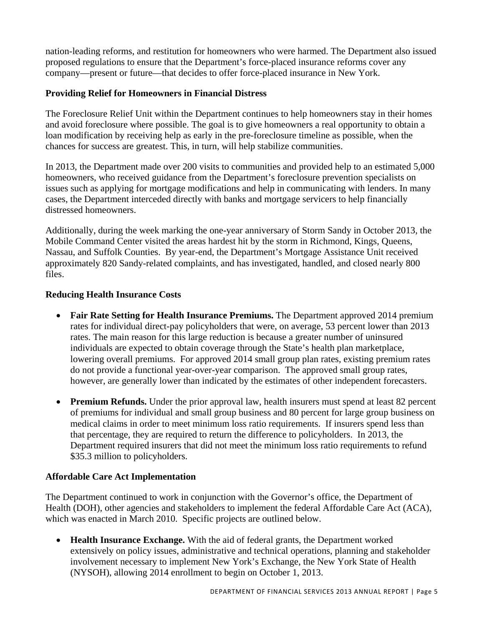nation-leading reforms, and restitution for homeowners who were harmed. The Department also issued proposed regulations to ensure that the Department's force-placed insurance reforms cover any company—present or future—that decides to offer force-placed insurance in New York.

# **Providing Relief for Homeowners in Financial Distress**

The Foreclosure Relief Unit within the Department continues to help homeowners stay in their homes and avoid foreclosure where possible. The goal is to give homeowners a real opportunity to obtain a loan modification by receiving help as early in the pre-foreclosure timeline as possible, when the chances for success are greatest. This, in turn, will help stabilize communities.

In 2013, the Department made over 200 visits to communities and provided help to an estimated 5,000 homeowners, who received guidance from the Department's foreclosure prevention specialists on issues such as applying for mortgage modifications and help in communicating with lenders. In many cases, the Department interceded directly with banks and mortgage servicers to help financially distressed homeowners.

Additionally, during the week marking the one-year anniversary of Storm Sandy in October 2013, the Mobile Command Center visited the areas hardest hit by the storm in Richmond, Kings, Queens, Nassau, and Suffolk Counties. By year-end, the Department's Mortgage Assistance Unit received approximately 820 Sandy-related complaints, and has investigated, handled, and closed nearly 800 files.

# **Reducing Health Insurance Costs**

- **Fair Rate Setting for Health Insurance Premiums.** The Department approved 2014 premium rates for individual direct-pay policyholders that were, on average, 53 percent lower than 2013 rates. The main reason for this large reduction is because a greater number of uninsured individuals are expected to obtain coverage through the State's health plan marketplace, lowering overall premiums. For approved 2014 small group plan rates, existing premium rates do not provide a functional year-over-year comparison. The approved small group rates, however, are generally lower than indicated by the estimates of other independent forecasters.
- **Premium Refunds.** Under the prior approval law, health insurers must spend at least 82 percent of premiums for individual and small group business and 80 percent for large group business on medical claims in order to meet minimum loss ratio requirements. If insurers spend less than that percentage, they are required to return the difference to policyholders. In 2013, the Department required insurers that did not meet the minimum loss ratio requirements to refund \$35.3 million to policyholders.

# **Affordable Care Act Implementation**

The Department continued to work in conjunction with the Governor's office, the Department of Health (DOH), other agencies and stakeholders to implement the federal Affordable Care Act (ACA), which was enacted in March 2010. Specific projects are outlined below.

 **Health Insurance Exchange.** With the aid of federal grants, the Department worked extensively on policy issues, administrative and technical operations, planning and stakeholder involvement necessary to implement New York's Exchange, the New York State of Health (NYSOH), allowing 2014 enrollment to begin on October 1, 2013.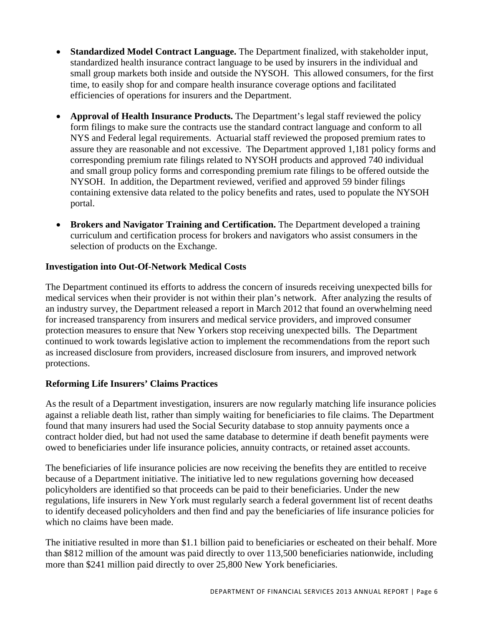- **Standardized Model Contract Language.** The Department finalized, with stakeholder input, standardized health insurance contract language to be used by insurers in the individual and small group markets both inside and outside the NYSOH. This allowed consumers, for the first time, to easily shop for and compare health insurance coverage options and facilitated efficiencies of operations for insurers and the Department.
- **Approval of Health Insurance Products.** The Department's legal staff reviewed the policy form filings to make sure the contracts use the standard contract language and conform to all NYS and Federal legal requirements. Actuarial staff reviewed the proposed premium rates to assure they are reasonable and not excessive. The Department approved 1,181 policy forms and corresponding premium rate filings related to NYSOH products and approved 740 individual and small group policy forms and corresponding premium rate filings to be offered outside the NYSOH. In addition, the Department reviewed, verified and approved 59 binder filings containing extensive data related to the policy benefits and rates, used to populate the NYSOH portal.
- **Brokers and Navigator Training and Certification.** The Department developed a training curriculum and certification process for brokers and navigators who assist consumers in the selection of products on the Exchange.

# **Investigation into Out-Of-Network Medical Costs**

The Department continued its efforts to address the concern of insureds receiving unexpected bills for medical services when their provider is not within their plan's network. After analyzing the results of an industry survey, the Department released a report in March 2012 that found an overwhelming need for increased transparency from insurers and medical service providers, and improved consumer protection measures to ensure that New Yorkers stop receiving unexpected bills. The Department continued to work towards legislative action to implement the recommendations from the report such as increased disclosure from providers, increased disclosure from insurers, and improved network protections.

# **Reforming Life Insurers' Claims Practices**

As the result of a Department investigation, insurers are now regularly matching life insurance policies against a reliable death list, rather than simply waiting for beneficiaries to file claims. The Department found that many insurers had used the Social Security database to stop annuity payments once a contract holder died, but had not used the same database to determine if death benefit payments were owed to beneficiaries under life insurance policies, annuity contracts, or retained asset accounts.

The beneficiaries of life insurance policies are now receiving the benefits they are entitled to receive because of a Department initiative. The initiative led to new regulations governing how deceased policyholders are identified so that proceeds can be paid to their beneficiaries. Under the new regulations, life insurers in New York must regularly search a federal government list of recent deaths to identify deceased policyholders and then find and pay the beneficiaries of life insurance policies for which no claims have been made.

The initiative resulted in more than \$1.1 billion paid to beneficiaries or escheated on their behalf. More than \$812 million of the amount was paid directly to over 113,500 beneficiaries nationwide, including more than \$241 million paid directly to over 25,800 New York beneficiaries.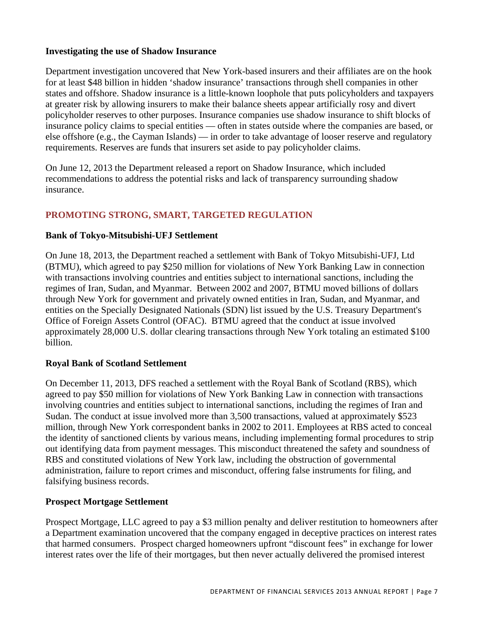## **Investigating the use of Shadow Insurance**

Department investigation uncovered that New York-based insurers and their affiliates are on the hook for at least \$48 billion in hidden 'shadow insurance' transactions through shell companies in other states and offshore. Shadow insurance is a little-known loophole that puts policyholders and taxpayers at greater risk by allowing insurers to make their balance sheets appear artificially rosy and divert policyholder reserves to other purposes. Insurance companies use shadow insurance to shift blocks of insurance policy claims to special entities — often in states outside where the companies are based, or else offshore (e.g., the Cayman Islands) — in order to take advantage of looser reserve and regulatory requirements. Reserves are funds that insurers set aside to pay policyholder claims.

On June 12, 2013 the Department released a report on Shadow Insurance, which included recommendations to address the potential risks and lack of transparency surrounding shadow insurance.

# **PROMOTING STRONG, SMART, TARGETED REGULATION**

## **Bank of Tokyo-Mitsubishi-UFJ Settlement**

On June 18, 2013, the Department reached a settlement with Bank of Tokyo Mitsubishi-UFJ, Ltd (BTMU), which agreed to pay \$250 million for violations of New York Banking Law in connection with transactions involving countries and entities subject to international sanctions, including the regimes of Iran, Sudan, and Myanmar. Between 2002 and 2007, BTMU moved billions of dollars through New York for government and privately owned entities in Iran, Sudan, and Myanmar, and entities on the Specially Designated Nationals (SDN) list issued by the U.S. Treasury Department's Office of Foreign Assets Control (OFAC). BTMU agreed that the conduct at issue involved approximately 28,000 U.S. dollar clearing transactions through New York totaling an estimated \$100 billion.

## **Royal Bank of Scotland Settlement**

On December 11, 2013, DFS reached a settlement with the Royal Bank of Scotland (RBS), which agreed to pay \$50 million for violations of New York Banking Law in connection with transactions involving countries and entities subject to international sanctions, including the regimes of Iran and Sudan. The conduct at issue involved more than 3,500 transactions, valued at approximately \$523 million, through New York correspondent banks in 2002 to 2011. Employees at RBS acted to conceal the identity of sanctioned clients by various means, including implementing formal procedures to strip out identifying data from payment messages. This misconduct threatened the safety and soundness of RBS and constituted violations of New York law, including the obstruction of governmental administration, failure to report crimes and misconduct, offering false instruments for filing, and falsifying business records.

## **Prospect Mortgage Settlement**

Prospect Mortgage, LLC agreed to pay a \$3 million penalty and deliver restitution to homeowners after a Department examination uncovered that the company engaged in deceptive practices on interest rates that harmed consumers. Prospect charged homeowners upfront "discount fees" in exchange for lower interest rates over the life of their mortgages, but then never actually delivered the promised interest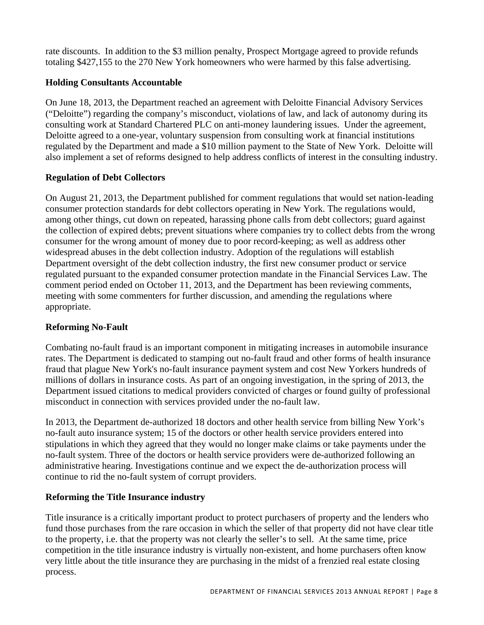rate discounts. In addition to the \$3 million penalty, Prospect Mortgage agreed to provide refunds totaling \$427,155 to the 270 New York homeowners who were harmed by this false advertising.

# **Holding Consultants Accountable**

On June 18, 2013, the Department reached an agreement with Deloitte Financial Advisory Services ("Deloitte") regarding the company's misconduct, violations of law, and lack of autonomy during its consulting work at Standard Chartered PLC on anti-money laundering issues. Under the agreement, Deloitte agreed to a one-year, voluntary suspension from consulting work at financial institutions regulated by the Department and made a \$10 million payment to the State of New York. Deloitte will also implement a set of reforms designed to help address conflicts of interest in the consulting industry.

# **Regulation of Debt Collectors**

On August 21, 2013, the Department published for comment regulations that would set nation-leading consumer protection standards for debt collectors operating in New York. The regulations would, among other things, cut down on repeated, harassing phone calls from debt collectors; guard against the collection of expired debts; prevent situations where companies try to collect debts from the wrong consumer for the wrong amount of money due to poor record-keeping; as well as address other widespread abuses in the debt collection industry. Adoption of the regulations will establish Department oversight of the debt collection industry, the first new consumer product or service regulated pursuant to the expanded consumer protection mandate in the Financial Services Law. The comment period ended on October 11, 2013, and the Department has been reviewing comments, meeting with some commenters for further discussion, and amending the regulations where appropriate.

# **Reforming No-Fault**

Combating no-fault fraud is an important component in mitigating increases in automobile insurance rates. The Department is dedicated to stamping out no-fault fraud and other forms of health insurance fraud that plague New York's no-fault insurance payment system and cost New Yorkers hundreds of millions of dollars in insurance costs. As part of an ongoing investigation, in the spring of 2013, the Department issued citations to medical providers convicted of charges or found guilty of professional misconduct in connection with services provided under the no-fault law.

In 2013, the Department de-authorized 18 doctors and other health service from billing New York's no-fault auto insurance system; 15 of the doctors or other health service providers entered into stipulations in which they agreed that they would no longer make claims or take payments under the no-fault system. Three of the doctors or health service providers were de-authorized following an administrative hearing. Investigations continue and we expect the de-authorization process will continue to rid the no-fault system of corrupt providers.

# **Reforming the Title Insurance industry**

Title insurance is a critically important product to protect purchasers of property and the lenders who fund those purchases from the rare occasion in which the seller of that property did not have clear title to the property, i.e. that the property was not clearly the seller's to sell. At the same time, price competition in the title insurance industry is virtually non-existent, and home purchasers often know very little about the title insurance they are purchasing in the midst of a frenzied real estate closing process.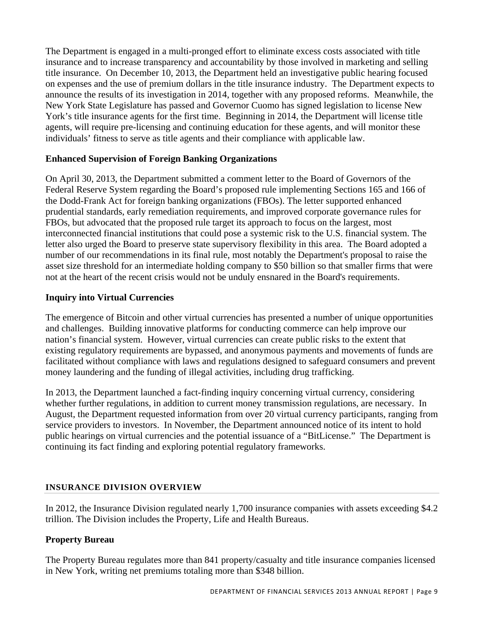The Department is engaged in a multi-pronged effort to eliminate excess costs associated with title insurance and to increase transparency and accountability by those involved in marketing and selling title insurance. On December 10, 2013, the Department held an investigative public hearing focused on expenses and the use of premium dollars in the title insurance industry. The Department expects to announce the results of its investigation in 2014, together with any proposed reforms. Meanwhile, the New York State Legislature has passed and Governor Cuomo has signed legislation to license New York's title insurance agents for the first time. Beginning in 2014, the Department will license title agents, will require pre-licensing and continuing education for these agents, and will monitor these individuals' fitness to serve as title agents and their compliance with applicable law.

# **Enhanced Supervision of Foreign Banking Organizations**

On April 30, 2013, the Department submitted a comment letter to the Board of Governors of the Federal Reserve System regarding the Board's proposed rule implementing Sections 165 and 166 of the Dodd-Frank Act for foreign banking organizations (FBOs). The letter supported enhanced prudential standards, early remediation requirements, and improved corporate governance rules for FBOs, but advocated that the proposed rule target its approach to focus on the largest, most interconnected financial institutions that could pose a systemic risk to the U.S. financial system. The letter also urged the Board to preserve state supervisory flexibility in this area. The Board adopted a number of our recommendations in its final rule, most notably the Department's proposal to raise the asset size threshold for an intermediate holding company to \$50 billion so that smaller firms that were not at the heart of the recent crisis would not be unduly ensnared in the Board's requirements.

# **Inquiry into Virtual Currencies**

The emergence of Bitcoin and other virtual currencies has presented a number of unique opportunities and challenges. Building innovative platforms for conducting commerce can help improve our nation's financial system. However, virtual currencies can create public risks to the extent that existing regulatory requirements are bypassed, and anonymous payments and movements of funds are facilitated without compliance with laws and regulations designed to safeguard consumers and prevent money laundering and the funding of illegal activities, including drug trafficking.

In 2013, the Department launched a fact-finding inquiry concerning virtual currency, considering whether further regulations, in addition to current money transmission regulations, are necessary. In August, the Department requested information from over 20 virtual currency participants, ranging from service providers to investors. In November, the Department announced notice of its intent to hold public hearings on virtual currencies and the potential issuance of a "BitLicense." The Department is continuing its fact finding and exploring potential regulatory frameworks.

# **INSURANCE DIVISION OVERVIEW**

In 2012, the Insurance Division regulated nearly 1,700 insurance companies with assets exceeding \$4.2 trillion. The Division includes the Property, Life and Health Bureaus.

# **Property Bureau**

The Property Bureau regulates more than 841 property/casualty and title insurance companies licensed in New York, writing net premiums totaling more than \$348 billion.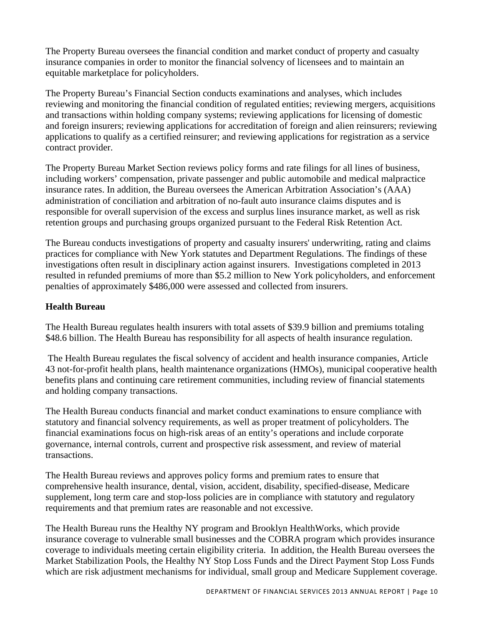The Property Bureau oversees the financial condition and market conduct of property and casualty insurance companies in order to monitor the financial solvency of licensees and to maintain an equitable marketplace for policyholders.

The Property Bureau's Financial Section conducts examinations and analyses, which includes reviewing and monitoring the financial condition of regulated entities; reviewing mergers, acquisitions and transactions within holding company systems; reviewing applications for licensing of domestic and foreign insurers; reviewing applications for accreditation of foreign and alien reinsurers; reviewing applications to qualify as a certified reinsurer; and reviewing applications for registration as a service contract provider.

The Property Bureau Market Section reviews policy forms and rate filings for all lines of business, including workers' compensation, private passenger and public automobile and medical malpractice insurance rates. In addition, the Bureau oversees the American Arbitration Association's (AAA) administration of conciliation and arbitration of no-fault auto insurance claims disputes and is responsible for overall supervision of the excess and surplus lines insurance market, as well as risk retention groups and purchasing groups organized pursuant to the Federal Risk Retention Act.

The Bureau conducts investigations of property and casualty insurers' underwriting, rating and claims practices for compliance with New York statutes and Department Regulations. The findings of these investigations often result in disciplinary action against insurers. Investigations completed in 2013 resulted in refunded premiums of more than \$5.2 million to New York policyholders, and enforcement penalties of approximately \$486,000 were assessed and collected from insurers.

# **Health Bureau**

The Health Bureau regulates health insurers with total assets of \$39.9 billion and premiums totaling \$48.6 billion. The Health Bureau has responsibility for all aspects of health insurance regulation.

 The Health Bureau regulates the fiscal solvency of accident and health insurance companies, Article 43 not-for-profit health plans, health maintenance organizations (HMOs), municipal cooperative health benefits plans and continuing care retirement communities, including review of financial statements and holding company transactions.

transactions. The Health Bureau conducts financial and market conduct examinations to ensure compliance with statutory and financial solvency requirements, as well as proper treatment of policyholders. The financial examinations focus on high-risk areas of an entity's operations and include corporate governance, internal controls, current and prospective risk assessment, and review of material

The Health Bureau reviews and approves policy forms and premium rates to ensure that comprehensive health insurance, dental, vision, accident, disability, specified-disease, Medicare supplement, long term care and stop-loss policies are in compliance with statutory and regulatory requirements and that premium rates are reasonable and not excessive.

The Health Bureau runs the Healthy NY program and Brooklyn HealthWorks, which provide insurance coverage to vulnerable small businesses and the COBRA program which provides insurance coverage to individuals meeting certain eligibility criteria. In addition, the Health Bureau oversees the Market Stabilization Pools, the Healthy NY Stop Loss Funds and the Direct Payment Stop Loss Funds which are risk adjustment mechanisms for individual, small group and Medicare Supplement coverage.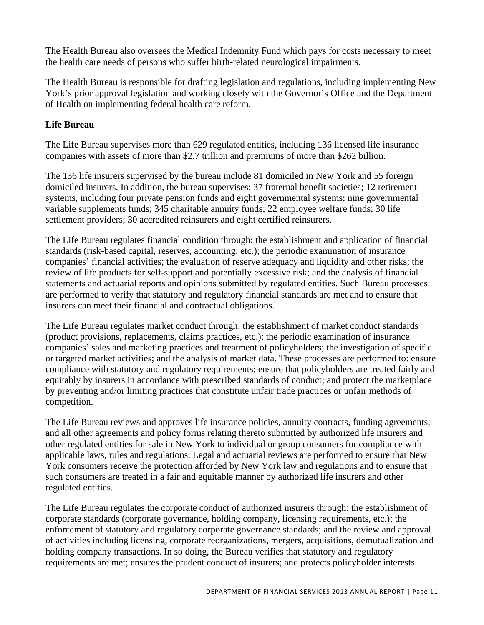The Health Bureau also oversees the Medical Indemnity Fund which pays for costs necessary to meet the health care needs of persons who suffer birth-related neurological impairments.

The Health Bureau is responsible for drafting legislation and regulations, including implementing New York's prior approval legislation and working closely with the Governor's Office and the Department of Health on implementing federal health care reform.

# **Life Bureau**

The Life Bureau supervises more than 629 regulated entities, including 136 licensed life insurance companies with assets of more than \$2.7 trillion and premiums of more than \$262 billion.

The 136 life insurers supervised by the bureau include 81 domiciled in New York and 55 foreign domiciled insurers. In addition, the bureau supervises: 37 fraternal benefit societies; 12 retirement systems, including four private pension funds and eight governmental systems; nine governmental variable supplements funds; 345 charitable annuity funds; 22 employee welfare funds; 30 life settlement providers; 30 accredited reinsurers and eight certified reinsurers.

The Life Bureau regulates financial condition through: the establishment and application of financial standards (risk-based capital, reserves, accounting, etc.); the periodic examination of insurance companies' financial activities; the evaluation of reserve adequacy and liquidity and other risks; the review of life products for self-support and potentially excessive risk; and the analysis of financial statements and actuarial reports and opinions submitted by regulated entities. Such Bureau processes are performed to verify that statutory and regulatory financial standards are met and to ensure that insurers can meet their financial and contractual obligations.

The Life Bureau regulates market conduct through: the establishment of market conduct standards (product provisions, replacements, claims practices, etc.); the periodic examination of insurance companies' sales and marketing practices and treatment of policyholders; the investigation of specific or targeted market activities; and the analysis of market data. These processes are performed to: ensure compliance with statutory and regulatory requirements; ensure that policyholders are treated fairly and equitably by insurers in accordance with prescribed standards of conduct; and protect the marketplace by preventing and/or limiting practices that constitute unfair trade practices or unfair methods of competition.

The Life Bureau reviews and approves life insurance policies, annuity contracts, funding agreements, and all other agreements and policy forms relating thereto submitted by authorized life insurers and other regulated entities for sale in New York to individual or group consumers for compliance with applicable laws, rules and regulations. Legal and actuarial reviews are performed to ensure that New York consumers receive the protection afforded by New York law and regulations and to ensure that such consumers are treated in a fair and equitable manner by authorized life insurers and other regulated entities.

The Life Bureau regulates the corporate conduct of authorized insurers through: the establishment of corporate standards (corporate governance, holding company, licensing requirements, etc.); the enforcement of statutory and regulatory corporate governance standards; and the review and approval of activities including licensing, corporate reorganizations, mergers, acquisitions, demutualization and holding company transactions. In so doing, the Bureau verifies that statutory and regulatory requirements are met; ensures the prudent conduct of insurers; and protects policyholder interests.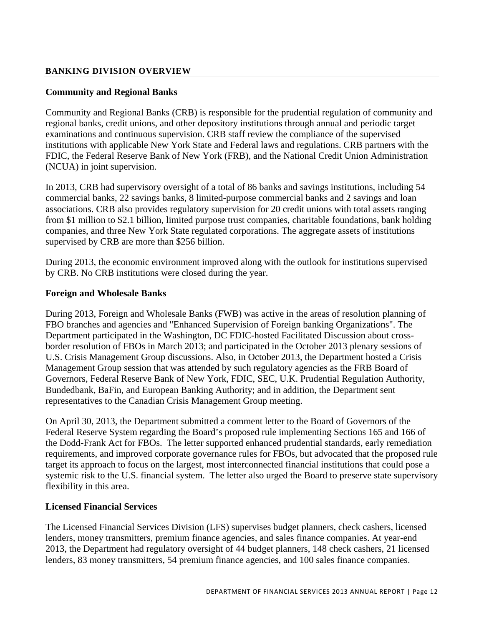## **BANKING DIVISION OVERVIEW**

## **Community and Regional Banks**

Community and Regional Banks (CRB) is responsible for the prudential regulation of community and regional banks, credit unions, and other depository institutions through annual and periodic target examinations and continuous supervision. CRB staff review the compliance of the supervised institutions with applicable New York State and Federal laws and regulations. CRB partners with the FDIC, the Federal Reserve Bank of New York (FRB), and the National Credit Union Administration (NCUA) in joint supervision.

In 2013, CRB had supervisory oversight of a total of 86 banks and savings institutions, including 54 commercial banks, 22 savings banks, 8 limited-purpose commercial banks and 2 savings and loan associations. CRB also provides regulatory supervision for 20 credit unions with total assets ranging from \$1 million to \$2.1 billion, limited purpose trust companies, charitable foundations, bank holding companies, and three New York State regulated corporations. The aggregate assets of institutions supervised by CRB are more than \$256 billion.

During 2013, the economic environment improved along with the outlook for institutions supervised by CRB. No CRB institutions were closed during the year.

## **Foreign and Wholesale Banks**

During 2013, Foreign and Wholesale Banks (FWB) was active in the areas of resolution planning of FBO branches and agencies and "Enhanced Supervision of Foreign banking Organizations". The Department participated in the Washington, DC FDIC-hosted Facilitated Discussion about crossborder resolution of FBOs in March 2013; and participated in the October 2013 plenary sessions of U.S. Crisis Management Group discussions. Also, in October 2013, the Department hosted a Crisis Management Group session that was attended by such regulatory agencies as the FRB Board of Governors, Federal Reserve Bank of New York, FDIC, SEC, U.K. Prudential Regulation Authority, Bundedbank, BaFin, and European Banking Authority; and in addition, the Department sent representatives to the Canadian Crisis Management Group meeting.

On April 30, 2013, the Department submitted a comment letter to the Board of Governors of the Federal Reserve System regarding the Board's proposed rule implementing Sections 165 and 166 of the Dodd-Frank Act for FBOs. The letter supported enhanced prudential standards, early remediation requirements, and improved corporate governance rules for FBOs, but advocated that the proposed rule target its approach to focus on the largest, most interconnected financial institutions that could pose a systemic risk to the U.S. financial system. The letter also urged the Board to preserve state supervisory flexibility in this area.

## **Licensed Financial Services**

The Licensed Financial Services Division (LFS) supervises budget planners, check cashers, licensed lenders, money transmitters, premium finance agencies, and sales finance companies. At year-end 2013, the Department had regulatory oversight of 44 budget planners, 148 check cashers, 21 licensed lenders, 83 money transmitters, 54 premium finance agencies, and 100 sales finance companies.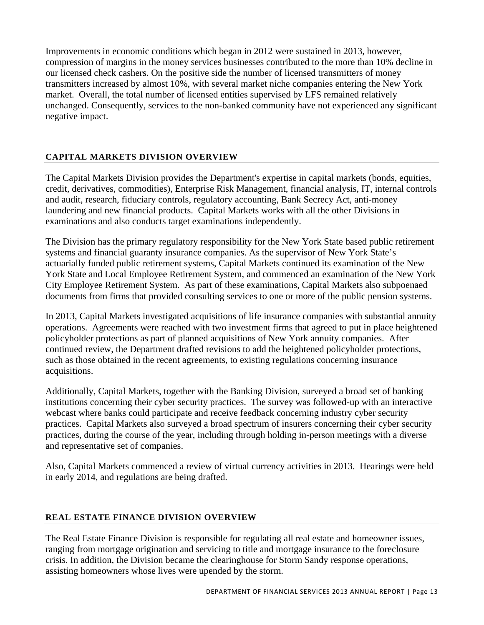Improvements in economic conditions which began in 2012 were sustained in 2013, however, compression of margins in the money services businesses contributed to the more than 10% decline in our licensed check cashers. On the positive side the number of licensed transmitters of money transmitters increased by almost 10%, with several market niche companies entering the New York market. Overall, the total number of licensed entities supervised by LFS remained relatively unchanged. Consequently, services to the non-banked community have not experienced any significant negative impact.

# **CAPITAL MARKETS DIVISION OVERVIEW**

The Capital Markets Division provides the Department's expertise in capital markets (bonds, equities, credit, derivatives, commodities), Enterprise Risk Management, financial analysis, IT, internal controls and audit, research, fiduciary controls, regulatory accounting, Bank Secrecy Act, anti-money laundering and new financial products. Capital Markets works with all the other Divisions in examinations and also conducts target examinations independently.

The Division has the primary regulatory responsibility for the New York State based public retirement systems and financial guaranty insurance companies. As the supervisor of New York State's actuarially funded public retirement systems, Capital Markets continued its examination of the New York State and Local Employee Retirement System, and commenced an examination of the New York City Employee Retirement System. As part of these examinations, Capital Markets also subpoenaed documents from firms that provided consulting services to one or more of the public pension systems.

In 2013, Capital Markets investigated acquisitions of life insurance companies with substantial annuity operations. Agreements were reached with two investment firms that agreed to put in place heightened policyholder protections as part of planned acquisitions of New York annuity companies. After continued review, the Department drafted revisions to add the heightened policyholder protections, such as those obtained in the recent agreements, to existing regulations concerning insurance acquisitions.

Additionally, Capital Markets, together with the Banking Division, surveyed a broad set of banking institutions concerning their cyber security practices. The survey was followed-up with an interactive webcast where banks could participate and receive feedback concerning industry cyber security practices. Capital Markets also surveyed a broad spectrum of insurers concerning their cyber security practices, during the course of the year, including through holding in-person meetings with a diverse and representative set of companies.

Also, Capital Markets commenced a review of virtual currency activities in 2013. Hearings were held in early 2014, and regulations are being drafted.

# **REAL ESTATE FINANCE DIVISION OVERVIEW**

The Real Estate Finance Division is responsible for regulating all real estate and homeowner issues, ranging from mortgage origination and servicing to title and mortgage insurance to the foreclosure crisis. In addition, the Division became the clearinghouse for Storm Sandy response operations, assisting homeowners whose lives were upended by the storm.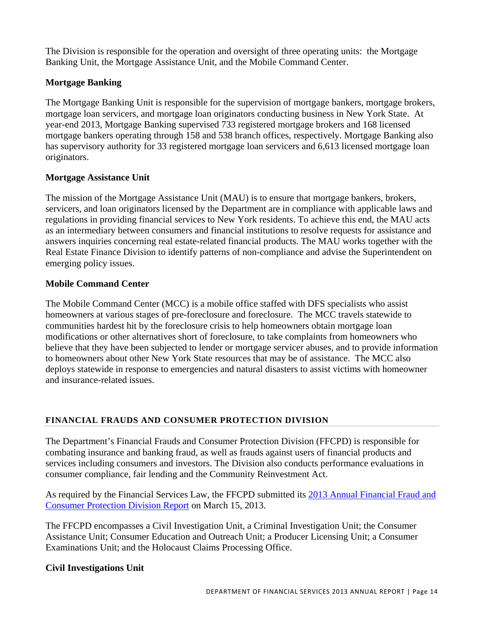The Division is responsible for the operation and oversight of three operating units: the Mortgage Banking Unit, the Mortgage Assistance Unit, and the Mobile Command Center.

## **Mortgage Banking**

The Mortgage Banking Unit is responsible for the supervision of mortgage bankers, mortgage brokers, mortgage loan servicers, and mortgage loan originators conducting business in New York State. At year-end 2013, Mortgage Banking supervised 733 registered mortgage brokers and 168 licensed mortgage bankers operating through 158 and 538 branch offices, respectively. Mortgage Banking also has supervisory authority for 33 registered mortgage loan servicers and 6,613 licensed mortgage loan originators.

## **Mortgage Assistance Unit**

The mission of the Mortgage Assistance Unit (MAU) is to ensure that mortgage bankers, brokers, servicers, and loan originators licensed by the Department are in compliance with applicable laws and regulations in providing financial services to New York residents. To achieve this end, the MAU acts as an intermediary between consumers and financial institutions to resolve requests for assistance and answers inquiries concerning real estate-related financial products. The MAU works together with the Real Estate Finance Division to identify patterns of non-compliance and advise the Superintendent on emerging policy issues.

## **Mobile Command Center**

The Mobile Command Center (MCC) is a mobile office staffed with DFS specialists who assist homeowners at various stages of pre-foreclosure and foreclosure. The MCC travels statewide to communities hardest hit by the foreclosure crisis to help homeowners obtain mortgage loan modifications or other alternatives short of foreclosure, to take complaints from homeowners who believe that they have been subjected to lender or mortgage servicer abuses, and to provide information to homeowners about other New York State resources that may be of assistance. The MCC also deploys statewide in response to emergencies and natural disasters to assist victims with homeowner and insurance-related issues.

# **FINANCIAL FRAUDS AND CONSUMER PROTECTION DIVISION**

The Department's Financial Frauds and Consumer Protection Division (FFCPD) is responsible for combating insurance and banking fraud, as well as frauds against users of financial products and services including consumers and investors. The Division also conducts performance evaluations in consumer compliance, fair lending and the Community Reinvestment Act.

As required by the Financial Services Law, the FFCPD submitted its 2013 Annual Financial Fraud and Consumer Protection Division Report on March 15, 2013.

The FFCPD encompasses a Civil Investigation Unit, a Criminal Investigation Unit; the Consumer Assistance Unit; Consumer Education and Outreach Unit; a Producer Licensing Unit; a Consumer Examinations Unit; and the Holocaust Claims Processing Office.

# **Civil Investigations Unit**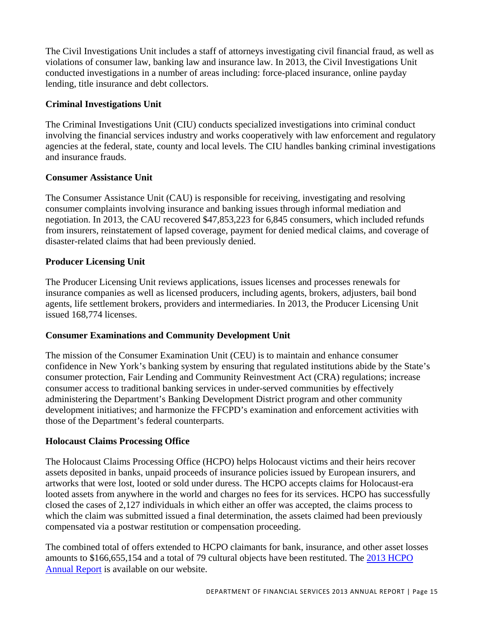The Civil Investigations Unit includes a staff of attorneys investigating civil financial fraud, as well as violations of consumer law, banking law and insurance law. In 2013, the Civil Investigations Unit conducted investigations in a number of areas including: force-placed insurance, online payday lending, title insurance and debt collectors.

# **Criminal Investigations Unit**

The Criminal Investigations Unit (CIU) conducts specialized investigations into criminal conduct involving the financial services industry and works cooperatively with law enforcement and regulatory agencies at the federal, state, county and local levels. The CIU handles banking criminal investigations and insurance frauds.

# **Consumer Assistance Unit**

The Consumer Assistance Unit (CAU) is responsible for receiving, investigating and resolving consumer complaints involving insurance and banking issues through informal mediation and negotiation. In 2013, the CAU recovered \$47,853,223 for 6,845 consumers, which included refunds from insurers, reinstatement of lapsed coverage, payment for denied medical claims, and coverage of disaster-related claims that had been previously denied.

# **Producer Licensing Unit**

The Producer Licensing Unit reviews applications, issues licenses and processes renewals for insurance companies as well as licensed producers, including agents, brokers, adjusters, bail bond agents, life settlement brokers, providers and intermediaries. In 2013, the Producer Licensing Unit issued 168,774 licenses.

# **Consumer Examinations and Community Development Unit**

The mission of the Consumer Examination Unit (CEU) is to maintain and enhance consumer confidence in New York's banking system by ensuring that regulated institutions abide by the State's consumer protection, Fair Lending and Community Reinvestment Act (CRA) regulations; increase consumer access to traditional banking services in under-served communities by effectively administering the Department's Banking Development District program and other community development initiatives; and harmonize the FFCPD's examination and enforcement activities with those of the Department's federal counterparts.

# **Holocaust Claims Processing Office**

The Holocaust Claims Processing Office (HCPO) helps Holocaust victims and their heirs recover assets deposited in banks, unpaid proceeds of insurance policies issued by European insurers, and artworks that were lost, looted or sold under duress. The HCPO accepts claims for Holocaust-era looted assets from anywhere in the world and charges no fees for its services. HCPO has successfully closed the cases of 2,127 individuals in which either an offer was accepted, the claims process to which the claim was submitted issued a final determination, the assets claimed had been previously compensated via a postwar restitution or compensation proceeding.

The combined total of offers extended to HCPO claimants for bank, insurance, and other asset losses amounts to \$166,655,154 and a total of 79 cultural objects have been restituted. The 2013 HCPO Annual Report is available on our website.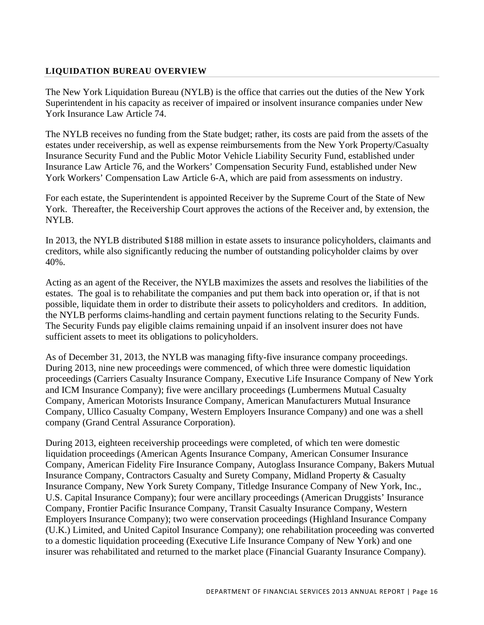## **LIQUIDATION BUREAU OVERVIEW**

The New York Liquidation Bureau (NYLB) is the office that carries out the duties of the New York Superintendent in his capacity as receiver of impaired or insolvent insurance companies under New York Insurance Law Article 74.

The NYLB receives no funding from the State budget; rather, its costs are paid from the assets of the estates under receivership, as well as expense reimbursements from the New York Property/Casualty Insurance Security Fund and the Public Motor Vehicle Liability Security Fund, established under Insurance Law Article 76, and the Workers' Compensation Security Fund, established under New York Workers' Compensation Law Article 6-A, which are paid from assessments on industry.

For each estate, the Superintendent is appointed Receiver by the Supreme Court of the State of New York. Thereafter, the Receivership Court approves the actions of the Receiver and, by extension, the NYLB.

In 2013, the NYLB distributed \$188 million in estate assets to insurance policyholders, claimants and creditors, while also significantly reducing the number of outstanding policyholder claims by over 40%.

Acting as an agent of the Receiver, the NYLB maximizes the assets and resolves the liabilities of the estates. The goal is to rehabilitate the companies and put them back into operation or, if that is not possible, liquidate them in order to distribute their assets to policyholders and creditors. In addition, the NYLB performs claims-handling and certain payment functions relating to the Security Funds. The Security Funds pay eligible claims remaining unpaid if an insolvent insurer does not have sufficient assets to meet its obligations to policyholders.

As of December 31, 2013, the NYLB was managing fifty-five insurance company proceedings. During 2013, nine new proceedings were commenced, of which three were domestic liquidation proceedings (Carriers Casualty Insurance Company, Executive Life Insurance Company of New York and ICM Insurance Company); five were ancillary proceedings (Lumbermens Mutual Casualty Company, American Motorists Insurance Company, American Manufacturers Mutual Insurance Company, Ullico Casualty Company, Western Employers Insurance Company) and one was a shell company (Grand Central Assurance Corporation).

During 2013, eighteen receivership proceedings were completed, of which ten were domestic liquidation proceedings (American Agents Insurance Company, American Consumer Insurance Company, American Fidelity Fire Insurance Company, Autoglass Insurance Company, Bakers Mutual Insurance Company, Contractors Casualty and Surety Company, Midland Property & Casualty Insurance Company, New York Surety Company, Titledge Insurance Company of New York, Inc., U.S. Capital Insurance Company); four were ancillary proceedings (American Druggists' Insurance Company, Frontier Pacific Insurance Company, Transit Casualty Insurance Company, Western Employers Insurance Company); two were conservation proceedings (Highland Insurance Company (U.K.) Limited, and United Capitol Insurance Company); one rehabilitation proceeding was converted to a domestic liquidation proceeding (Executive Life Insurance Company of New York) and one insurer was rehabilitated and returned to the market place (Financial Guaranty Insurance Company).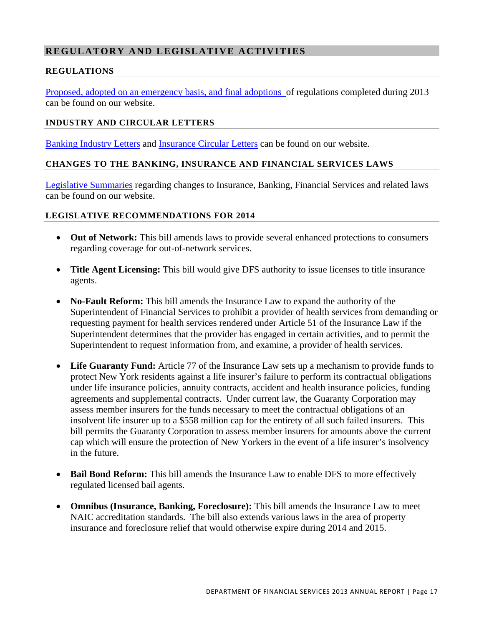# **REGULATORY AND LEGISLATIVE ACTIVITIES**

## **RE GULA TIONS**

Proposed, adopted on an emergency basis, and final adoptions of regulations completed during 2013 can be found on our website.

## **INDUSTRY AND CIRCULAR LETTERS**

Banking Industry Letters and Insurance Circular Letters can be found on our website.

## **CHANGES TO THE BANKING, INSURANCE AND FINANCIAL SERVICES LAWS**

Legislative Summaries regarding changes to Insurance, Banking, Financial Services and related laws can be found on our website.

## **LEGISLATIVE RECOMMENDATIONS FOR 2014**

- **Out of Network:** This bill amends laws to provide several enhanced protections to consumers regarding coverage for out-of-network services.
- **Title Agent Licensing:** This bill would give DFS authority to issue licenses to title insurance agents.
- **No-Fault Reform:** This bill amends the Insurance Law to expand the authority of the Superintendent of Financial Services to prohibit a provider of health services from demanding or requesting payment for health services rendered under Article 51 of the Insurance Law if the Superintendent determines that the provider has engaged in certain activities, and to permit the Superintendent to request information from, and examine, a provider of health services.
- Life Guaranty Fund: Article 77 of the Insurance Law sets up a mechanism to provide funds to protect New York residents against a life insurer's failure to perform its contractual obligations under life insurance policies, annuity contracts, accident and health insurance policies, funding agreements and supplemental contracts. Under current law, the Guaranty Corporation may assess member insurers for the funds necessary to meet the contractual obligations of an insolvent life insurer up to a \$558 million cap for the entirety of all such failed insurers. This bill permits the Guaranty Corporation to assess member insurers for amounts above the current cap which will ensure the protection of New Yorkers in the event of a life insurer's insolvency in the future.
- **Bail Bond Reform:** This bill amends the Insurance Law to enable DFS to more effectively regulated licensed bail agents.
- **Omnibus (Insurance, Banking, Foreclosure):** This bill amends the Insurance Law to meet NAIC accreditation standards. The bill also extends various laws in the area of property insurance and foreclosure relief that would otherwise expire during 2014 and 2015.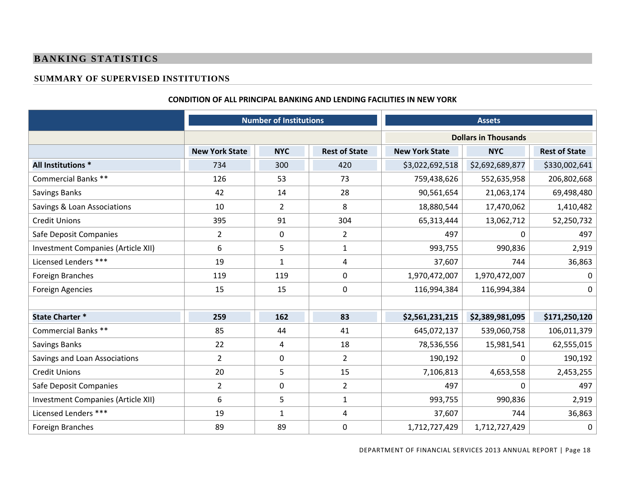## **BANKING STATISTICS**

## **SUMMARY OF SUPERVISED INSTITUTIONS**

#### **CONDITION OF ALL PRINCIPAL BANKING AND LENDING FACILITIES IN NEW YORK**

|                                    | <b>Number of Institutions</b> |                |                      |                             | <b>Assets</b>   |                      |  |
|------------------------------------|-------------------------------|----------------|----------------------|-----------------------------|-----------------|----------------------|--|
|                                    |                               |                |                      | <b>Dollars in Thousands</b> |                 |                      |  |
|                                    | <b>New York State</b>         | <b>NYC</b>     | <b>Rest of State</b> | <b>New York State</b>       | <b>NYC</b>      | <b>Rest of State</b> |  |
| All Institutions *                 | 734                           | 300            | 420                  | \$3,022,692,518             | \$2,692,689,877 | \$330,002,641        |  |
| Commercial Banks **                | 126                           | 53             | 73                   | 759,438,626                 | 552,635,958     | 206,802,668          |  |
| <b>Savings Banks</b>               | 42                            | 14             | 28                   | 90,561,654                  | 21,063,174      | 69,498,480           |  |
| Savings & Loan Associations        | 10                            | $\overline{2}$ | 8                    | 18,880,544                  | 17,470,062      | 1,410,482            |  |
| <b>Credit Unions</b>               | 395                           | 91             | 304                  | 65,313,444                  | 13,062,712      | 52,250,732           |  |
| Safe Deposit Companies             | $\overline{2}$                | $\mathbf 0$    | $\overline{2}$       | 497                         | $\mathbf{0}$    | 497                  |  |
| Investment Companies (Article XII) | 6                             | 5              | $\mathbf{1}$         | 993,755                     | 990,836         | 2,919                |  |
| Licensed Lenders ***               | 19                            | $\mathbf{1}$   | 4                    | 37,607                      | 744             | 36,863               |  |
| Foreign Branches                   | 119                           | 119            | $\mathbf 0$          | 1,970,472,007               | 1,970,472,007   | 0                    |  |
| <b>Foreign Agencies</b>            | 15                            | 15             | $\mathbf 0$          | 116,994,384                 | 116,994,384     | 0                    |  |
|                                    |                               |                |                      |                             |                 |                      |  |
| <b>State Charter *</b>             | 259                           | 162            | 83                   | \$2,561,231,215             | \$2,389,981,095 | \$171,250,120        |  |
| Commercial Banks **                | 85                            | 44             | 41                   | 645,072,137                 | 539,060,758     | 106,011,379          |  |
| <b>Savings Banks</b>               | 22                            | $\overline{4}$ | 18                   | 78,536,556                  | 15,981,541      | 62,555,015           |  |
| Savings and Loan Associations      | $\overline{2}$                | $\mathbf 0$    | $2^{\circ}$          | 190,192                     | 0               | 190,192              |  |
| <b>Credit Unions</b>               | 20                            | 5              | 15                   | 7,106,813                   | 4,653,558       | 2,453,255            |  |
| Safe Deposit Companies             | $\overline{2}$                | $\mathbf 0$    | $\overline{2}$       | 497                         | $\Omega$        | 497                  |  |
| Investment Companies (Article XII) | 6                             | 5              | $\mathbf{1}$         | 993,755                     | 990,836         | 2,919                |  |
| Licensed Lenders ***               | 19                            | $\mathbf{1}$   | $\overline{a}$       | 37,607                      | 744             | 36,863               |  |
| Foreign Branches                   | 89                            | 89             | $\boldsymbol{0}$     | 1,712,727,429               | 1,712,727,429   | 0                    |  |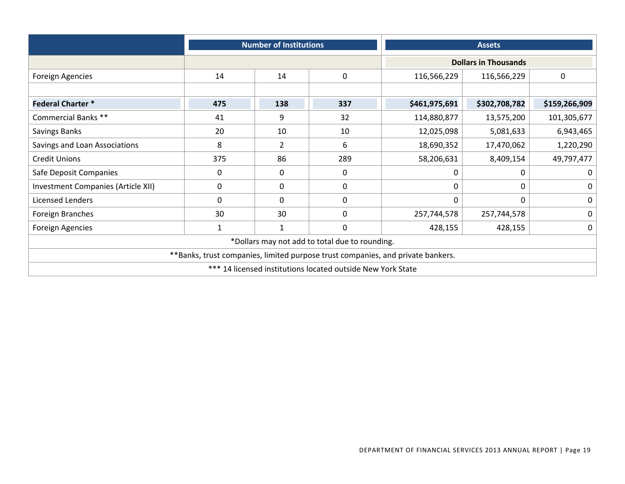|                                    | <b>Number of Institutions</b> |                     |                                                             |                                                                                 | <b>Assets</b>               |               |
|------------------------------------|-------------------------------|---------------------|-------------------------------------------------------------|---------------------------------------------------------------------------------|-----------------------------|---------------|
|                                    |                               |                     |                                                             |                                                                                 | <b>Dollars in Thousands</b> |               |
| <b>Foreign Agencies</b>            | 14                            | 14                  | $\mathbf 0$                                                 | 116,566,229                                                                     | 116,566,229                 | $\mathbf 0$   |
|                                    |                               |                     |                                                             |                                                                                 |                             |               |
| <b>Federal Charter*</b>            | 475                           | 138                 | 337                                                         | \$461,975,691                                                                   | \$302,708,782               | \$159,266,909 |
| Commercial Banks **                | 41                            | 9                   | 32                                                          | 114,880,877                                                                     | 13,575,200                  | 101,305,677   |
| Savings Banks                      | 20                            | 10                  | 10                                                          | 12,025,098<br>5,081,633                                                         |                             | 6,943,465     |
| Savings and Loan Associations      | 8                             | $\overline{2}$<br>6 |                                                             | 18,690,352                                                                      | 17,470,062                  | 1,220,290     |
| <b>Credit Unions</b>               | 375                           | 86                  | 289                                                         | 58,206,631<br>8,409,154                                                         |                             | 49,797,477    |
| Safe Deposit Companies             | 0                             | 0                   | 0                                                           | 0                                                                               | 0                           | $\Omega$      |
| Investment Companies (Article XII) | 0                             | 0                   | 0                                                           | 0                                                                               | ი                           | 0             |
| Licensed Lenders                   | 0                             | $\Omega$            | 0                                                           | 0                                                                               | 0                           | $\mathbf 0$   |
| Foreign Branches                   | 30                            | 30                  | 0                                                           | 257,744,578                                                                     | 257,744,578                 | $\mathbf 0$   |
| <b>Foreign Agencies</b>            | $\mathbf{1}$                  | 1                   | $\mathbf 0$                                                 | 428,155                                                                         | 428,155                     | $\mathbf 0$   |
|                                    |                               |                     | *Dollars may not add to total due to rounding.              |                                                                                 |                             |               |
|                                    |                               |                     |                                                             | **Banks, trust companies, limited purpose trust companies, and private bankers. |                             |               |
|                                    |                               |                     | *** 14 licensed institutions located outside New York State |                                                                                 |                             |               |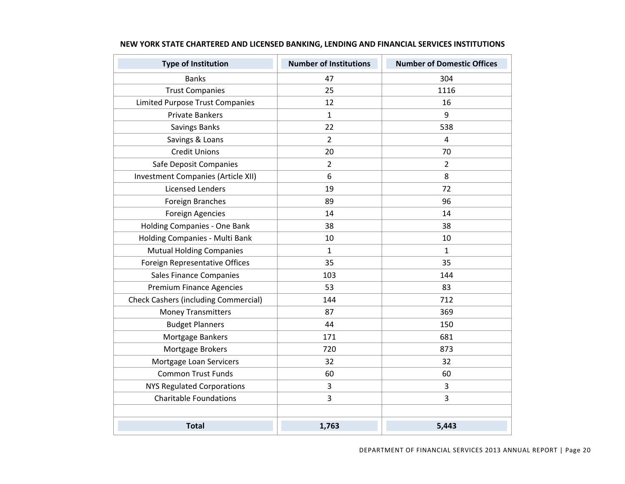| <b>Type of Institution</b>                  | <b>Number of Institutions</b> | <b>Number of Domestic Offices</b> |
|---------------------------------------------|-------------------------------|-----------------------------------|
| <b>Banks</b>                                | 47                            | 304                               |
| <b>Trust Companies</b>                      | 25                            | 1116                              |
| <b>Limited Purpose Trust Companies</b>      | 12                            | 16                                |
| <b>Private Bankers</b>                      | 1                             | 9                                 |
| Savings Banks                               | 22                            | 538                               |
| Savings & Loans                             | $\overline{2}$                | $\overline{4}$                    |
| <b>Credit Unions</b>                        | 20                            | 70                                |
| Safe Deposit Companies                      | $\overline{2}$                | $\overline{2}$                    |
| Investment Companies (Article XII)          | 6                             | 8                                 |
| <b>Licensed Lenders</b>                     | 19                            | 72                                |
| Foreign Branches                            | 89                            | 96                                |
| <b>Foreign Agencies</b>                     | 14                            | 14                                |
| Holding Companies - One Bank                | 38                            | 38                                |
| Holding Companies - Multi Bank              | 10                            | 10                                |
| <b>Mutual Holding Companies</b>             | $\mathbf{1}$                  | $\mathbf{1}$                      |
| Foreign Representative Offices              | 35                            | 35                                |
| <b>Sales Finance Companies</b>              | 103                           | 144                               |
| <b>Premium Finance Agencies</b>             | 53                            | 83                                |
| <b>Check Cashers (including Commercial)</b> | 144                           | 712                               |
| <b>Money Transmitters</b>                   | 87                            | 369                               |
| <b>Budget Planners</b>                      | 44                            | 150                               |
| Mortgage Bankers                            | 171                           | 681                               |
| Mortgage Brokers                            | 720                           | 873                               |
| Mortgage Loan Servicers                     | 32                            | 32                                |
| <b>Common Trust Funds</b>                   | 60                            | 60                                |
| <b>NYS Regulated Corporations</b>           | 3                             | 3                                 |
| <b>Charitable Foundations</b>               | 3                             | 3                                 |
|                                             |                               |                                   |
| <b>Total</b>                                | 1,763                         | 5,443                             |

#### **NEW YORK STATE CHARTERED AND LICENSED BANKING, LENDING AND FINANCIAL SERVICES INSTITUTIONS**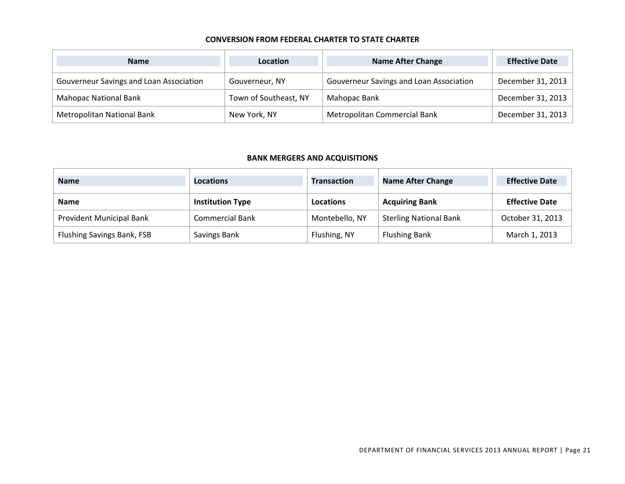#### **CONVERSION FROM FEDERAL CHARTER TO STATE CHARTER**

| <b>Name</b>                             | <b>Location</b>       | <b>Name After Change</b>                | <b>Effective Date</b> |
|-----------------------------------------|-----------------------|-----------------------------------------|-----------------------|
| Gouverneur Savings and Loan Association | Gouverneur, NY        | Gouverneur Savings and Loan Association | December 31, 2013     |
| <b>Mahopac National Bank</b>            | Town of Southeast, NY | Mahopac Bank                            | December 31, 2013     |
| Metropolitan National Bank              | New York, NY          | Metropolitan Commercial Bank            | December 31, 2013     |

#### **BANK MERGERS AND ACQUISITIONS**

| <b>Name</b>                     | <b>Locations</b>        | <b>Transaction</b> | <b>Name After Change</b>      | <b>Effective Date</b> |
|---------------------------------|-------------------------|--------------------|-------------------------------|-----------------------|
| <b>Name</b>                     | <b>Institution Type</b> | Locations          | <b>Acquiring Bank</b>         | <b>Effective Date</b> |
| <b>Provident Municipal Bank</b> | <b>Commercial Bank</b>  | Montebello, NY     | <b>Sterling National Bank</b> | October 31, 2013      |
| Flushing Savings Bank, FSB      | Savings Bank            | Flushing, NY       | <b>Flushing Bank</b>          | March 1, 2013         |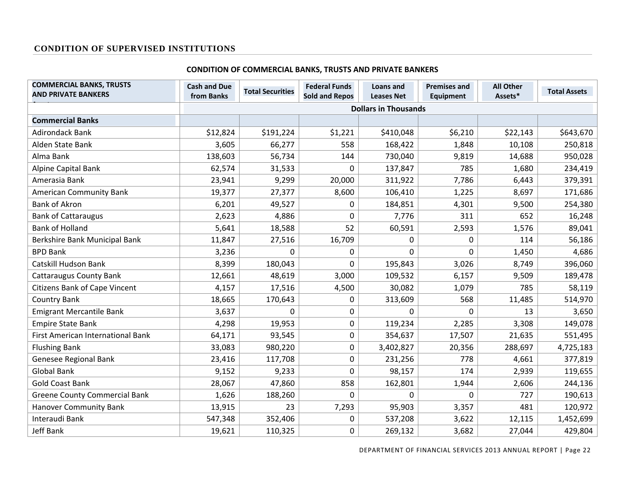#### **CONDITION OF SUPERVISED INSTITUTIONS**

#### **CONDITION OF COMMERCIAL BANKS, TRUSTS AND PRIVATE BANKERS**

| <b>COMMERCIAL BANKS, TRUSTS</b><br><b>AND PRIVATE BANKERS</b> | <b>Cash and Due</b><br>from Banks | <b>Total Securities</b> | <b>Federal Funds</b><br><b>Sold and Repos</b> | Loans and<br><b>Leases Net</b> | <b>Premises and</b><br><b>Equipment</b> | <b>All Other</b><br>Assets* | <b>Total Assets</b> |
|---------------------------------------------------------------|-----------------------------------|-------------------------|-----------------------------------------------|--------------------------------|-----------------------------------------|-----------------------------|---------------------|
|                                                               |                                   |                         |                                               | <b>Dollars in Thousands</b>    |                                         |                             |                     |
| <b>Commercial Banks</b>                                       |                                   |                         |                                               |                                |                                         |                             |                     |
| <b>Adirondack Bank</b>                                        | \$12,824                          | \$191,224               | \$1,221                                       | \$410,048                      | \$6,210                                 | \$22,143                    | \$643,670           |
| Alden State Bank                                              | 3,605                             | 66,277                  | 558                                           | 168,422                        | 1,848                                   | 10,108                      | 250,818             |
| Alma Bank                                                     | 138,603                           | 56,734                  | 144                                           | 730,040                        | 9,819                                   | 14,688                      | 950,028             |
| Alpine Capital Bank                                           | 62,574                            | 31,533                  | 0                                             | 137,847                        | 785                                     | 1,680                       | 234,419             |
| Amerasia Bank                                                 | 23,941                            | 9,299                   | 20,000                                        | 311,922                        | 7,786                                   | 6,443                       | 379,391             |
| <b>American Community Bank</b>                                | 19,377                            | 27,377                  | 8,600                                         | 106,410                        | 1,225                                   | 8,697                       | 171,686             |
| <b>Bank of Akron</b>                                          | 6,201                             | 49,527                  | 0                                             | 184,851                        | 4,301                                   | 9,500                       | 254,380             |
| <b>Bank of Cattaraugus</b>                                    | 2,623                             | 4,886                   | 0                                             | 7,776                          | 311                                     | 652                         | 16,248              |
| <b>Bank of Holland</b>                                        | 5,641                             | 18,588                  | 52                                            | 60,591                         | 2,593                                   | 1,576                       | 89,041              |
| Berkshire Bank Municipal Bank                                 | 11,847                            | 27,516                  | 16,709                                        | 0                              | 0                                       | 114                         | 56,186              |
| <b>BPD Bank</b>                                               | 3,236                             | 0                       | 0                                             | 0                              | 0                                       | 1,450                       | 4,686               |
| <b>Catskill Hudson Bank</b>                                   | 8,399                             | 180,043                 | 0                                             | 195,843                        | 3,026                                   | 8,749                       | 396,060             |
| <b>Cattaraugus County Bank</b>                                | 12,661                            | 48,619                  | 3,000                                         | 109,532                        | 6,157                                   | 9,509                       | 189,478             |
| <b>Citizens Bank of Cape Vincent</b>                          | 4,157                             | 17,516                  | 4,500                                         | 30,082                         | 1,079                                   | 785                         | 58,119              |
| <b>Country Bank</b>                                           | 18,665                            | 170,643                 | 0                                             | 313,609                        | 568                                     | 11,485                      | 514,970             |
| <b>Emigrant Mercantile Bank</b>                               | 3,637                             | 0                       | 0                                             | 0                              | $\Omega$                                | 13                          | 3,650               |
| <b>Empire State Bank</b>                                      | 4,298                             | 19,953                  | 0                                             | 119,234                        | 2,285                                   | 3,308                       | 149,078             |
| First American International Bank                             | 64,171                            | 93,545                  | 0                                             | 354,637                        | 17,507                                  | 21,635                      | 551,495             |
| <b>Flushing Bank</b>                                          | 33,083                            | 980,220                 | 0                                             | 3,402,827                      | 20,356                                  | 288,697                     | 4,725,183           |
| Genesee Regional Bank                                         | 23,416                            | 117,708                 | 0                                             | 231,256                        | 778                                     | 4,661                       | 377,819             |
| <b>Global Bank</b>                                            | 9,152                             | 9,233                   | 0                                             | 98,157                         | 174                                     | 2,939                       | 119,655             |
| <b>Gold Coast Bank</b>                                        | 28,067                            | 47,860                  | 858                                           | 162,801                        | 1,944                                   | 2,606                       | 244,136             |
| <b>Greene County Commercial Bank</b>                          | 1,626                             | 188,260                 | 0                                             | $\mathbf 0$                    | 0                                       | 727                         | 190,613             |
| <b>Hanover Community Bank</b>                                 | 13,915                            | 23                      | 7,293                                         | 95,903                         | 3,357                                   | 481                         | 120,972             |
| Interaudi Bank                                                | 547,348                           | 352,406                 | 0                                             | 537,208                        | 3,622                                   | 12,115                      | 1,452,699           |
| Jeff Bank                                                     | 19,621                            | 110,325                 | 0                                             | 269,132                        | 3,682                                   | 27,044                      | 429,804             |

DEPARTMENT OF FINANCIAL SERVICES 2013 ANNUAL REPORT | Page 22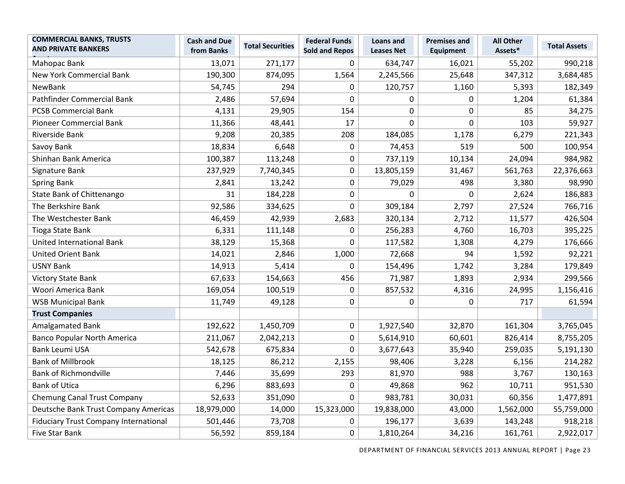| <b>COMMERCIAL BANKS, TRUSTS</b><br><b>AND PRIVATE BANKERS</b> | <b>Cash and Due</b><br>from Banks | <b>Total Securities</b> | <b>Federal Funds</b><br><b>Sold and Repos</b> | <b>Loans and</b><br><b>Leases Net</b> | <b>Premises and</b><br><b>Equipment</b> | <b>All Other</b><br>Assets* | <b>Total Assets</b> |
|---------------------------------------------------------------|-----------------------------------|-------------------------|-----------------------------------------------|---------------------------------------|-----------------------------------------|-----------------------------|---------------------|
| Mahopac Bank                                                  | 13,071                            | 271,177                 | 0                                             | 634,747                               | 16,021                                  | 55,202                      | 990,218             |
| <b>New York Commercial Bank</b>                               | 190,300                           | 874,095                 | 1,564                                         | 2,245,566                             | 25,648                                  | 347,312                     | 3,684,485           |
| NewBank                                                       | 54,745                            | 294                     | 0                                             | 120,757                               | 1,160                                   | 5,393                       | 182,349             |
| Pathfinder Commercial Bank                                    | 2,486                             | 57,694                  | 0                                             | 0                                     | $\mathbf 0$                             | 1,204                       | 61,384              |
| <b>PCSB Commercial Bank</b>                                   | 4,131                             | 29,905                  | 154                                           | $\boldsymbol{0}$                      | $\pmb{0}$                               | 85                          | 34,275              |
| <b>Pioneer Commercial Bank</b>                                | 11,366                            | 48,441                  | 17                                            | 0                                     | $\mathbf 0$                             | 103                         | 59,927              |
| Riverside Bank                                                | 9,208                             | 20,385                  | 208                                           | 184,085                               | 1,178                                   | 6,279                       | 221,343             |
| Savoy Bank                                                    | 18,834                            | 6,648                   | 0                                             | 74,453                                | 519                                     | 500                         | 100,954             |
| Shinhan Bank America                                          | 100,387                           | 113,248                 | 0                                             | 737,119                               | 10,134                                  | 24,094                      | 984,982             |
| Signature Bank                                                | 237,929                           | 7,740,345               | 0                                             | 13,805,159                            | 31,467                                  | 561,763                     | 22,376,663          |
| <b>Spring Bank</b>                                            | 2,841                             | 13,242                  | 0                                             | 79,029                                | 498                                     | 3,380                       | 98,990              |
| State Bank of Chittenango                                     | 31                                | 184,228                 | 0                                             | $\mathbf 0$                           | $\mathbf 0$                             | 2,624                       | 186,883             |
| The Berkshire Bank                                            | 92,586                            | 334,625                 | 0                                             | 309,184                               | 2,797                                   | 27,524                      | 766,716             |
| The Westchester Bank                                          | 46,459                            | 42,939                  | 2,683                                         | 320,134                               | 2,712                                   | 11,577                      | 426,504             |
| <b>Tioga State Bank</b>                                       | 6,331                             | 111,148                 | 0                                             | 256,283                               | 4,760                                   | 16,703                      | 395,225             |
| United International Bank                                     | 38,129                            | 15,368                  | 0                                             | 117,582                               | 1,308                                   | 4,279                       | 176,666             |
| <b>United Orient Bank</b>                                     | 14,021                            | 2,846                   | 1,000                                         | 72,668                                | 94                                      | 1,592                       | 92,221              |
| <b>USNY Bank</b>                                              | 14,913                            | 5,414                   | 0                                             | 154,496                               | 1,742                                   | 3,284                       | 179,849             |
| <b>Victory State Bank</b>                                     | 67,633                            | 154,663                 | 456                                           | 71,987                                | 1,893                                   | 2,934                       | 299,566             |
| Woori America Bank                                            | 169,054                           | 100,519                 | $\mathbf 0$                                   | 857,532                               | 4,316                                   | 24,995                      | 1,156,416           |
| <b>WSB Municipal Bank</b>                                     | 11,749                            | 49,128                  | 0                                             | 0                                     | 0                                       | 717                         | 61,594              |
| <b>Trust Companies</b>                                        |                                   |                         |                                               |                                       |                                         |                             |                     |
| Amalgamated Bank                                              | 192,622                           | 1,450,709               | 0                                             | 1,927,540                             | 32,870                                  | 161,304                     | 3,765,045           |
| <b>Banco Popular North America</b>                            | 211,067                           | 2,042,213               | 0                                             | 5,614,910                             | 60,601                                  | 826,414                     | 8,755,205           |
| <b>Bank Leumi USA</b>                                         | 542,678                           | 675,834                 | 0                                             | 3,677,643                             | 35,940                                  | 259,035                     | 5,191,130           |
| <b>Bank of Millbrook</b>                                      | 18,125                            | 86,212                  | 2,155                                         | 98,406                                | 3,228                                   | 6,156                       | 214,282             |
| <b>Bank of Richmondville</b>                                  | 7,446                             | 35,699                  | 293                                           | 81,970                                | 988                                     | 3,767                       | 130,163             |
| <b>Bank of Utica</b>                                          | 6,296                             | 883,693                 | 0                                             | 49,868                                | 962                                     | 10,711                      | 951,530             |
| <b>Chemung Canal Trust Company</b>                            | 52,633                            | 351,090                 | 0                                             | 983,781                               | 30,031                                  | 60,356                      | 1,477,891           |
| Deutsche Bank Trust Company Americas                          | 18,979,000                        | 14,000                  | 15,323,000                                    | 19,838,000                            | 43,000                                  | 1,562,000                   | 55,759,000          |
| <b>Fiduciary Trust Company International</b>                  | 501,446                           | 73,708                  | 0                                             | 196,177                               | 3,639                                   | 143,248                     | 918,218             |
| Five Star Bank                                                | 56,592                            | 859,184                 | 0                                             | 1,810,264                             | 34,216                                  | 161,761                     | 2,922,017           |

DEPARTMENT OF FINANCIAL SERVICES 2013 ANNUAL REPORT | Page 23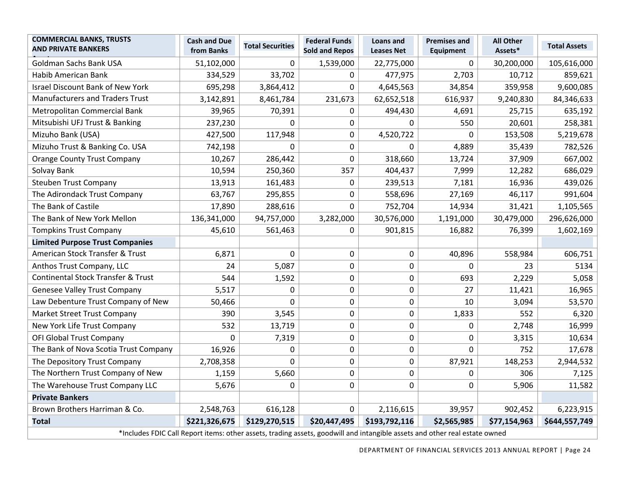| <b>COMMERCIAL BANKS, TRUSTS</b><br><b>AND PRIVATE BANKERS</b>                                                              | <b>Cash and Due</b><br>from Banks | <b>Total Securities</b> | <b>Federal Funds</b><br><b>Sold and Repos</b> | <b>Loans and</b><br><b>Leases Net</b> | <b>Premises and</b><br><b>Equipment</b> | <b>All Other</b><br>Assets* | <b>Total Assets</b> |
|----------------------------------------------------------------------------------------------------------------------------|-----------------------------------|-------------------------|-----------------------------------------------|---------------------------------------|-----------------------------------------|-----------------------------|---------------------|
| Goldman Sachs Bank USA                                                                                                     | 51,102,000                        | $\Omega$                | 1,539,000                                     | 22,775,000                            | $\mathbf{0}$                            | 30,200,000                  | 105,616,000         |
| <b>Habib American Bank</b>                                                                                                 | 334,529                           | 33,702                  | 0                                             | 477,975                               | 2,703                                   | 10,712                      | 859,621             |
| <b>Israel Discount Bank of New York</b>                                                                                    | 695,298                           | 3,864,412               | 0                                             | 4,645,563                             | 34,854                                  | 359,958                     | 9,600,085           |
| <b>Manufacturers and Traders Trust</b>                                                                                     | 3,142,891                         | 8,461,784               | 231,673                                       | 62,652,518                            | 616,937                                 | 9,240,830                   | 84,346,633          |
| Metropolitan Commercial Bank                                                                                               | 39,965                            | 70,391                  | 0                                             | 494,430                               | 4,691                                   | 25,715                      | 635,192             |
| Mitsubishi UFJ Trust & Banking                                                                                             | 237,230                           | $\Omega$                | 0                                             | $\mathbf 0$                           | 550                                     | 20,601                      | 258,381             |
| Mizuho Bank (USA)                                                                                                          | 427,500                           | 117,948                 | 0                                             | 4,520,722                             | $\Omega$                                | 153,508                     | 5,219,678           |
| Mizuho Trust & Banking Co. USA                                                                                             | 742,198                           | $\Omega$                | 0                                             | $\Omega$                              | 4,889                                   | 35,439                      | 782,526             |
| <b>Orange County Trust Company</b>                                                                                         | 10,267                            | 286,442                 | 0                                             | 318,660                               | 13,724                                  | 37,909                      | 667,002             |
| Solvay Bank                                                                                                                | 10,594                            | 250,360                 | 357                                           | 404,437                               | 7,999                                   | 12,282                      | 686,029             |
| <b>Steuben Trust Company</b>                                                                                               | 13,913                            | 161,483                 | $\pmb{0}$                                     | 239,513                               | 7,181                                   | 16,936                      | 439,026             |
| The Adirondack Trust Company                                                                                               | 63,767                            | 295,855                 | $\pmb{0}$                                     | 558,696                               | 27,169                                  | 46,117                      | 991,604             |
| The Bank of Castile                                                                                                        | 17,890                            | 288,616                 | 0                                             | 752,704                               | 14,934                                  | 31,421                      | 1,105,565           |
| The Bank of New York Mellon                                                                                                | 136,341,000                       | 94,757,000              | 3,282,000                                     | 30,576,000                            | 1,191,000                               | 30,479,000                  | 296,626,000         |
| <b>Tompkins Trust Company</b>                                                                                              | 45,610                            | 561,463                 | 0                                             | 901,815                               | 16,882                                  | 76,399                      | 1,602,169           |
| <b>Limited Purpose Trust Companies</b>                                                                                     |                                   |                         |                                               |                                       |                                         |                             |                     |
| American Stock Transfer & Trust                                                                                            | 6,871                             | $\mathbf 0$             | 0                                             | $\boldsymbol{0}$                      | 40,896                                  | 558,984                     | 606,751             |
| Anthos Trust Company, LLC                                                                                                  | 24                                | 5,087                   | 0                                             | 0                                     | $\mathbf{0}$                            | 23                          | 5134                |
| <b>Continental Stock Transfer &amp; Trust</b>                                                                              | 544                               | 1,592                   | 0                                             | 0                                     | 693                                     | 2,229                       | 5,058               |
| <b>Genesee Valley Trust Company</b>                                                                                        | 5,517                             | $\mathbf 0$             | 0                                             | $\boldsymbol{0}$                      | 27                                      | 11,421                      | 16,965              |
| Law Debenture Trust Company of New                                                                                         | 50,466                            | $\Omega$                | 0                                             | 0                                     | 10                                      | 3,094                       | 53,570              |
| <b>Market Street Trust Company</b>                                                                                         | 390                               | 3,545                   | 0                                             | 0                                     | 1,833                                   | 552                         | 6,320               |
| New York Life Trust Company                                                                                                | 532                               | 13,719                  | 0                                             | $\pmb{0}$                             | 0                                       | 2,748                       | 16,999              |
| <b>OFI Global Trust Company</b>                                                                                            | $\Omega$                          | 7,319                   | 0                                             | 0                                     | $\mathbf 0$                             | 3,315                       | 10,634              |
| The Bank of Nova Scotia Trust Company                                                                                      | 16,926                            | $\Omega$                | 0                                             | $\boldsymbol{0}$                      | $\mathbf{0}$                            | 752                         | 17,678              |
| The Depository Trust Company                                                                                               | 2,708,358                         | $\mathbf 0$             | 0                                             | $\boldsymbol{0}$                      | 87,921                                  | 148,253                     | 2,944,532           |
| The Northern Trust Company of New                                                                                          | 1,159                             | 5,660                   | 0                                             | $\boldsymbol{0}$                      | $\mathbf 0$                             | 306                         | 7,125               |
| The Warehouse Trust Company LLC                                                                                            | 5,676                             | 0                       | 0                                             | 0                                     | 0                                       | 5,906                       | 11,582              |
| <b>Private Bankers</b>                                                                                                     |                                   |                         |                                               |                                       |                                         |                             |                     |
| Brown Brothers Harriman & Co.                                                                                              | 2,548,763                         | 616,128                 | $\mathbf{0}$                                  | 2,116,615                             | 39,957                                  | 902,452                     | 6,223,915           |
| <b>Total</b>                                                                                                               | \$221,326,675                     | \$129,270,515           | \$20,447,495                                  | \$193,792,116                         | \$2,565,985                             | \$77,154,963                | \$644,557,749       |
| *Includes FDIC Call Report items: other assets, trading assets, goodwill and intangible assets and other real estate owned |                                   |                         |                                               |                                       |                                         |                             |                     |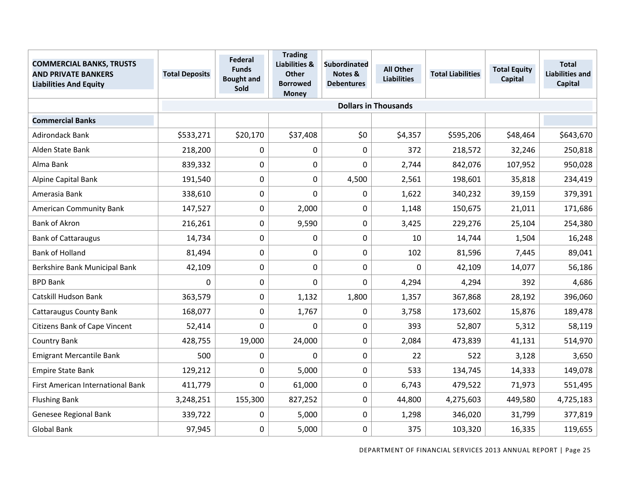| <b>COMMERCIAL BANKS, TRUSTS</b><br><b>AND PRIVATE BANKERS</b><br><b>Liabilities And Equity</b> | <b>Total Deposits</b> | <b>Federal</b><br><b>Funds</b><br><b>Bought and</b><br>Sold | <b>Trading</b><br><b>Liabilities &amp;</b><br><b>Other</b><br><b>Borrowed</b><br><b>Money</b> | <b>Subordinated</b><br>Notes &<br><b>Debentures</b> | <b>All Other</b><br><b>Liabilities</b> | <b>Total Liabilities</b> | <b>Total Equity</b><br><b>Capital</b> | <b>Total</b><br><b>Liabilities and</b><br>Capital |
|------------------------------------------------------------------------------------------------|-----------------------|-------------------------------------------------------------|-----------------------------------------------------------------------------------------------|-----------------------------------------------------|----------------------------------------|--------------------------|---------------------------------------|---------------------------------------------------|
|                                                                                                |                       |                                                             |                                                                                               |                                                     | <b>Dollars in Thousands</b>            |                          |                                       |                                                   |
| <b>Commercial Banks</b>                                                                        |                       |                                                             |                                                                                               |                                                     |                                        |                          |                                       |                                                   |
| <b>Adirondack Bank</b>                                                                         | \$533,271             | \$20,170                                                    | \$37,408                                                                                      | \$0                                                 | \$4,357                                | \$595,206                | \$48,464                              | \$643,670                                         |
| Alden State Bank                                                                               | 218,200               | 0                                                           | $\Omega$                                                                                      | 0                                                   | 372                                    | 218,572                  | 32,246                                | 250,818                                           |
| Alma Bank                                                                                      | 839,332               | $\boldsymbol{0}$                                            | 0                                                                                             | 0                                                   | 2,744                                  | 842,076                  | 107,952                               | 950,028                                           |
| Alpine Capital Bank                                                                            | 191,540               | $\mathbf 0$                                                 | 0                                                                                             | 4,500                                               | 2,561                                  | 198,601                  | 35,818                                | 234,419                                           |
| Amerasia Bank                                                                                  | 338,610               | $\pmb{0}$                                                   | 0                                                                                             | 0                                                   | 1,622                                  | 340,232                  | 39,159                                | 379,391                                           |
| <b>American Community Bank</b>                                                                 | 147,527               | 0                                                           | 2,000                                                                                         | 0                                                   | 1,148                                  | 150,675                  | 21,011                                | 171,686                                           |
| <b>Bank of Akron</b>                                                                           | 216,261               | $\mathbf 0$                                                 | 9,590                                                                                         | 0                                                   | 3,425                                  | 229,276                  | 25,104                                | 254,380                                           |
| <b>Bank of Cattaraugus</b>                                                                     | 14,734                | $\boldsymbol{0}$                                            | $\mathbf 0$                                                                                   | 0                                                   | 10                                     | 14,744                   | 1,504                                 | 16,248                                            |
| <b>Bank of Holland</b>                                                                         | 81,494                | $\boldsymbol{0}$                                            | 0                                                                                             | 0                                                   | 102                                    | 81,596                   | 7,445                                 | 89,041                                            |
| Berkshire Bank Municipal Bank                                                                  | 42,109                | $\mathbf 0$                                                 | $\mathbf 0$                                                                                   | $\pmb{0}$                                           | $\mathbf 0$                            | 42,109                   | 14,077                                | 56,186                                            |
| <b>BPD Bank</b>                                                                                | 0                     | $\mathbf 0$                                                 | 0                                                                                             | 0                                                   | 4,294                                  | 4,294                    | 392                                   | 4,686                                             |
| Catskill Hudson Bank                                                                           | 363,579               | 0                                                           | 1,132                                                                                         | 1,800                                               | 1,357                                  | 367,868                  | 28,192                                | 396,060                                           |
| <b>Cattaraugus County Bank</b>                                                                 | 168,077               | $\mathbf 0$                                                 | 1,767                                                                                         | 0                                                   | 3,758                                  | 173,602                  | 15,876                                | 189,478                                           |
| Citizens Bank of Cape Vincent                                                                  | 52,414                | 0                                                           | $\mathbf 0$                                                                                   | 0                                                   | 393                                    | 52,807                   | 5,312                                 | 58,119                                            |
| Country Bank                                                                                   | 428,755               | 19,000                                                      | 24,000                                                                                        | 0                                                   | 2,084                                  | 473,839                  | 41,131                                | 514,970                                           |
| <b>Emigrant Mercantile Bank</b>                                                                | 500                   | 0                                                           | $\Omega$                                                                                      | 0                                                   | 22                                     | 522                      | 3,128                                 | 3,650                                             |
| <b>Empire State Bank</b>                                                                       | 129,212               | $\mathbf 0$                                                 | 5,000                                                                                         | 0                                                   | 533                                    | 134,745                  | 14,333                                | 149,078                                           |
| First American International Bank                                                              | 411,779               | 0                                                           | 61,000                                                                                        | 0                                                   | 6,743                                  | 479,522                  | 71,973                                | 551,495                                           |
| <b>Flushing Bank</b>                                                                           | 3,248,251             | 155,300                                                     | 827,252                                                                                       | $\pmb{0}$                                           | 44,800                                 | 4,275,603                | 449,580                               | 4,725,183                                         |
| Genesee Regional Bank                                                                          | 339,722               | $\mathbf 0$                                                 | 5,000                                                                                         | 0                                                   | 1,298                                  | 346,020                  | 31,799                                | 377,819                                           |
| <b>Global Bank</b>                                                                             | 97,945                | 0                                                           | 5,000                                                                                         | $\pmb{0}$                                           | 375                                    | 103,320                  | 16,335                                | 119,655                                           |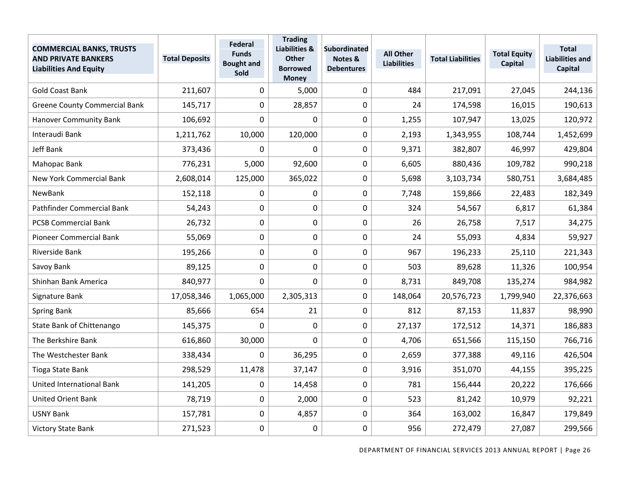| <b>COMMERCIAL BANKS, TRUSTS</b><br><b>AND PRIVATE BANKERS</b><br><b>Liabilities And Equity</b> | <b>Total Deposits</b> | Federal<br><b>Funds</b><br><b>Bought and</b><br>Sold | <b>Trading</b><br><b>Liabilities &amp;</b><br><b>Other</b><br><b>Borrowed</b><br><b>Money</b> | <b>Subordinated</b><br>Notes &<br><b>Debentures</b> | <b>All Other</b><br><b>Liabilities</b> | <b>Total Liabilities</b> | <b>Total Equity</b><br>Capital | <b>Total</b><br><b>Liabilities and</b><br>Capital |
|------------------------------------------------------------------------------------------------|-----------------------|------------------------------------------------------|-----------------------------------------------------------------------------------------------|-----------------------------------------------------|----------------------------------------|--------------------------|--------------------------------|---------------------------------------------------|
| <b>Gold Coast Bank</b>                                                                         | 211,607               | 0                                                    | 5,000                                                                                         | 0                                                   | 484                                    | 217,091                  | 27,045                         | 244,136                                           |
| <b>Greene County Commercial Bank</b>                                                           | 145,717               | $\mathbf 0$                                          | 28,857                                                                                        | 0                                                   | 24                                     | 174,598                  | 16,015                         | 190,613                                           |
| <b>Hanover Community Bank</b>                                                                  | 106,692               | 0                                                    | 0                                                                                             | 0                                                   | 1,255                                  | 107,947                  | 13,025                         | 120,972                                           |
| Interaudi Bank                                                                                 | 1,211,762             | 10,000                                               | 120,000                                                                                       | 0                                                   | 2,193                                  | 1,343,955                | 108,744                        | 1,452,699                                         |
| Jeff Bank                                                                                      | 373,436               | 0                                                    | $\Omega$                                                                                      | 0                                                   | 9,371                                  | 382,807                  | 46,997                         | 429,804                                           |
| Mahopac Bank                                                                                   | 776,231               | 5,000                                                | 92,600                                                                                        | $\pmb{0}$                                           | 6,605                                  | 880,436                  | 109,782                        | 990,218                                           |
| <b>New York Commercial Bank</b>                                                                | 2,608,014             | 125,000                                              | 365,022                                                                                       | 0                                                   | 5,698                                  | 3,103,734                | 580,751                        | 3,684,485                                         |
| NewBank                                                                                        | 152,118               | 0                                                    | 0                                                                                             | 0                                                   | 7,748                                  | 159,866                  | 22,483                         | 182,349                                           |
| Pathfinder Commercial Bank                                                                     | 54,243                | $\mathbf 0$                                          | 0                                                                                             | 0                                                   | 324                                    | 54,567                   | 6,817                          | 61,384                                            |
| <b>PCSB Commercial Bank</b>                                                                    | 26,732                | $\boldsymbol{0}$                                     | 0                                                                                             | $\pmb{0}$                                           | 26                                     | 26,758                   | 7,517                          | 34,275                                            |
| Pioneer Commercial Bank                                                                        | 55,069                | 0                                                    | 0                                                                                             | 0                                                   | 24                                     | 55,093                   | 4,834                          | 59,927                                            |
| Riverside Bank                                                                                 | 195,266               | $\mathbf 0$                                          | 0                                                                                             | 0                                                   | 967                                    | 196,233                  | 25,110                         | 221,343                                           |
| Savoy Bank                                                                                     | 89,125                | 0                                                    | 0                                                                                             | 0                                                   | 503                                    | 89,628                   | 11,326                         | 100,954                                           |
| Shinhan Bank America                                                                           | 840,977               | 0                                                    | 0                                                                                             | $\pmb{0}$                                           | 8,731                                  | 849,708                  | 135,274                        | 984,982                                           |
| Signature Bank                                                                                 | 17,058,346            | 1,065,000                                            | 2,305,313                                                                                     | 0                                                   | 148,064                                | 20,576,723               | 1,799,940                      | 22,376,663                                        |
| Spring Bank                                                                                    | 85,666                | 654                                                  | 21                                                                                            | 0                                                   | 812                                    | 87,153                   | 11,837                         | 98,990                                            |
| State Bank of Chittenango                                                                      | 145,375               | 0                                                    | $\mathbf 0$                                                                                   | 0                                                   | 27,137                                 | 172,512                  | 14,371                         | 186,883                                           |
| The Berkshire Bank                                                                             | 616,860               | 30,000                                               | 0                                                                                             | $\pmb{0}$                                           | 4,706                                  | 651,566                  | 115,150                        | 766,716                                           |
| The Westchester Bank                                                                           | 338,434               | $\mathbf 0$                                          | 36,295                                                                                        | $\pmb{0}$                                           | 2,659                                  | 377,388                  | 49,116                         | 426,504                                           |
| Tioga State Bank                                                                               | 298,529               | 11,478                                               | 37,147                                                                                        | 0                                                   | 3,916                                  | 351,070                  | 44,155                         | 395,225                                           |
| United International Bank                                                                      | 141,205               | 0                                                    | 14,458                                                                                        | 0                                                   | 781                                    | 156,444                  | 20,222                         | 176,666                                           |
| <b>United Orient Bank</b>                                                                      | 78,719                | 0                                                    | 2,000                                                                                         | $\pmb{0}$                                           | 523                                    | 81,242                   | 10,979                         | 92,221                                            |
| <b>USNY Bank</b>                                                                               | 157,781               | $\boldsymbol{0}$                                     | 4,857                                                                                         | 0                                                   | 364                                    | 163,002                  | 16,847                         | 179,849                                           |
| Victory State Bank                                                                             | 271,523               | 0                                                    | $\boldsymbol{0}$                                                                              | 0                                                   | 956                                    | 272,479                  | 27,087                         | 299,566                                           |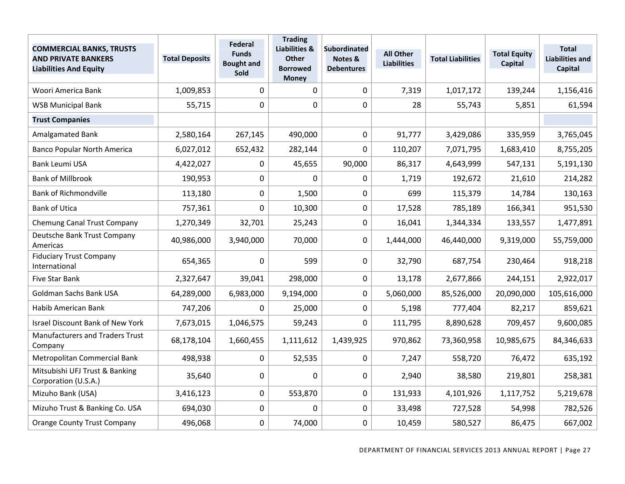| <b>COMMERCIAL BANKS, TRUSTS</b><br><b>AND PRIVATE BANKERS</b><br><b>Liabilities And Equity</b> | <b>Total Deposits</b> | Federal<br><b>Funds</b><br><b>Bought and</b><br>Sold | <b>Trading</b><br><b>Liabilities &amp;</b><br><b>Other</b><br><b>Borrowed</b><br><b>Money</b> | <b>Subordinated</b><br>Notes &<br><b>Debentures</b> | <b>All Other</b><br><b>Liabilities</b> | <b>Total Liabilities</b> | <b>Total Equity</b><br>Capital | <b>Total</b><br><b>Liabilities and</b><br><b>Capital</b> |
|------------------------------------------------------------------------------------------------|-----------------------|------------------------------------------------------|-----------------------------------------------------------------------------------------------|-----------------------------------------------------|----------------------------------------|--------------------------|--------------------------------|----------------------------------------------------------|
| Woori America Bank                                                                             | 1,009,853             | $\mathbf 0$                                          | $\mathbf 0$                                                                                   | $\mathbf 0$                                         | 7,319                                  | 1,017,172                | 139,244                        | 1,156,416                                                |
| <b>WSB Municipal Bank</b>                                                                      | 55,715                | $\mathbf 0$                                          | $\Omega$                                                                                      | 0                                                   | 28                                     | 55,743                   | 5,851                          | 61,594                                                   |
| <b>Trust Companies</b>                                                                         |                       |                                                      |                                                                                               |                                                     |                                        |                          |                                |                                                          |
| Amalgamated Bank                                                                               | 2,580,164             | 267,145                                              | 490,000                                                                                       | 0                                                   | 91,777                                 | 3,429,086                | 335,959                        | 3,765,045                                                |
| <b>Banco Popular North America</b>                                                             | 6,027,012             | 652,432                                              | 282,144                                                                                       | 0                                                   | 110,207                                | 7,071,795                | 1,683,410                      | 8,755,205                                                |
| <b>Bank Leumi USA</b>                                                                          | 4,422,027             | 0                                                    | 45,655                                                                                        | 90,000                                              | 86,317                                 | 4,643,999                | 547,131                        | 5,191,130                                                |
| <b>Bank of Millbrook</b>                                                                       | 190,953               | $\mathbf 0$                                          | $\Omega$                                                                                      | 0                                                   | 1,719                                  | 192,672                  | 21,610                         | 214,282                                                  |
| <b>Bank of Richmondville</b>                                                                   | 113,180               | $\pmb{0}$                                            | 1,500                                                                                         | $\mathbf 0$                                         | 699                                    | 115,379                  | 14,784                         | 130,163                                                  |
| <b>Bank of Utica</b>                                                                           | 757,361               | $\mathbf 0$                                          | 10,300                                                                                        | 0                                                   | 17,528                                 | 785,189                  | 166,341                        | 951,530                                                  |
| Chemung Canal Trust Company                                                                    | 1,270,349             | 32,701                                               | 25,243                                                                                        | $\mathbf 0$                                         | 16,041                                 | 1,344,334                | 133,557                        | 1,477,891                                                |
| Deutsche Bank Trust Company<br>Americas                                                        | 40,986,000            | 3,940,000                                            | 70,000                                                                                        | 0                                                   | 1,444,000                              | 46,440,000               | 9,319,000                      | 55,759,000                                               |
| <b>Fiduciary Trust Company</b><br>International                                                | 654,365               | $\mathbf 0$                                          | 599                                                                                           | 0                                                   | 32,790                                 | 687,754                  | 230,464                        | 918,218                                                  |
| Five Star Bank                                                                                 | 2,327,647             | 39,041                                               | 298,000                                                                                       | 0                                                   | 13,178                                 | 2,677,866                | 244,151                        | 2,922,017                                                |
| Goldman Sachs Bank USA                                                                         | 64,289,000            | 6,983,000                                            | 9,194,000                                                                                     | $\mathbf 0$                                         | 5,060,000                              | 85,526,000               | 20,090,000                     | 105,616,000                                              |
| Habib American Bank                                                                            | 747,206               | 0                                                    | 25,000                                                                                        | 0                                                   | 5,198                                  | 777,404                  | 82,217                         | 859,621                                                  |
| <b>Israel Discount Bank of New York</b>                                                        | 7,673,015             | 1,046,575                                            | 59,243                                                                                        | 0                                                   | 111,795                                | 8,890,628                | 709,457                        | 9,600,085                                                |
| <b>Manufacturers and Traders Trust</b><br>Company                                              | 68,178,104            | 1,660,455                                            | 1,111,612                                                                                     | 1,439,925                                           | 970,862                                | 73,360,958               | 10,985,675                     | 84,346,633                                               |
| Metropolitan Commercial Bank                                                                   | 498,938               | $\mathbf 0$                                          | 52,535                                                                                        | 0                                                   | 7,247                                  | 558,720                  | 76,472                         | 635,192                                                  |
| Mitsubishi UFJ Trust & Banking<br>Corporation (U.S.A.)                                         | 35,640                | $\mathbf 0$                                          | $\mathbf{0}$                                                                                  | $\mathbf 0$                                         | 2,940                                  | 38,580                   | 219,801                        | 258,381                                                  |
| Mizuho Bank (USA)                                                                              | 3,416,123             | $\mathbf 0$                                          | 553,870                                                                                       | $\pmb{0}$                                           | 131,933                                | 4,101,926                | 1,117,752                      | 5,219,678                                                |
| Mizuho Trust & Banking Co. USA                                                                 | 694,030               | $\mathbf 0$                                          | $\mathbf 0$                                                                                   | $\mathbf 0$                                         | 33,498                                 | 727,528                  | 54,998                         | 782,526                                                  |
| <b>Orange County Trust Company</b>                                                             | 496,068               | 0                                                    | 74,000                                                                                        | 0                                                   | 10,459                                 | 580,527                  | 86,475                         | 667,002                                                  |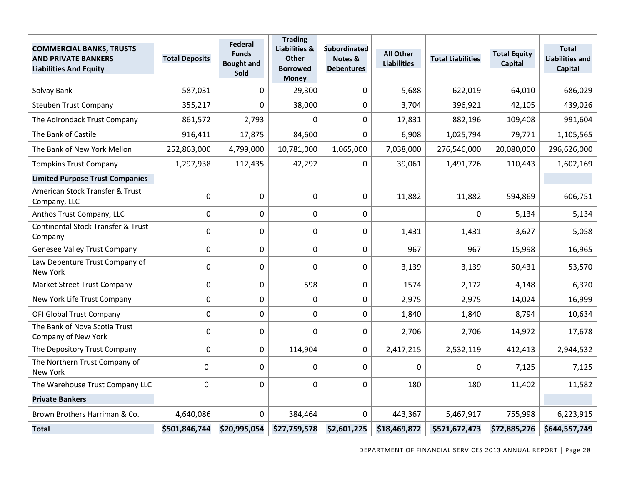| <b>COMMERCIAL BANKS, TRUSTS</b><br><b>AND PRIVATE BANKERS</b><br><b>Liabilities And Equity</b> | <b>Total Deposits</b> | Federal<br><b>Funds</b><br><b>Bought and</b><br>Sold | <b>Trading</b><br><b>Liabilities &amp;</b><br><b>Other</b><br><b>Borrowed</b><br><b>Money</b> | <b>Subordinated</b><br>Notes &<br><b>Debentures</b> | <b>All Other</b><br><b>Liabilities</b> | <b>Total Liabilities</b> | <b>Total Equity</b><br>Capital | <b>Total</b><br><b>Liabilities and</b><br>Capital |
|------------------------------------------------------------------------------------------------|-----------------------|------------------------------------------------------|-----------------------------------------------------------------------------------------------|-----------------------------------------------------|----------------------------------------|--------------------------|--------------------------------|---------------------------------------------------|
| Solvay Bank                                                                                    | 587,031               | 0                                                    | 29,300                                                                                        | 0                                                   | 5,688                                  | 622,019                  | 64,010                         | 686,029                                           |
| <b>Steuben Trust Company</b>                                                                   | 355,217               | $\mathbf 0$                                          | 38,000                                                                                        | 0                                                   | 3,704                                  | 396,921                  | 42,105                         | 439,026                                           |
| The Adirondack Trust Company                                                                   | 861,572               | 2,793                                                | 0                                                                                             | $\pmb{0}$                                           | 17,831                                 | 882,196                  | 109,408                        | 991,604                                           |
| The Bank of Castile                                                                            | 916,411               | 17,875                                               | 84,600                                                                                        | 0                                                   | 6,908                                  | 1,025,794                | 79,771                         | 1,105,565                                         |
| The Bank of New York Mellon                                                                    | 252,863,000           | 4,799,000                                            | 10,781,000                                                                                    | 1,065,000                                           | 7,038,000                              | 276,546,000              | 20,080,000                     | 296,626,000                                       |
| <b>Tompkins Trust Company</b>                                                                  | 1,297,938             | 112,435                                              | 42,292                                                                                        | 0                                                   | 39,061                                 | 1,491,726                | 110,443                        | 1,602,169                                         |
| <b>Limited Purpose Trust Companies</b>                                                         |                       |                                                      |                                                                                               |                                                     |                                        |                          |                                |                                                   |
| American Stock Transfer & Trust<br>Company, LLC                                                | $\mathbf 0$           | $\mathbf 0$                                          | $\pmb{0}$                                                                                     | $\mathbf 0$                                         | 11,882                                 | 11,882                   | 594,869                        | 606,751                                           |
| Anthos Trust Company, LLC                                                                      | 0                     | $\mathbf 0$                                          | $\overline{0}$                                                                                | 0                                                   |                                        | 0                        | 5,134                          | 5,134                                             |
| <b>Continental Stock Transfer &amp; Trust</b><br>Company                                       | 0                     | 0                                                    | 0                                                                                             | 0                                                   | 1,431                                  | 1,431                    | 3,627                          | 5,058                                             |
| Genesee Valley Trust Company                                                                   | $\mathbf 0$           | $\mathbf 0$                                          | $\mathbf 0$                                                                                   | $\mathbf 0$                                         | 967                                    | 967                      | 15,998                         | 16,965                                            |
| Law Debenture Trust Company of<br><b>New York</b>                                              | 0                     | $\mathbf 0$                                          | $\Omega$                                                                                      | 0                                                   | 3,139                                  | 3,139                    | 50,431                         | 53,570                                            |
| Market Street Trust Company                                                                    | $\overline{0}$        | $\overline{0}$                                       | 598                                                                                           | 0                                                   | 1574                                   | 2,172                    | 4,148                          | 6,320                                             |
| New York Life Trust Company                                                                    | 0                     | 0                                                    | $\mathbf 0$                                                                                   | 0                                                   | 2,975                                  | 2,975                    | 14,024                         | 16,999                                            |
| OFI Global Trust Company                                                                       | $\mathbf 0$           | $\mathbf 0$                                          | 0                                                                                             | 0                                                   | 1,840                                  | 1,840                    | 8,794                          | 10,634                                            |
| The Bank of Nova Scotia Trust<br>Company of New York                                           | 0                     | $\mathbf 0$                                          | 0                                                                                             | $\mathbf 0$                                         | 2,706                                  | 2,706                    | 14,972                         | 17,678                                            |
| The Depository Trust Company                                                                   | 0                     | 0                                                    | 114,904                                                                                       | 0                                                   | 2,417,215                              | 2,532,119                | 412,413                        | 2,944,532                                         |
| The Northern Trust Company of<br>New York                                                      | $\Omega$              | $\mathbf 0$                                          | 0                                                                                             | 0                                                   | $\mathbf 0$                            | 0                        | 7,125                          | 7,125                                             |
| The Warehouse Trust Company LLC                                                                | $\mathbf 0$           | $\mathbf 0$                                          | 0                                                                                             | 0                                                   | 180                                    | 180                      | 11,402                         | 11,582                                            |
| <b>Private Bankers</b>                                                                         |                       |                                                      |                                                                                               |                                                     |                                        |                          |                                |                                                   |
| Brown Brothers Harriman & Co.                                                                  | 4,640,086             | $\Omega$                                             | 384,464                                                                                       | 0                                                   | 443,367                                | 5,467,917                | 755,998                        | 6,223,915                                         |
| <b>Total</b>                                                                                   | \$501,846,744         | \$20,995,054                                         | \$27,759,578                                                                                  | \$2,601,225                                         | \$18,469,872                           | \$571,672,473            | \$72,885,276                   | \$644,557,749                                     |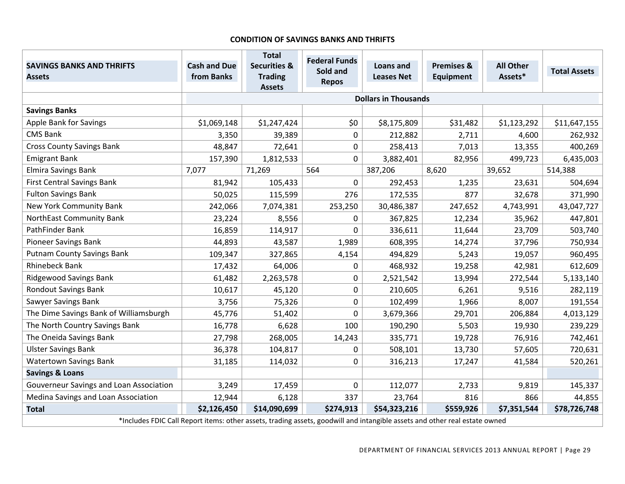#### **CONDITION OF SAVINGS BANKS AND THRIFTS**

| <b>SAVINGS BANKS AND THRIFTS</b><br><b>Assets</b>                                                                          | <b>Cash and Due</b><br>from Banks | <b>Total</b><br><b>Securities &amp;</b><br><b>Trading</b> | <b>Federal Funds</b><br>Sold and<br><b>Repos</b> | <b>Loans and</b><br><b>Leases Net</b> | <b>Premises &amp;</b><br>Equipment | <b>All Other</b><br>Assets* | <b>Total Assets</b> |
|----------------------------------------------------------------------------------------------------------------------------|-----------------------------------|-----------------------------------------------------------|--------------------------------------------------|---------------------------------------|------------------------------------|-----------------------------|---------------------|
|                                                                                                                            |                                   | <b>Assets</b>                                             |                                                  | <b>Dollars in Thousands</b>           |                                    |                             |                     |
| <b>Savings Banks</b>                                                                                                       |                                   |                                                           |                                                  |                                       |                                    |                             |                     |
| Apple Bank for Savings                                                                                                     | \$1,069,148                       | \$1,247,424                                               | \$0                                              | \$8,175,809                           | \$31,482                           | \$1,123,292                 | \$11,647,155        |
| <b>CMS Bank</b>                                                                                                            | 3,350                             | 39,389                                                    | 0                                                | 212,882                               | 2,711                              | 4,600                       | 262,932             |
| <b>Cross County Savings Bank</b>                                                                                           | 48,847                            | 72,641                                                    | $\Omega$                                         | 258,413                               | 7,013                              | 13,355                      | 400,269             |
| <b>Emigrant Bank</b>                                                                                                       | 157,390                           | 1,812,533                                                 | $\Omega$                                         | 3,882,401                             | 82,956                             | 499,723                     | 6,435,003           |
| Elmira Savings Bank                                                                                                        | 7,077                             | 71,269                                                    | 564                                              | 387,206                               | 8,620                              | 39,652                      | 514,388             |
| <b>First Central Savings Bank</b>                                                                                          | 81,942                            | 105,433                                                   | 0                                                | 292,453                               | 1,235                              | 23,631                      | 504,694             |
| <b>Fulton Savings Bank</b>                                                                                                 | 50,025                            | 115,599                                                   | 276                                              | 172,535                               | 877                                | 32,678                      | 371,990             |
| New York Community Bank                                                                                                    | 242,066                           | 7,074,381                                                 | 253,250                                          | 30,486,387                            | 247,652                            | 4,743,991                   | 43,047,727          |
| <b>NorthEast Community Bank</b>                                                                                            | 23,224                            | 8,556                                                     | 0                                                | 367,825                               | 12,234                             | 35,962                      | 447,801             |
| PathFinder Bank                                                                                                            | 16,859                            | 114,917                                                   | 0                                                | 336,611                               | 11,644                             | 23,709                      | 503,740             |
| <b>Pioneer Savings Bank</b>                                                                                                | 44,893                            | 43,587                                                    | 1,989                                            | 608,395                               | 14,274                             | 37,796                      | 750,934             |
| <b>Putnam County Savings Bank</b>                                                                                          | 109,347                           | 327,865                                                   | 4,154                                            | 494,829                               | 5,243                              | 19,057                      | 960,495             |
| <b>Rhinebeck Bank</b>                                                                                                      | 17,432                            | 64,006                                                    | 0                                                | 468,932                               | 19,258                             | 42,981                      | 612,609             |
| <b>Ridgewood Savings Bank</b>                                                                                              | 61,482                            | 2,263,578                                                 | 0                                                | 2,521,542                             | 13,994                             | 272,544                     | 5,133,140           |
| <b>Rondout Savings Bank</b>                                                                                                | 10,617                            | 45,120                                                    | 0                                                | 210,605                               | 6,261                              | 9,516                       | 282,119             |
| Sawyer Savings Bank                                                                                                        | 3,756                             | 75,326                                                    | 0                                                | 102,499                               | 1,966                              | 8,007                       | 191,554             |
| The Dime Savings Bank of Williamsburgh                                                                                     | 45,776                            | 51,402                                                    | 0                                                | 3,679,366                             | 29,701                             | 206,884                     | 4,013,129           |
| The North Country Savings Bank                                                                                             | 16,778                            | 6,628                                                     | 100                                              | 190,290                               | 5,503                              | 19,930                      | 239,229             |
| The Oneida Savings Bank                                                                                                    | 27,798                            | 268,005                                                   | 14,243                                           | 335,771                               | 19,728                             | 76,916                      | 742,461             |
| <b>Ulster Savings Bank</b>                                                                                                 | 36,378                            | 104,817                                                   | 0                                                | 508,101                               | 13,730                             | 57,605                      | 720,631             |
| <b>Watertown Savings Bank</b>                                                                                              | 31,185                            | 114,032                                                   | 0                                                | 316,213                               | 17,247                             | 41,584                      | 520,261             |
| <b>Savings &amp; Loans</b>                                                                                                 |                                   |                                                           |                                                  |                                       |                                    |                             |                     |
| Gouverneur Savings and Loan Association                                                                                    | 3,249                             | 17,459                                                    | 0                                                | 112,077                               | 2,733                              | 9,819                       | 145,337             |
| Medina Savings and Loan Association                                                                                        | 12,944                            | 6,128                                                     | 337                                              | 23,764                                | 816                                | 866                         | 44,855              |
| <b>Total</b>                                                                                                               | \$2,126,450                       | \$14,090,699                                              | \$274,913                                        | \$54,323,216                          | \$559,926                          | \$7,351,544                 | \$78,726,748        |
| *Includes FDIC Call Report items: other assets, trading assets, goodwill and intangible assets and other real estate owned |                                   |                                                           |                                                  |                                       |                                    |                             |                     |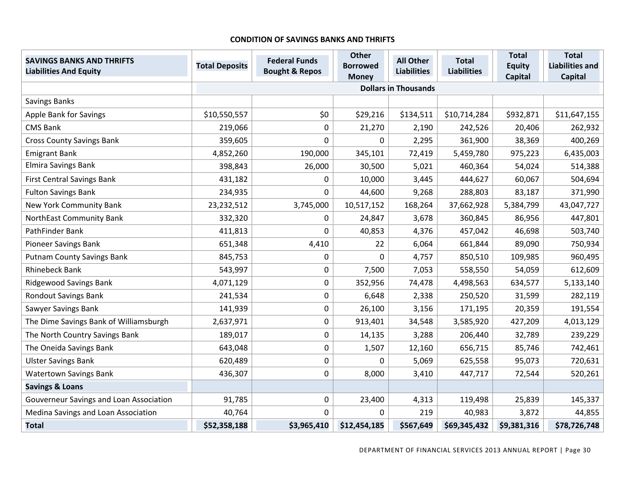#### **CONDITION OF SAVINGS BANKS AND THRIFTS**

| <b>SAVINGS BANKS AND THRIFTS</b><br><b>Liabilities And Equity</b> | <b>Total Deposits</b> | <b>Federal Funds</b><br><b>Bought &amp; Repos</b> | <b>Other</b><br><b>Borrowed</b> | <b>All Other</b><br><b>Liabilities</b> | <b>Total</b><br><b>Liabilities</b> | <b>Total</b><br><b>Equity</b> | <b>Total</b><br><b>Liabilities and</b> |
|-------------------------------------------------------------------|-----------------------|---------------------------------------------------|---------------------------------|----------------------------------------|------------------------------------|-------------------------------|----------------------------------------|
|                                                                   |                       |                                                   | <b>Money</b>                    |                                        |                                    | <b>Capital</b>                | <b>Capital</b>                         |
|                                                                   |                       |                                                   |                                 | <b>Dollars in Thousands</b>            |                                    |                               |                                        |
| Savings Banks                                                     |                       |                                                   |                                 |                                        |                                    |                               |                                        |
| <b>Apple Bank for Savings</b>                                     | \$10,550,557          | \$0                                               | \$29,216                        | \$134,511                              | \$10,714,284                       | \$932,871                     | \$11,647,155                           |
| <b>CMS Bank</b>                                                   | 219,066               | 0                                                 | 21,270                          | 2,190                                  | 242,526                            | 20,406                        | 262,932                                |
| <b>Cross County Savings Bank</b>                                  | 359,605               | $\overline{0}$                                    | 0                               | 2,295                                  | 361,900                            | 38,369                        | 400,269                                |
| <b>Emigrant Bank</b>                                              | 4,852,260             | 190,000                                           | 345,101                         | 72,419                                 | 5,459,780                          | 975,223                       | 6,435,003                              |
| Elmira Savings Bank                                               | 398,843               | 26,000                                            | 30,500                          | 5,021                                  | 460,364                            | 54,024                        | 514,388                                |
| <b>First Central Savings Bank</b>                                 | 431,182               | 0                                                 | 10,000                          | 3,445                                  | 444,627                            | 60,067                        | 504,694                                |
| <b>Fulton Savings Bank</b>                                        | 234,935               | $\mathbf 0$                                       | 44,600                          | 9,268                                  | 288,803                            | 83,187                        | 371,990                                |
| New York Community Bank                                           | 23, 232, 512          | 3,745,000                                         | 10,517,152                      | 168,264                                | 37,662,928                         | 5,384,799                     | 43,047,727                             |
| NorthEast Community Bank                                          | 332,320               | 0                                                 | 24,847                          | 3,678                                  | 360,845                            | 86,956                        | 447,801                                |
| PathFinder Bank                                                   | 411,813               | $\mathbf{0}$                                      | 40,853                          | 4,376                                  | 457,042                            | 46,698                        | 503,740                                |
| <b>Pioneer Savings Bank</b>                                       | 651,348               | 4,410                                             | 22                              | 6,064                                  | 661,844                            | 89,090                        | 750,934                                |
| <b>Putnam County Savings Bank</b>                                 | 845,753               | 0                                                 | 0                               | 4,757                                  | 850,510                            | 109,985                       | 960,495                                |
| <b>Rhinebeck Bank</b>                                             | 543,997               | 0                                                 | 7,500                           | 7,053                                  | 558,550                            | 54,059                        | 612,609                                |
| <b>Ridgewood Savings Bank</b>                                     | 4,071,129             | 0                                                 | 352,956                         | 74,478                                 | 4,498,563                          | 634,577                       | 5,133,140                              |
| <b>Rondout Savings Bank</b>                                       | 241,534               | 0                                                 | 6,648                           | 2,338                                  | 250,520                            | 31,599                        | 282,119                                |
| Sawyer Savings Bank                                               | 141,939               | 0                                                 | 26,100                          | 3,156                                  | 171,195                            | 20,359                        | 191,554                                |
| The Dime Savings Bank of Williamsburgh                            | 2,637,971             | 0                                                 | 913,401                         | 34,548                                 | 3,585,920                          | 427,209                       | 4,013,129                              |
| The North Country Savings Bank                                    | 189,017               | 0                                                 | 14,135                          | 3,288                                  | 206,440                            | 32,789                        | 239,229                                |
| The Oneida Savings Bank                                           | 643,048               | 0                                                 | 1,507                           | 12,160                                 | 656,715                            | 85,746                        | 742,461                                |
| <b>Ulster Savings Bank</b>                                        | 620,489               | $\mathbf 0$                                       | 0                               | 5,069                                  | 625,558                            | 95,073                        | 720,631                                |
| <b>Watertown Savings Bank</b>                                     | 436,307               | $\mathbf 0$                                       | 8,000                           | 3,410                                  | 447,717                            | 72,544                        | 520,261                                |
| <b>Savings &amp; Loans</b>                                        |                       |                                                   |                                 |                                        |                                    |                               |                                        |
| Gouverneur Savings and Loan Association                           | 91,785                | 0                                                 | 23,400                          | 4,313                                  | 119,498                            | 25,839                        | 145,337                                |
| Medina Savings and Loan Association                               | 40,764                | 0                                                 | 0                               | 219                                    | 40,983                             | 3,872                         | 44,855                                 |
| <b>Total</b>                                                      | \$52,358,188          | \$3,965,410                                       | \$12,454,185                    | \$567,649                              | \$69,345,432                       | \$9,381,316                   | \$78,726,748                           |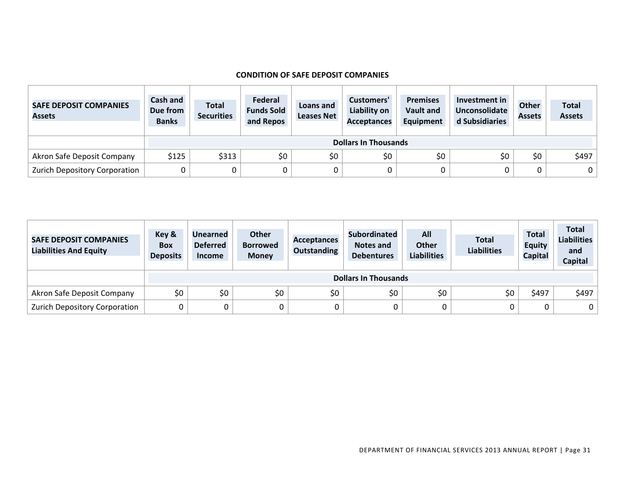#### **CONDITION OF SAFE DEPOSIT COMPANIES**

| <b>SAFE DEPOSIT COMPANIES</b><br><b>Assets</b> | Cash and<br>Due from<br><b>Banks</b> | <b>Total</b><br><b>Securities</b> | Federal<br><b>Funds Sold</b><br>and Repos | Loans and<br><b>Leases Net</b> | Customers'<br>Liability on<br><b>Acceptances</b> | <b>Premises</b><br><b>Vault and</b><br>Equipment | Investment in<br>Unconsolidate<br>d Subsidiaries | <b>Other</b><br><b>Assets</b> | <b>Total</b><br><b>Assets</b> |  |
|------------------------------------------------|--------------------------------------|-----------------------------------|-------------------------------------------|--------------------------------|--------------------------------------------------|--------------------------------------------------|--------------------------------------------------|-------------------------------|-------------------------------|--|
|                                                |                                      | <b>Dollars In Thousands</b>       |                                           |                                |                                                  |                                                  |                                                  |                               |                               |  |
| Akron Safe Deposit Company                     | \$125                                | \$313                             | \$0                                       | \$0                            | \$0                                              | \$0                                              | \$0                                              | \$0                           | \$497                         |  |
| Zurich Depository Corporation                  | 0                                    |                                   |                                           | 0                              |                                                  |                                                  |                                                  |                               | 0 <sup>1</sup>                |  |

| <b>SAFE DEPOSIT COMPANIES</b><br><b>Liabilities And Equity</b> | Key &<br><b>Box</b><br><b>Deposits</b> | Unearned<br><b>Deferred</b><br><b>Income</b> | <b>Other</b><br><b>Borrowed</b><br><b>Money</b> | <b>Acceptances</b><br><b>Outstanding</b> | <b>Subordinated</b><br>Notes and<br><b>Debentures</b> | All<br><b>Other</b><br><b>Liabilities</b> | <b>Total</b><br><b>Liabilities</b> | <b>Total</b><br><b>Equity</b><br><b>Capital</b> | <b>Total</b><br><b>Liabilities</b><br>and<br><b>Capital</b> |  |
|----------------------------------------------------------------|----------------------------------------|----------------------------------------------|-------------------------------------------------|------------------------------------------|-------------------------------------------------------|-------------------------------------------|------------------------------------|-------------------------------------------------|-------------------------------------------------------------|--|
|                                                                |                                        | <b>Dollars In Thousands</b>                  |                                                 |                                          |                                                       |                                           |                                    |                                                 |                                                             |  |
| Akron Safe Deposit Company                                     | \$0                                    | \$0                                          | \$0                                             | \$0                                      | \$0                                                   | \$0                                       | \$0                                | \$497                                           | \$497                                                       |  |
| Zurich Depository Corporation                                  | C                                      |                                              |                                                 | 0                                        | 0                                                     |                                           |                                    | 0                                               | 0 <sup>1</sup>                                              |  |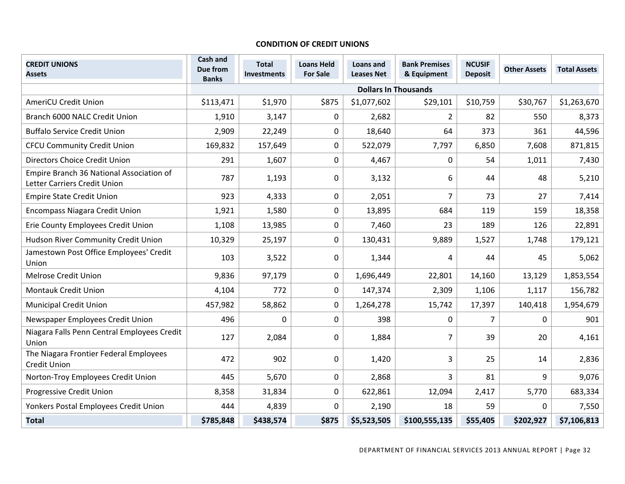#### **CONDITION OF CREDIT UNIONS**

| <b>CREDIT UNIONS</b><br><b>Assets</b>                                    | Cash and<br>Due from<br><b>Banks</b> | <b>Total</b><br>Investments | <b>Loans Held</b><br><b>For Sale</b> | Loans and<br><b>Leases Net</b> | <b>Bank Premises</b><br>& Equipment | <b>NCUSIF</b><br><b>Deposit</b> | <b>Other Assets</b> | <b>Total Assets</b> |
|--------------------------------------------------------------------------|--------------------------------------|-----------------------------|--------------------------------------|--------------------------------|-------------------------------------|---------------------------------|---------------------|---------------------|
|                                                                          |                                      |                             |                                      | <b>Dollars In Thousands</b>    |                                     |                                 |                     |                     |
| <b>AmeriCU Credit Union</b>                                              | \$113,471                            | \$1,970                     | \$875                                | \$1,077,602                    | \$29,101                            | \$10,759                        | \$30,767            | \$1,263,670         |
| Branch 6000 NALC Credit Union                                            | 1,910                                | 3,147                       | 0                                    | 2,682                          | $\overline{2}$                      | 82                              | 550                 | 8,373               |
| <b>Buffalo Service Credit Union</b>                                      | 2,909                                | 22,249                      | 0                                    | 18,640                         | 64                                  | 373                             | 361                 | 44,596              |
| <b>CFCU Community Credit Union</b>                                       | 169,832                              | 157,649                     | $\boldsymbol{0}$                     | 522,079                        | 7,797                               | 6,850                           | 7,608               | 871,815             |
| Directors Choice Credit Union                                            | 291                                  | 1,607                       | $\boldsymbol{0}$                     | 4,467                          | 0                                   | 54                              | 1,011               | 7,430               |
| Empire Branch 36 National Association of<br>Letter Carriers Credit Union | 787                                  | 1,193                       | $\boldsymbol{0}$                     | 3,132                          | 6                                   | 44                              | 48                  | 5,210               |
| <b>Empire State Credit Union</b>                                         | 923                                  | 4,333                       | $\boldsymbol{0}$                     | 2,051                          | 7                                   | 73                              | 27                  | 7,414               |
| <b>Encompass Niagara Credit Union</b>                                    | 1,921                                | 1,580                       | $\mathbf 0$                          | 13,895                         | 684                                 | 119                             | 159                 | 18,358              |
| Erie County Employees Credit Union                                       | 1,108                                | 13,985                      | 0                                    | 7,460                          | 23                                  | 189                             | 126                 | 22,891              |
| Hudson River Community Credit Union                                      | 10,329                               | 25,197                      | $\boldsymbol{0}$                     | 130,431                        | 9,889                               | 1,527                           | 1,748               | 179,121             |
| Jamestown Post Office Employees' Credit<br>Union                         | 103                                  | 3,522                       | 0                                    | 1,344                          | 4                                   | 44                              | 45                  | 5,062               |
| <b>Melrose Credit Union</b>                                              | 9,836                                | 97,179                      | $\boldsymbol{0}$                     | 1,696,449                      | 22,801                              | 14,160                          | 13,129              | 1,853,554           |
| <b>Montauk Credit Union</b>                                              | 4,104                                | 772                         | 0                                    | 147,374                        | 2,309                               | 1,106                           | 1,117               | 156,782             |
| <b>Municipal Credit Union</b>                                            | 457,982                              | 58,862                      | 0                                    | 1,264,278                      | 15,742                              | 17,397                          | 140,418             | 1,954,679           |
| Newspaper Employees Credit Union                                         | 496                                  | $\Omega$                    | 0                                    | 398                            | 0                                   | 7                               | 0                   | 901                 |
| Niagara Falls Penn Central Employees Credit<br>Union                     | 127                                  | 2,084                       | 0                                    | 1,884                          | 7                                   | 39                              | 20                  | 4,161               |
| The Niagara Frontier Federal Employees<br><b>Credit Union</b>            | 472                                  | 902                         | $\boldsymbol{0}$                     | 1,420                          | 3                                   | 25                              | 14                  | 2,836               |
| Norton-Troy Employees Credit Union                                       | 445                                  | 5,670                       | $\pmb{0}$                            | 2,868                          | $\overline{3}$                      | 81                              | 9                   | 9,076               |
| <b>Progressive Credit Union</b>                                          | 8,358                                | 31,834                      | $\boldsymbol{0}$                     | 622,861                        | 12,094                              | 2,417                           | 5,770               | 683,334             |
| Yonkers Postal Employees Credit Union                                    | 444                                  | 4,839                       | 0                                    | 2,190                          | 18                                  | 59                              | 0                   | 7,550               |
| <b>Total</b>                                                             | \$785,848                            | \$438,574                   | \$875                                | \$5,523,505                    | \$100,555,135                       | \$55,405                        | \$202,927           | \$7,106,813         |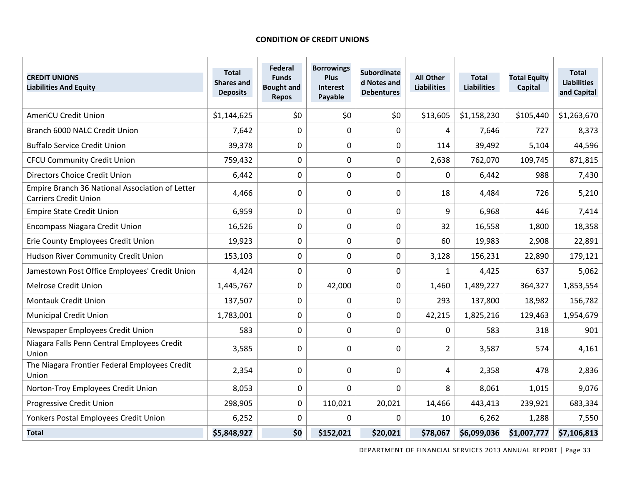#### **CONDITION OF CREDIT UNIONS**

| <b>CREDIT UNIONS</b><br><b>Liabilities And Equity</b>                           | <b>Total</b><br><b>Shares and</b><br><b>Deposits</b> | Federal<br><b>Funds</b><br><b>Bought and</b><br><b>Repos</b> | <b>Borrowings</b><br>Plus<br><b>Interest</b><br>Payable | <b>Subordinate</b><br>d Notes and<br><b>Debentures</b> | <b>All Other</b><br><b>Liabilities</b> | <b>Total</b><br><b>Liabilities</b> | <b>Total Equity</b><br>Capital | <b>Total</b><br><b>Liabilities</b><br>and Capital |
|---------------------------------------------------------------------------------|------------------------------------------------------|--------------------------------------------------------------|---------------------------------------------------------|--------------------------------------------------------|----------------------------------------|------------------------------------|--------------------------------|---------------------------------------------------|
| <b>AmeriCU Credit Union</b>                                                     | \$1,144,625                                          | \$0                                                          | \$0                                                     | \$0                                                    | \$13,605                               | \$1,158,230                        | \$105,440                      | \$1,263,670                                       |
| Branch 6000 NALC Credit Union                                                   | 7,642                                                | 0                                                            | 0                                                       | 0                                                      | 4                                      | 7,646                              | 727                            | 8,373                                             |
| <b>Buffalo Service Credit Union</b>                                             | 39,378                                               | $\mathbf 0$                                                  | 0                                                       | $\boldsymbol{0}$                                       | 114                                    | 39,492                             | 5,104                          | 44,596                                            |
| <b>CFCU Community Credit Union</b>                                              | 759,432                                              | $\mathbf 0$                                                  | 0                                                       | $\mathbf 0$                                            | 2,638                                  | 762,070                            | 109,745                        | 871,815                                           |
| Directors Choice Credit Union                                                   | 6,442                                                | $\mathbf 0$                                                  | 0                                                       | $\mathbf 0$                                            | $\Omega$                               | 6,442                              | 988                            | 7,430                                             |
| Empire Branch 36 National Association of Letter<br><b>Carriers Credit Union</b> | 4,466                                                | $\Omega$                                                     | 0                                                       | 0                                                      | 18                                     | 4,484                              | 726                            | 5,210                                             |
| <b>Empire State Credit Union</b>                                                | 6,959                                                | $\overline{0}$                                               | 0                                                       | $\mathbf 0$                                            | 9                                      | 6,968                              | 446                            | 7,414                                             |
| <b>Encompass Niagara Credit Union</b>                                           | 16,526                                               | $\mathbf 0$                                                  | 0                                                       | $\boldsymbol{0}$                                       | 32                                     | 16,558                             | 1,800                          | 18,358                                            |
| Erie County Employees Credit Union                                              | 19,923                                               | $\mathbf 0$                                                  | 0                                                       | $\pmb{0}$                                              | 60                                     | 19,983                             | 2,908                          | 22,891                                            |
| Hudson River Community Credit Union                                             | 153,103                                              | 0                                                            | 0                                                       | $\mathbf 0$                                            | 3,128                                  | 156,231                            | 22,890                         | 179,121                                           |
| Jamestown Post Office Employees' Credit Union                                   | 4,424                                                | $\mathbf 0$                                                  | 0                                                       | $\boldsymbol{0}$                                       | $\mathbf{1}$                           | 4,425                              | 637                            | 5,062                                             |
| <b>Melrose Credit Union</b>                                                     | 1,445,767                                            | $\mathbf 0$                                                  | 42,000                                                  | $\mathbf 0$                                            | 1,460                                  | 1,489,227                          | 364,327                        | 1,853,554                                         |
| <b>Montauk Credit Union</b>                                                     | 137,507                                              | $\mathbf 0$                                                  | 0                                                       | $\boldsymbol{0}$                                       | 293                                    | 137,800                            | 18,982                         | 156,782                                           |
| <b>Municipal Credit Union</b>                                                   | 1,783,001                                            | $\mathbf 0$                                                  | 0                                                       | $\mathbf 0$                                            | 42,215                                 | 1,825,216                          | 129,463                        | 1,954,679                                         |
| Newspaper Employees Credit Union                                                | 583                                                  | $\mathbf 0$                                                  | 0                                                       | $\mathbf 0$                                            | $\mathbf{0}$                           | 583                                | 318                            | 901                                               |
| Niagara Falls Penn Central Employees Credit<br>Union                            | 3,585                                                | $\Omega$                                                     | 0                                                       | 0                                                      | 2                                      | 3,587                              | 574                            | 4,161                                             |
| The Niagara Frontier Federal Employees Credit<br>Union                          | 2,354                                                | $\mathbf 0$                                                  | $\mathbf 0$                                             | $\mathbf 0$                                            | 4                                      | 2,358                              | 478                            | 2,836                                             |
| Norton-Troy Employees Credit Union                                              | 8,053                                                | $\overline{0}$                                               | 0                                                       | $\overline{0}$                                         | 8                                      | 8,061                              | 1,015                          | 9,076                                             |
| Progressive Credit Union                                                        | 298,905                                              | $\overline{0}$                                               | 110,021                                                 | 20,021                                                 | 14,466                                 | 443,413                            | 239,921                        | 683,334                                           |
| Yonkers Postal Employees Credit Union                                           | 6,252                                                | $\Omega$                                                     | $\Omega$                                                | $\Omega$                                               | 10                                     | 6,262                              | 1,288                          | 7,550                                             |
| <b>Total</b>                                                                    | \$5,848,927                                          | \$0                                                          | \$152,021                                               | \$20,021                                               | \$78,067                               | \$6,099,036                        | \$1,007,777                    | \$7,106,813                                       |

DEPARTMENT OF FINANCIAL SERVICES 2013 ANNUAL REPORT | Page 33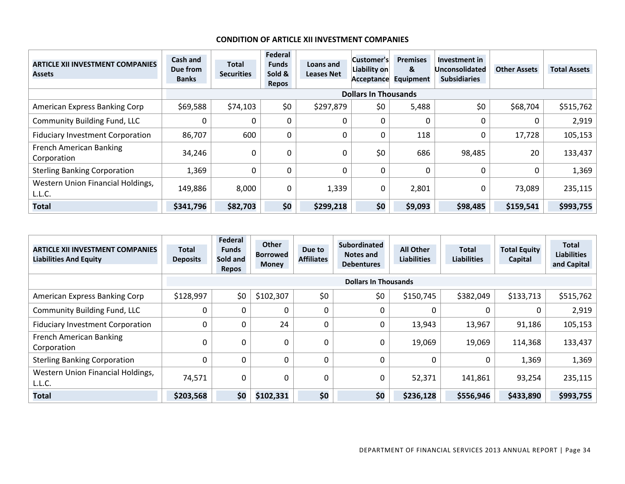#### **CONDITION OF ARTICLE XII INVESTMENT COMPANIES**

| <b>ARTICLE XII INVESTMENT COMPANIES</b><br><b>Assets</b> | Cash and<br>Due from<br><b>Banks</b> | Total<br><b>Securities</b> | Federal<br><b>Funds</b><br>Sold &<br><b>Repos</b> | Loans and<br><b>Leases Net</b> | Customer's<br>Liability on<br>Acceptance | <b>Premises</b><br>&<br><b>Equipment</b> | Investment in<br><b>Unconsolidated</b><br><b>Subsidiaries</b> | <b>Other Assets</b> | <b>Total Assets</b> |
|----------------------------------------------------------|--------------------------------------|----------------------------|---------------------------------------------------|--------------------------------|------------------------------------------|------------------------------------------|---------------------------------------------------------------|---------------------|---------------------|
|                                                          |                                      |                            |                                                   |                                | <b>Dollars In Thousands</b>              |                                          |                                                               |                     |                     |
| American Express Banking Corp                            | \$69,588                             | \$74,103                   | \$0                                               | \$297,879                      | \$0                                      | 5,488                                    | \$0                                                           | \$68,704            | \$515,762           |
| <b>Community Building Fund, LLC</b>                      |                                      |                            | 0                                                 |                                | 0                                        | 0                                        |                                                               |                     | 2,919               |
| <b>Fiduciary Investment Corporation</b>                  | 86,707                               | 600                        | $\mathbf 0$                                       |                                | 0                                        | 118                                      |                                                               | 17,728              | 105,153             |
| <b>French American Banking</b><br>Corporation            | 34,246                               | 0                          | $\mathbf 0$                                       | 0                              | \$0                                      | 686                                      | 98,485                                                        | 20                  | 133,437             |
| <b>Sterling Banking Corporation</b>                      | 1,369                                | 0                          | 0                                                 |                                | 0                                        | 0                                        |                                                               |                     | 1,369               |
| Western Union Financial Holdings,<br>L.L.C.              | 149,886                              | 8,000                      | $\mathbf 0$                                       | 1,339                          | 0                                        | 2,801                                    | 0                                                             | 73,089              | 235,115             |
| <b>Total</b>                                             | \$341,796                            | \$82,703                   | \$0                                               | \$299,218                      | \$0                                      | \$9,093                                  | \$98,485                                                      | \$159,541           | \$993,755           |

| <b>ARTICLE XII INVESTMENT COMPANIES</b><br><b>Liabilities And Equity</b> | <b>Total</b><br><b>Deposits</b> | Federal<br><b>Funds</b><br>Sold and<br><b>Repos</b> | <b>Other</b><br><b>Borrowed</b><br><b>Money</b> | Due to<br><b>Affiliates</b> | <b>Subordinated</b><br>Notes and<br><b>Debentures</b> | <b>All Other</b><br><b>Liabilities</b> | <b>Total</b><br><b>Liabilities</b> | <b>Total Equity</b><br>Capital | <b>Total</b><br><b>Liabilities</b><br>and Capital |
|--------------------------------------------------------------------------|---------------------------------|-----------------------------------------------------|-------------------------------------------------|-----------------------------|-------------------------------------------------------|----------------------------------------|------------------------------------|--------------------------------|---------------------------------------------------|
|                                                                          |                                 |                                                     |                                                 |                             | <b>Dollars In Thousands</b>                           |                                        |                                    |                                |                                                   |
| American Express Banking Corp                                            | \$128,997                       | \$0                                                 | \$102,307                                       | \$0                         | \$0                                                   | \$150,745                              | \$382,049                          | \$133,713                      | \$515,762                                         |
| <b>Community Building Fund, LLC</b>                                      | 0                               | 0                                                   |                                                 | 0                           | 0                                                     |                                        | 0                                  |                                | 2,919                                             |
| <b>Fiduciary Investment Corporation</b>                                  | 0                               | 0                                                   | 24                                              | 0                           | 0                                                     | 13,943                                 | 13,967                             | 91,186                         | 105,153                                           |
| French American Banking<br>Corporation                                   | $\Omega$                        |                                                     | 0                                               | 0                           | 0                                                     | 19,069                                 | 19,069                             | 114,368                        | 133,437                                           |
| <b>Sterling Banking Corporation</b>                                      | 0                               | 0                                                   |                                                 | 0                           | 0                                                     | C                                      | 0                                  | 1,369                          | 1,369                                             |
| Western Union Financial Holdings,<br>L.L.C.                              | 74,571                          |                                                     | 0                                               | 0                           | 0                                                     | 52,371                                 | 141,861                            | 93,254                         | 235,115                                           |
| <b>Total</b>                                                             | \$203,568                       | \$0                                                 | \$102,331                                       | \$0                         | \$0                                                   | \$236,128                              | \$556,946                          | \$433,890                      | \$993,755                                         |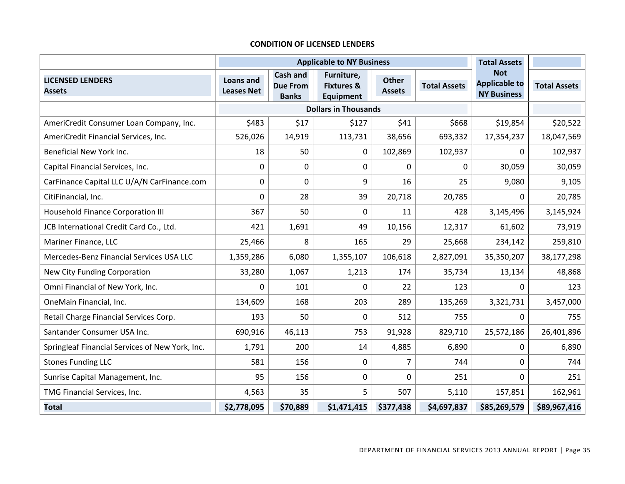#### **CONDITION OF LICENSED LENDERS**

|                                                 |                                       |                                                    | <b>Applicable to NY Business</b>                        |                        |                     | <b>Total Assets</b>                                      |                     |
|-------------------------------------------------|---------------------------------------|----------------------------------------------------|---------------------------------------------------------|------------------------|---------------------|----------------------------------------------------------|---------------------|
| <b>LICENSED LENDERS</b><br><b>Assets</b>        | <b>Loans and</b><br><b>Leases Net</b> | <b>Cash and</b><br><b>Due From</b><br><b>Banks</b> | Furniture,<br><b>Fixtures &amp;</b><br><b>Equipment</b> | Other<br><b>Assets</b> | <b>Total Assets</b> | <b>Not</b><br><b>Applicable to</b><br><b>NY Business</b> | <b>Total Assets</b> |
|                                                 |                                       |                                                    | <b>Dollars in Thousands</b>                             |                        |                     |                                                          |                     |
| AmeriCredit Consumer Loan Company, Inc.         | \$483                                 | \$17                                               | \$127                                                   | \$41                   | \$668               | \$19,854                                                 | \$20,522            |
| AmeriCredit Financial Services, Inc.            | 526,026                               | 14,919                                             | 113,731                                                 | 38,656                 | 693,332             | 17,354,237                                               | 18,047,569          |
| Beneficial New York Inc.                        | 18                                    | 50                                                 | 0                                                       | 102,869                | 102,937             | 0                                                        | 102,937             |
| Capital Financial Services, Inc.                | $\pmb{0}$                             | $\boldsymbol{0}$                                   | 0                                                       | 0                      | 0                   | 30,059                                                   | 30,059              |
| CarFinance Capital LLC U/A/N CarFinance.com     | 0                                     | $\mathbf 0$                                        | 9                                                       | 16                     | 25                  | 9,080                                                    | 9,105               |
| CitiFinancial, Inc.                             | 0                                     | 28                                                 | 39                                                      | 20,718                 | 20,785              | 0                                                        | 20,785              |
| <b>Household Finance Corporation III</b>        | 367                                   | 50                                                 | $\mathbf 0$                                             | 11                     | 428                 | 3,145,496                                                | 3,145,924           |
| JCB International Credit Card Co., Ltd.         | 421                                   | 1,691                                              | 49                                                      | 10,156                 | 12,317              | 61,602                                                   | 73,919              |
| Mariner Finance, LLC                            | 25,466                                | 8                                                  | 165                                                     | 29                     | 25,668              | 234,142                                                  | 259,810             |
| Mercedes-Benz Financial Services USA LLC        | 1,359,286                             | 6,080                                              | 1,355,107                                               | 106,618                | 2,827,091           | 35,350,207                                               | 38,177,298          |
| New City Funding Corporation                    | 33,280                                | 1,067                                              | 1,213                                                   | 174                    | 35,734              | 13,134                                                   | 48,868              |
| Omni Financial of New York, Inc.                | 0                                     | 101                                                | $\Omega$                                                | 22                     | 123                 | 0                                                        | 123                 |
| OneMain Financial, Inc.                         | 134,609                               | 168                                                | 203                                                     | 289                    | 135,269             | 3,321,731                                                | 3,457,000           |
| Retail Charge Financial Services Corp.          | 193                                   | 50                                                 | 0                                                       | 512                    | 755                 | $\Omega$                                                 | 755                 |
| Santander Consumer USA Inc.                     | 690,916                               | 46,113                                             | 753                                                     | 91,928                 | 829,710             | 25,572,186                                               | 26,401,896          |
| Springleaf Financial Services of New York, Inc. | 1,791                                 | 200                                                | 14                                                      | 4,885                  | 6,890               | 0                                                        | 6,890               |
| <b>Stones Funding LLC</b>                       | 581                                   | 156                                                | 0                                                       | $\overline{7}$         | 744                 | $\mathbf 0$                                              | 744                 |
| Sunrise Capital Management, Inc.                | 95                                    | 156                                                | 0                                                       | 0                      | 251                 | $\Omega$                                                 | 251                 |
| TMG Financial Services, Inc.                    | 4,563                                 | 35                                                 | 5                                                       | 507                    | 5,110               | 157,851                                                  | 162,961             |
| <b>Total</b>                                    | \$2,778,095                           | \$70,889                                           | \$1,471,415                                             | \$377,438              | \$4,697,837         | \$85,269,579                                             | \$89,967,416        |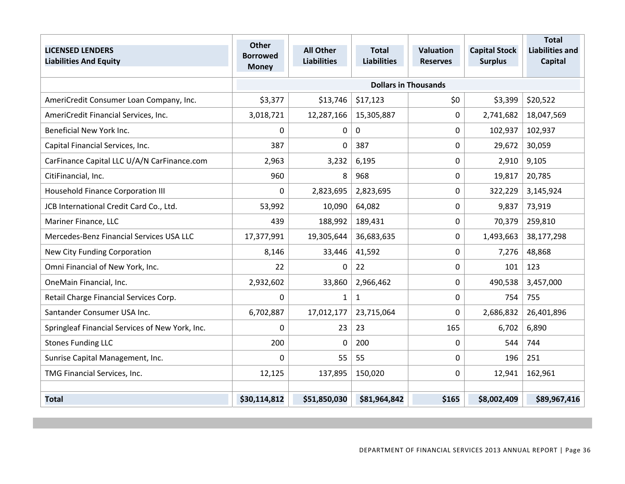|                                                 | <b>Other</b>    |                    |                    |                             |                      | <b>Total</b>           |
|-------------------------------------------------|-----------------|--------------------|--------------------|-----------------------------|----------------------|------------------------|
| <b>LICENSED LENDERS</b>                         | <b>Borrowed</b> | <b>All Other</b>   | <b>Total</b>       | <b>Valuation</b>            | <b>Capital Stock</b> | <b>Liabilities and</b> |
| <b>Liabilities And Equity</b>                   | <b>Money</b>    | <b>Liabilities</b> | <b>Liabilities</b> | <b>Reserves</b>             | <b>Surplus</b>       | <b>Capital</b>         |
|                                                 |                 |                    |                    | <b>Dollars in Thousands</b> |                      |                        |
|                                                 |                 |                    |                    |                             |                      |                        |
| AmeriCredit Consumer Loan Company, Inc.         | \$3,377         | \$13,746           | \$17,123           | \$0                         | \$3,399              | \$20,522               |
| AmeriCredit Financial Services, Inc.            | 3,018,721       | 12,287,166         | 15,305,887         | 0                           | 2,741,682            | 18,047,569             |
| Beneficial New York Inc.                        | 0               | 0                  | 0                  | 0                           | 102,937              | 102,937                |
| Capital Financial Services, Inc.                | 387             | 0                  | 387                | 0                           | 29,672               | 30,059                 |
| CarFinance Capital LLC U/A/N CarFinance.com     | 2,963           | 3,232              | 6,195              | 0                           | 2,910                | 9,105                  |
| CitiFinancial, Inc.                             | 960             | 8                  | 968                | 0                           | 19,817               | 20,785                 |
| <b>Household Finance Corporation III</b>        | 0               | 2,823,695          | 2,823,695          | 0                           | 322,229              | 3,145,924              |
| JCB International Credit Card Co., Ltd.         | 53,992          | 10,090             | 64,082             | 0                           | 9,837                | 73,919                 |
| Mariner Finance, LLC                            | 439             | 188,992            | 189,431            | 0                           | 70,379               | 259,810                |
| Mercedes-Benz Financial Services USA LLC        | 17,377,991      | 19,305,644         | 36,683,635         | 0                           | 1,493,663            | 38,177,298             |
| New City Funding Corporation                    | 8,146           | 33,446             | 41,592             | 0                           | 7,276                | 48,868                 |
| Omni Financial of New York, Inc.                | 22              | 0                  | 22                 | 0                           | 101                  | 123                    |
| OneMain Financial, Inc.                         | 2,932,602       | 33,860             | 2,966,462          | 0                           | 490,538              | 3,457,000              |
| Retail Charge Financial Services Corp.          | $\mathbf 0$     | $\mathbf{1}$       | $\mathbf{1}$       | 0                           | 754                  | 755                    |
| Santander Consumer USA Inc.                     | 6,702,887       | 17,012,177         | 23,715,064         | 0                           | 2,686,832            | 26,401,896             |
| Springleaf Financial Services of New York, Inc. | $\mathbf 0$     | 23                 | 23                 | 165                         | 6,702                | 6,890                  |
| <b>Stones Funding LLC</b>                       | 200             | 0                  | 200                | 0                           | 544                  | 744                    |
| Sunrise Capital Management, Inc.                | $\mathbf 0$     | 55                 | 55                 | 0                           | 196                  | 251                    |
| TMG Financial Services, Inc.                    | 12,125          | 137,895            | 150,020            | 0                           | 12,941               | 162,961                |
|                                                 |                 |                    |                    |                             |                      |                        |
| <b>Total</b>                                    | \$30,114,812    | \$51,850,030       | \$81,964,842       | \$165                       | \$8,002,409          | \$89,967,416           |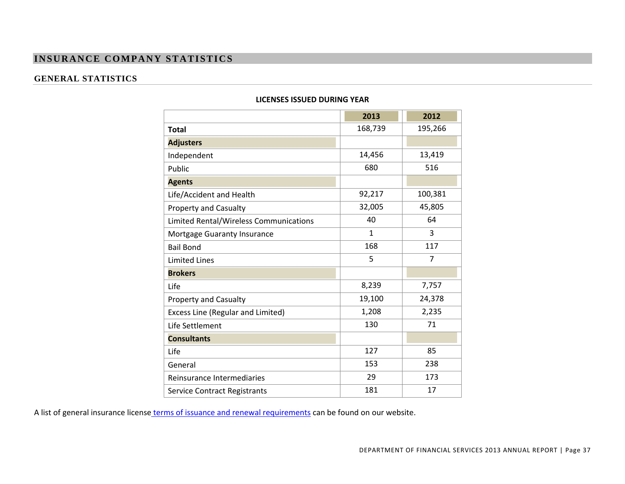## **INSURANCE COMPANY STATISTICS**

## **GENERAL STATISTICS**

|                                          | 2013         | 2012           |
|------------------------------------------|--------------|----------------|
| <b>Total</b>                             | 168,739      | 195,266        |
| <b>Adjusters</b>                         |              |                |
| Independent                              | 14,456       | 13,419         |
| Public                                   | 680          | 516            |
| <b>Agents</b>                            |              |                |
| Life/Accident and Health                 | 92,217       | 100,381        |
| Property and Casualty                    | 32,005       | 45,805         |
| Limited Rental/Wireless Communications   | 40           | 64             |
| Mortgage Guaranty Insurance              | $\mathbf{1}$ | 3              |
| <b>Bail Bond</b>                         | 168          | 117            |
| <b>Limited Lines</b>                     | 5            | $\overline{7}$ |
| <b>Brokers</b>                           |              |                |
| Life                                     | 8,239        | 7,757          |
| <b>Property and Casualty</b>             | 19,100       | 24,378         |
| <b>Excess Line (Regular and Limited)</b> | 1,208        | 2,235          |
| Life Settlement                          | 130          | 71             |
| <b>Consultants</b>                       |              |                |
| Life                                     | 127          | 85             |
| General                                  | 153          | 238            |
| Reinsurance Intermediaries               | 29           | 173            |
| <b>Service Contract Registrants</b>      | 181          | 17             |

#### **LICENSES ISSUED DURING YEAR**

A list of general insurance license terms of issuance and renewal requirements can be found on our website.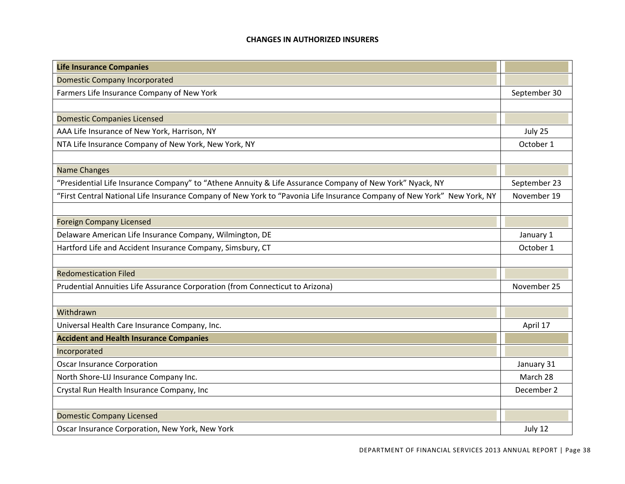#### **CHANGES IN AUTHORIZED INSURERS**

| <b>Life Insurance Companies</b>                                                                                         |              |
|-------------------------------------------------------------------------------------------------------------------------|--------------|
| <b>Domestic Company Incorporated</b>                                                                                    |              |
| Farmers Life Insurance Company of New York                                                                              | September 30 |
|                                                                                                                         |              |
| <b>Domestic Companies Licensed</b>                                                                                      |              |
| AAA Life Insurance of New York, Harrison, NY                                                                            | July 25      |
| NTA Life Insurance Company of New York, New York, NY                                                                    | October 1    |
|                                                                                                                         |              |
| <b>Name Changes</b>                                                                                                     |              |
| "Presidential Life Insurance Company" to "Athene Annuity & Life Assurance Company of New York" Nyack, NY                | September 23 |
| "First Central National Life Insurance Company of New York to "Pavonia Life Insurance Company of New York" New York, NY | November 19  |
|                                                                                                                         |              |
| <b>Foreign Company Licensed</b>                                                                                         |              |
| Delaware American Life Insurance Company, Wilmington, DE                                                                | January 1    |
| Hartford Life and Accident Insurance Company, Simsbury, CT                                                              | October 1    |
|                                                                                                                         |              |
| <b>Redomestication Filed</b>                                                                                            |              |
| Prudential Annuities Life Assurance Corporation (from Connecticut to Arizona)                                           | November 25  |
|                                                                                                                         |              |
| Withdrawn                                                                                                               |              |
| Universal Health Care Insurance Company, Inc.                                                                           | April 17     |
| <b>Accident and Health Insurance Companies</b>                                                                          |              |
| Incorporated                                                                                                            |              |
| <b>Oscar Insurance Corporation</b>                                                                                      | January 31   |
| North Shore-LIJ Insurance Company Inc.                                                                                  | March 28     |
| Crystal Run Health Insurance Company, Inc                                                                               | December 2   |
|                                                                                                                         |              |
| <b>Domestic Company Licensed</b>                                                                                        |              |
| Oscar Insurance Corporation, New York, New York                                                                         | July 12      |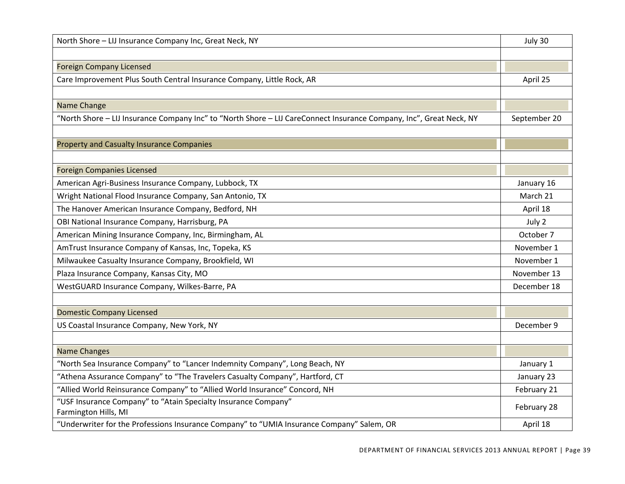| North Shore - LIJ Insurance Company Inc, Great Neck, NY                                                             | July 30      |
|---------------------------------------------------------------------------------------------------------------------|--------------|
|                                                                                                                     |              |
| <b>Foreign Company Licensed</b>                                                                                     |              |
| Care Improvement Plus South Central Insurance Company, Little Rock, AR                                              | April 25     |
|                                                                                                                     |              |
| Name Change                                                                                                         |              |
| "North Shore - LIJ Insurance Company Inc" to "North Shore - LIJ CareConnect Insurance Company, Inc", Great Neck, NY | September 20 |
|                                                                                                                     |              |
| <b>Property and Casualty Insurance Companies</b>                                                                    |              |
|                                                                                                                     |              |
| <b>Foreign Companies Licensed</b>                                                                                   |              |
| American Agri-Business Insurance Company, Lubbock, TX                                                               | January 16   |
| Wright National Flood Insurance Company, San Antonio, TX                                                            | March 21     |
| The Hanover American Insurance Company, Bedford, NH                                                                 | April 18     |
| OBI National Insurance Company, Harrisburg, PA                                                                      | July 2       |
| American Mining Insurance Company, Inc, Birmingham, AL                                                              | October 7    |
| AmTrust Insurance Company of Kansas, Inc, Topeka, KS                                                                | November 1   |
| Milwaukee Casualty Insurance Company, Brookfield, WI                                                                | November 1   |
| Plaza Insurance Company, Kansas City, MO                                                                            | November 13  |
| WestGUARD Insurance Company, Wilkes-Barre, PA                                                                       | December 18  |
|                                                                                                                     |              |
| <b>Domestic Company Licensed</b>                                                                                    |              |
| US Coastal Insurance Company, New York, NY                                                                          | December 9   |
|                                                                                                                     |              |
| <b>Name Changes</b>                                                                                                 |              |
| "North Sea Insurance Company" to "Lancer Indemnity Company", Long Beach, NY                                         | January 1    |
| "Athena Assurance Company" to "The Travelers Casualty Company", Hartford, CT                                        | January 23   |
| "Allied World Reinsurance Company" to "Allied World Insurance" Concord, NH                                          | February 21  |
| "USF Insurance Company" to "Atain Specialty Insurance Company"<br>Farmington Hills, MI                              | February 28  |
| "Underwriter for the Professions Insurance Company" to "UMIA Insurance Company" Salem, OR                           | April 18     |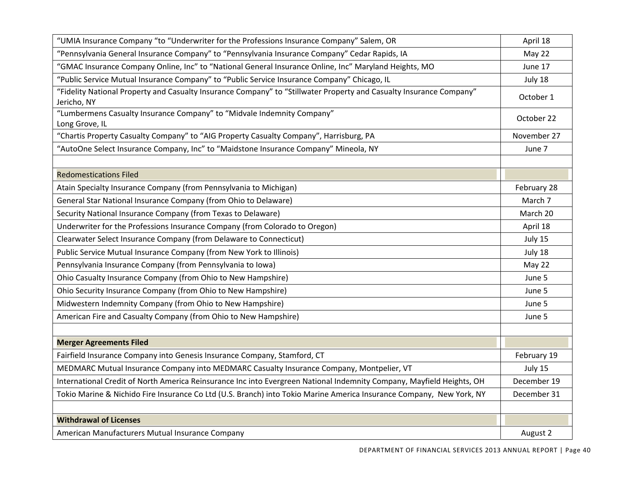| "UMIA Insurance Company "to "Underwriter for the Professions Insurance Company" Salem, OR                                          | April 18    |
|------------------------------------------------------------------------------------------------------------------------------------|-------------|
| "Pennsylvania General Insurance Company" to "Pennsylvania Insurance Company" Cedar Rapids, IA                                      | May 22      |
| "GMAC Insurance Company Online, Inc" to "National General Insurance Online, Inc" Maryland Heights, MO                              | June 17     |
| "Public Service Mutual Insurance Company" to "Public Service Insurance Company" Chicago, IL                                        | July 18     |
| "Fidelity National Property and Casualty Insurance Company" to "Stillwater Property and Casualty Insurance Company"<br>Jericho, NY | October 1   |
| "Lumbermens Casualty Insurance Company" to "Midvale Indemnity Company"<br>Long Grove, IL                                           | October 22  |
| "Chartis Property Casualty Company" to "AIG Property Casualty Company", Harrisburg, PA                                             | November 27 |
| "AutoOne Select Insurance Company, Inc" to "Maidstone Insurance Company" Mineola, NY                                               | June 7      |
|                                                                                                                                    |             |
| <b>Redomestications Filed</b>                                                                                                      |             |
| Atain Specialty Insurance Company (from Pennsylvania to Michigan)                                                                  | February 28 |
| General Star National Insurance Company (from Ohio to Delaware)                                                                    | March 7     |
| Security National Insurance Company (from Texas to Delaware)                                                                       | March 20    |
| Underwriter for the Professions Insurance Company (from Colorado to Oregon)                                                        | April 18    |
| Clearwater Select Insurance Company (from Delaware to Connecticut)                                                                 | July 15     |
| Public Service Mutual Insurance Company (from New York to Illinois)                                                                | July 18     |
| Pennsylvania Insurance Company (from Pennsylvania to Iowa)                                                                         | May 22      |
| Ohio Casualty Insurance Company (from Ohio to New Hampshire)                                                                       | June 5      |
| Ohio Security Insurance Company (from Ohio to New Hampshire)                                                                       | June 5      |
| Midwestern Indemnity Company (from Ohio to New Hampshire)                                                                          | June 5      |
| American Fire and Casualty Company (from Ohio to New Hampshire)                                                                    | June 5      |
|                                                                                                                                    |             |
| <b>Merger Agreements Filed</b>                                                                                                     |             |
| Fairfield Insurance Company into Genesis Insurance Company, Stamford, CT                                                           | February 19 |
| MEDMARC Mutual Insurance Company into MEDMARC Casualty Insurance Company, Montpelier, VT                                           | July 15     |
| International Credit of North America Reinsurance Inc into Evergreen National Indemnity Company, Mayfield Heights, OH              | December 19 |
| Tokio Marine & Nichido Fire Insurance Co Ltd (U.S. Branch) into Tokio Marine America Insurance Company, New York, NY               | December 31 |
|                                                                                                                                    |             |
| <b>Withdrawal of Licenses</b>                                                                                                      |             |
| American Manufacturers Mutual Insurance Company                                                                                    | August 2    |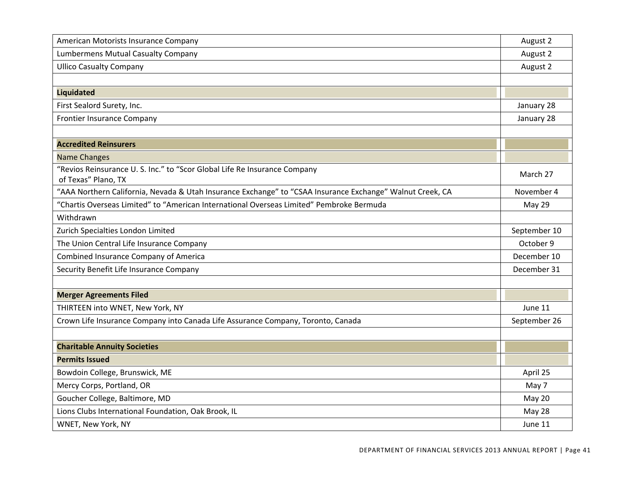| American Motorists Insurance Company                                                                      | August 2     |
|-----------------------------------------------------------------------------------------------------------|--------------|
| <b>Lumbermens Mutual Casualty Company</b>                                                                 | August 2     |
| <b>Ullico Casualty Company</b>                                                                            | August 2     |
|                                                                                                           |              |
| <b>Liquidated</b>                                                                                         |              |
| First Sealord Surety, Inc.                                                                                | January 28   |
| <b>Frontier Insurance Company</b>                                                                         | January 28   |
|                                                                                                           |              |
| <b>Accredited Reinsurers</b>                                                                              |              |
| <b>Name Changes</b>                                                                                       |              |
| "Revios Reinsurance U. S. Inc." to "Scor Global Life Re Insurance Company<br>of Texas" Plano, TX          | March 27     |
| "AAA Northern California, Nevada & Utah Insurance Exchange" to "CSAA Insurance Exchange" Walnut Creek, CA | November 4   |
| "Chartis Overseas Limited" to "American International Overseas Limited" Pembroke Bermuda                  | May 29       |
| Withdrawn                                                                                                 |              |
| Zurich Specialties London Limited                                                                         | September 10 |
| The Union Central Life Insurance Company                                                                  | October 9    |
| Combined Insurance Company of America                                                                     | December 10  |
| Security Benefit Life Insurance Company                                                                   | December 31  |
|                                                                                                           |              |
| <b>Merger Agreements Filed</b>                                                                            |              |
| THIRTEEN into WNET, New York, NY                                                                          | June 11      |
| Crown Life Insurance Company into Canada Life Assurance Company, Toronto, Canada                          | September 26 |
|                                                                                                           |              |
| <b>Charitable Annuity Societies</b>                                                                       |              |
| <b>Permits Issued</b>                                                                                     |              |
| Bowdoin College, Brunswick, ME                                                                            | April 25     |
| Mercy Corps, Portland, OR                                                                                 | May 7        |
| Goucher College, Baltimore, MD                                                                            | May 20       |
| Lions Clubs International Foundation, Oak Brook, IL                                                       | May 28       |
| WNET, New York, NY                                                                                        | June 11      |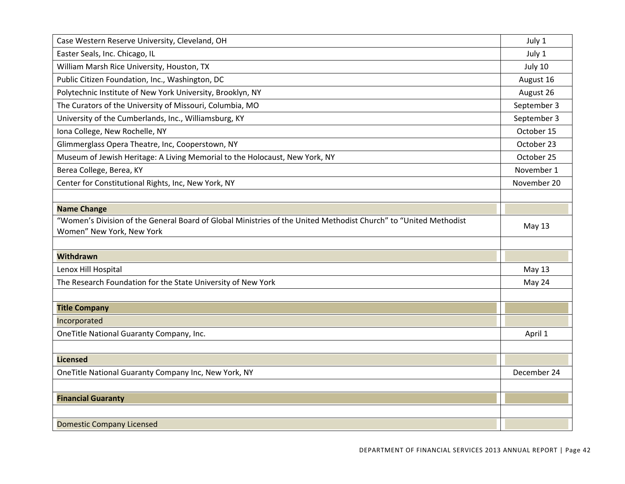| Case Western Reserve University, Cleveland, OH                                                                   | July 1      |
|------------------------------------------------------------------------------------------------------------------|-------------|
| Easter Seals, Inc. Chicago, IL                                                                                   | July 1      |
| William Marsh Rice University, Houston, TX                                                                       | July 10     |
| Public Citizen Foundation, Inc., Washington, DC                                                                  | August 16   |
| Polytechnic Institute of New York University, Brooklyn, NY                                                       | August 26   |
| The Curators of the University of Missouri, Columbia, MO                                                         | September 3 |
| University of the Cumberlands, Inc., Williamsburg, KY                                                            | September 3 |
| Iona College, New Rochelle, NY                                                                                   | October 15  |
| Glimmerglass Opera Theatre, Inc, Cooperstown, NY                                                                 | October 23  |
| Museum of Jewish Heritage: A Living Memorial to the Holocaust, New York, NY                                      | October 25  |
| Berea College, Berea, KY                                                                                         | November 1  |
| Center for Constitutional Rights, Inc, New York, NY                                                              | November 20 |
|                                                                                                                  |             |
| <b>Name Change</b>                                                                                               |             |
| "Women's Division of the General Board of Global Ministries of the United Methodist Church" to "United Methodist | May 13      |
| Women" New York, New York                                                                                        |             |
|                                                                                                                  |             |
| <b>Withdrawn</b>                                                                                                 |             |
| Lenox Hill Hospital                                                                                              | May 13      |
| The Research Foundation for the State University of New York                                                     | May 24      |
|                                                                                                                  |             |
| <b>Title Company</b>                                                                                             |             |
| Incorporated                                                                                                     |             |
| OneTitle National Guaranty Company, Inc.                                                                         | April 1     |
|                                                                                                                  |             |
| <b>Licensed</b>                                                                                                  |             |
| OneTitle National Guaranty Company Inc, New York, NY                                                             | December 24 |
|                                                                                                                  |             |
| <b>Financial Guaranty</b>                                                                                        |             |
|                                                                                                                  |             |
| <b>Domestic Company Licensed</b>                                                                                 |             |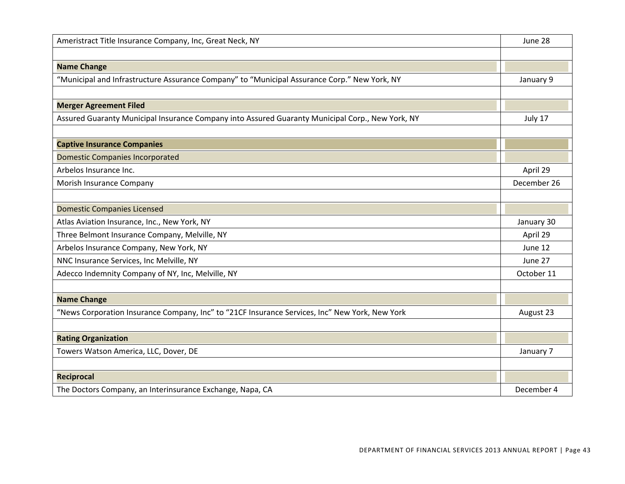| Ameristract Title Insurance Company, Inc, Great Neck, NY                                         | June 28     |
|--------------------------------------------------------------------------------------------------|-------------|
|                                                                                                  |             |
| <b>Name Change</b>                                                                               |             |
| "Municipal and Infrastructure Assurance Company" to "Municipal Assurance Corp." New York, NY     | January 9   |
|                                                                                                  |             |
| <b>Merger Agreement Filed</b>                                                                    |             |
| Assured Guaranty Municipal Insurance Company into Assured Guaranty Municipal Corp., New York, NY | July 17     |
|                                                                                                  |             |
| <b>Captive Insurance Companies</b>                                                               |             |
| <b>Domestic Companies Incorporated</b>                                                           |             |
| Arbelos Insurance Inc.                                                                           | April 29    |
| Morish Insurance Company                                                                         | December 26 |
|                                                                                                  |             |
| <b>Domestic Companies Licensed</b>                                                               |             |
| Atlas Aviation Insurance, Inc., New York, NY                                                     | January 30  |
| Three Belmont Insurance Company, Melville, NY                                                    | April 29    |
| Arbelos Insurance Company, New York, NY                                                          | June 12     |
| NNC Insurance Services, Inc Melville, NY                                                         | June 27     |
| Adecco Indemnity Company of NY, Inc, Melville, NY                                                | October 11  |
|                                                                                                  |             |
| <b>Name Change</b>                                                                               |             |
| "News Corporation Insurance Company, Inc" to "21CF Insurance Services, Inc" New York, New York   | August 23   |
|                                                                                                  |             |
| <b>Rating Organization</b>                                                                       |             |
| Towers Watson America, LLC, Dover, DE                                                            | January 7   |
|                                                                                                  |             |
| Reciprocal                                                                                       |             |
| The Doctors Company, an Interinsurance Exchange, Napa, CA                                        | December 4  |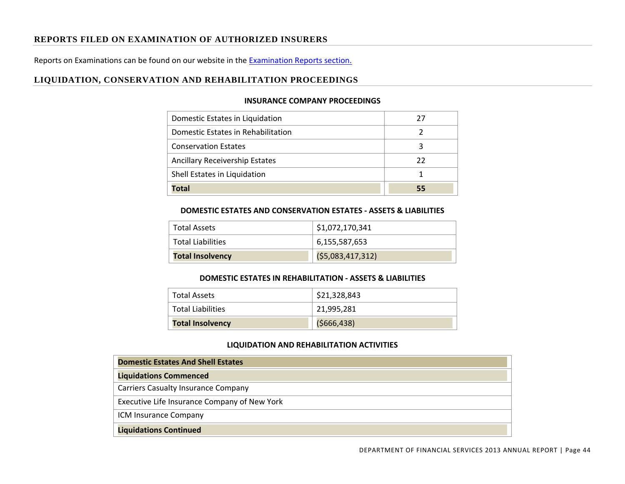## **REPORTS FILED ON EXAMINATION OF AUTHORIZED INSURERS**

Reports on Examinations can be found on our website in the Examination Reports section.

## **LIQUIDATION, CONSERVATION AND REHABILITATION PROCEEDINGS**

#### **INSURANCE COMPANY PROCEEDINGS**

| Domestic Estates in Liquidation       | 77 |
|---------------------------------------|----|
| Domestic Estates in Rehabilitation    | ว  |
| <b>Conservation Estates</b>           |    |
| <b>Ancillary Receivership Estates</b> | 22 |
| Shell Estates in Liquidation          |    |
| Total                                 | 55 |

#### **DOMESTIC ESTATES AND CONSERVATION ESTATES ‐ ASSETS & LIABILITIES**

| <b>Total Assets</b>      | \$1,072,170,341  |
|--------------------------|------------------|
| <b>Total Liabilities</b> | 6,155,587,653    |
| <b>Total Insolvency</b>  | (55,083,417,312) |

#### **DOMESTIC ESTATES IN REHABILITATION ‐ ASSETS & LIABILITIES**

| Total Assets            | \$21,328,843  |
|-------------------------|---------------|
| Total Liabilities       | 21,995,281    |
| <b>Total Insolvency</b> | ( \$666, 438] |

#### **LIQUIDATION AND REHABILITATION ACTIVITIES**

| <b>Domestic Estates And Shell Estates</b>    |
|----------------------------------------------|
| <b>Liquidations Commenced</b>                |
| <b>Carriers Casualty Insurance Company</b>   |
| Executive Life Insurance Company of New York |
| ICM Insurance Company                        |
| <b>Liquidations Continued</b>                |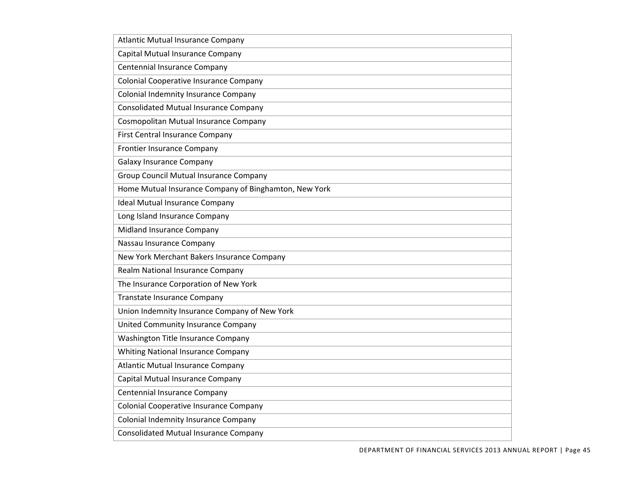| <b>Atlantic Mutual Insurance Company</b>              |
|-------------------------------------------------------|
| Capital Mutual Insurance Company                      |
| Centennial Insurance Company                          |
| Colonial Cooperative Insurance Company                |
| Colonial Indemnity Insurance Company                  |
| <b>Consolidated Mutual Insurance Company</b>          |
| Cosmopolitan Mutual Insurance Company                 |
| <b>First Central Insurance Company</b>                |
| <b>Frontier Insurance Company</b>                     |
| <b>Galaxy Insurance Company</b>                       |
| <b>Group Council Mutual Insurance Company</b>         |
| Home Mutual Insurance Company of Binghamton, New York |
| <b>Ideal Mutual Insurance Company</b>                 |
| Long Island Insurance Company                         |
| Midland Insurance Company                             |
| Nassau Insurance Company                              |
| New York Merchant Bakers Insurance Company            |
| Realm National Insurance Company                      |
| The Insurance Corporation of New York                 |
| <b>Transtate Insurance Company</b>                    |
| Union Indemnity Insurance Company of New York         |
| United Community Insurance Company                    |
| Washington Title Insurance Company                    |
| <b>Whiting National Insurance Company</b>             |
| <b>Atlantic Mutual Insurance Company</b>              |
| Capital Mutual Insurance Company                      |
| <b>Centennial Insurance Company</b>                   |
| Colonial Cooperative Insurance Company                |
| <b>Colonial Indemnity Insurance Company</b>           |
| <b>Consolidated Mutual Insurance Company</b>          |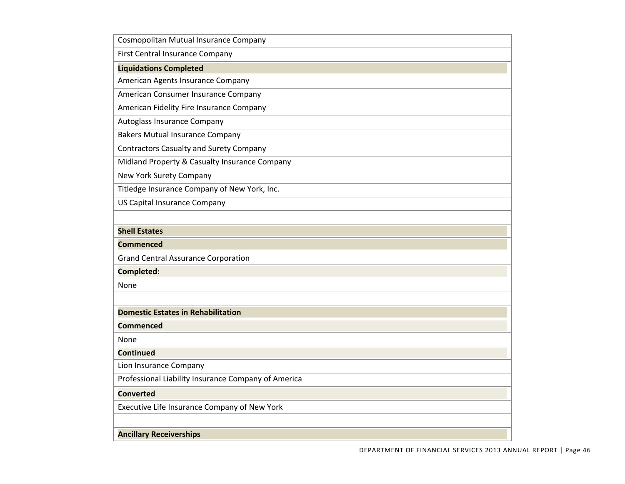| Cosmopolitan Mutual Insurance Company               |
|-----------------------------------------------------|
| <b>First Central Insurance Company</b>              |
| <b>Liquidations Completed</b>                       |
| American Agents Insurance Company                   |
| American Consumer Insurance Company                 |
| American Fidelity Fire Insurance Company            |
| Autoglass Insurance Company                         |
| <b>Bakers Mutual Insurance Company</b>              |
| <b>Contractors Casualty and Surety Company</b>      |
| Midland Property & Casualty Insurance Company       |
| New York Surety Company                             |
| Titledge Insurance Company of New York, Inc.        |
| <b>US Capital Insurance Company</b>                 |
|                                                     |
| <b>Shell Estates</b>                                |
| <b>Commenced</b>                                    |
| <b>Grand Central Assurance Corporation</b>          |
| <b>Completed:</b>                                   |
| None                                                |
|                                                     |
| <b>Domestic Estates in Rehabilitation</b>           |
| Commenced                                           |
| None                                                |
| <b>Continued</b>                                    |
| Lion Insurance Company                              |
| Professional Liability Insurance Company of America |
| <b>Converted</b>                                    |
| Executive Life Insurance Company of New York        |
|                                                     |
| <b>Ancillary Receiverships</b>                      |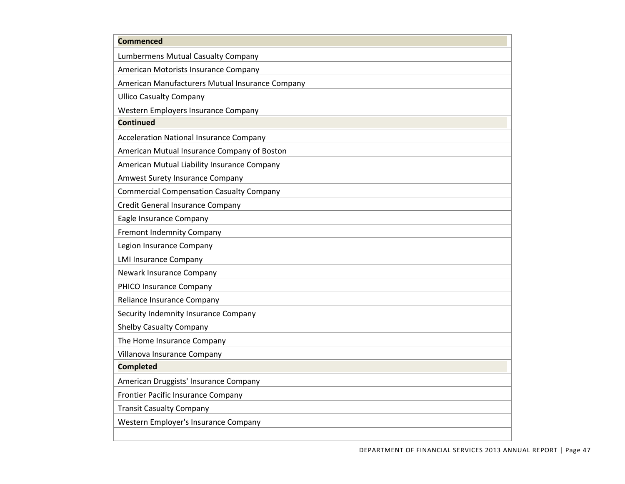| <b>Commenced</b>                                |
|-------------------------------------------------|
| Lumbermens Mutual Casualty Company              |
| American Motorists Insurance Company            |
| American Manufacturers Mutual Insurance Company |
| <b>Ullico Casualty Company</b>                  |
| Western Employers Insurance Company             |
| <b>Continued</b>                                |
| <b>Acceleration National Insurance Company</b>  |
| American Mutual Insurance Company of Boston     |
| American Mutual Liability Insurance Company     |
| Amwest Surety Insurance Company                 |
| <b>Commercial Compensation Casualty Company</b> |
| <b>Credit General Insurance Company</b>         |
| Eagle Insurance Company                         |
| <b>Fremont Indemnity Company</b>                |
| Legion Insurance Company                        |
| <b>LMI Insurance Company</b>                    |
| Newark Insurance Company                        |
| PHICO Insurance Company                         |
| Reliance Insurance Company                      |
| Security Indemnity Insurance Company            |
| <b>Shelby Casualty Company</b>                  |
| The Home Insurance Company                      |
| Villanova Insurance Company                     |
| <b>Completed</b>                                |
| American Druggists' Insurance Company           |
| Frontier Pacific Insurance Company              |
| <b>Transit Casualty Company</b>                 |
| Western Employer's Insurance Company            |
|                                                 |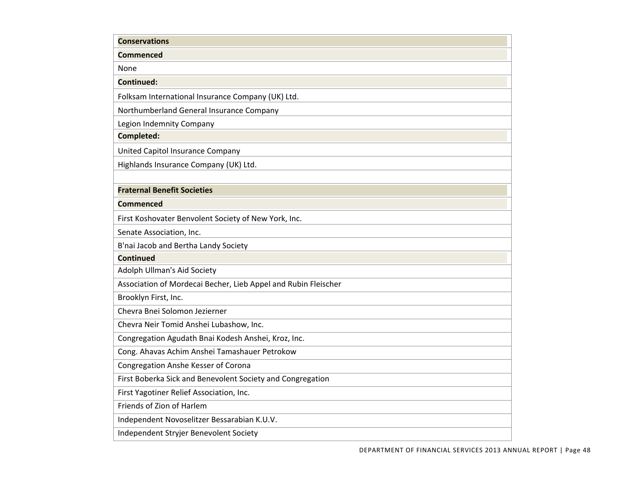| <b>Conservations</b>                                           |
|----------------------------------------------------------------|
| Commenced                                                      |
| None                                                           |
| <b>Continued:</b>                                              |
| Folksam International Insurance Company (UK) Ltd.              |
| Northumberland General Insurance Company                       |
| Legion Indemnity Company                                       |
| Completed:                                                     |
| United Capitol Insurance Company                               |
| Highlands Insurance Company (UK) Ltd.                          |
|                                                                |
| <b>Fraternal Benefit Societies</b>                             |
| Commenced                                                      |
| First Koshovater Benvolent Society of New York, Inc.           |
| Senate Association, Inc.                                       |
| B'nai Jacob and Bertha Landy Society                           |
| <b>Continued</b>                                               |
| Adolph Ullman's Aid Society                                    |
| Association of Mordecai Becher, Lieb Appel and Rubin Fleischer |
| Brooklyn First, Inc.                                           |
| Chevra Bnei Solomon Jezierner                                  |
| Chevra Neir Tomid Anshei Lubashow, Inc.                        |
| Congregation Agudath Bnai Kodesh Anshei, Kroz, Inc.            |
| Cong. Ahavas Achim Anshei Tamashauer Petrokow                  |
| Congregation Anshe Kesser of Corona                            |
| First Boberka Sick and Benevolent Society and Congregation     |
| First Yagotiner Relief Association, Inc.                       |
| Friends of Zion of Harlem                                      |
| Independent Novoselitzer Bessarabian K.U.V.                    |
| Independent Stryjer Benevolent Society                         |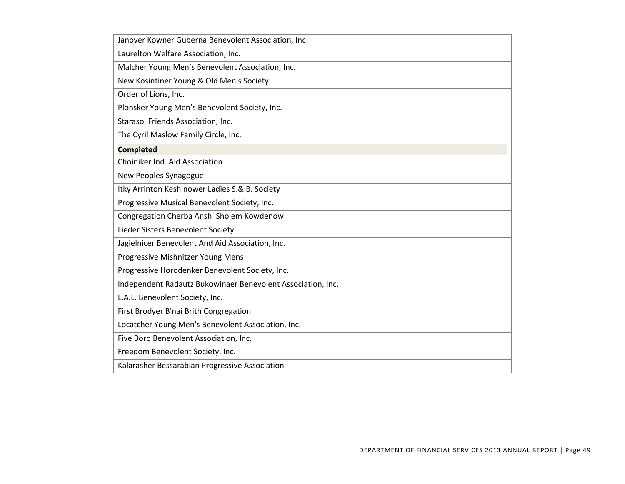| Janover Kowner Guberna Benevolent Association, Inc          |
|-------------------------------------------------------------|
| Laurelton Welfare Association, Inc.                         |
| Malcher Young Men's Benevolent Association, Inc.            |
| New Kosintiner Young & Old Men's Society                    |
| Order of Lions, Inc.                                        |
| Plonsker Young Men's Benevolent Society, Inc.               |
| Starasol Friends Association, Inc.                          |
| The Cyril Maslow Family Circle, Inc.                        |
| <b>Completed</b>                                            |
| Choiniker Ind. Aid Association                              |
| New Peoples Synagogue                                       |
| Itky Arrinton Keshinower Ladies S.& B. Society              |
| Progressive Musical Benevolent Society, Inc.                |
| Congregation Cherba Anshi Sholem Kowdenow                   |
| Lieder Sisters Benevolent Society                           |
| Jagielnicer Benevolent And Aid Association, Inc.            |
| Progressive Mishnitzer Young Mens                           |
| Progressive Horodenker Benevolent Society, Inc.             |
| Independent Radautz Bukowinaer Benevolent Association, Inc. |
| L.A.L. Benevolent Society, Inc.                             |
| First Brodyer B'nai Brith Congregation                      |
| Locatcher Young Men's Benevolent Association, Inc.          |
| Five Boro Benevolent Association, Inc.                      |
| Freedom Benevolent Society, Inc.                            |
| Kalarasher Bessarabian Progressive Association              |
|                                                             |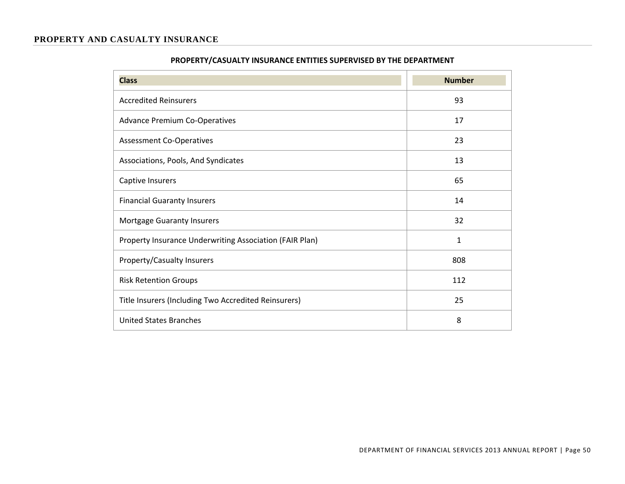#### **PROPERTY AND CASUALTY INSURANCE**

| <b>Class</b>                                            | <b>Number</b> |
|---------------------------------------------------------|---------------|
| <b>Accredited Reinsurers</b>                            | 93            |
| <b>Advance Premium Co-Operatives</b>                    | 17            |
| <b>Assessment Co-Operatives</b>                         | 23            |
| Associations, Pools, And Syndicates                     | 13            |
| Captive Insurers                                        | 65            |
| <b>Financial Guaranty Insurers</b>                      | 14            |
| Mortgage Guaranty Insurers                              | 32            |
| Property Insurance Underwriting Association (FAIR Plan) | $\mathbf{1}$  |
| Property/Casualty Insurers                              | 808           |
| <b>Risk Retention Groups</b>                            | 112           |
| Title Insurers (Including Two Accredited Reinsurers)    | 25            |
| United States Branches                                  | 8             |

## **PROPERTY/CASUALTY INSURANCE ENTITIES SUPERVISED BY THE DEPARTMENT**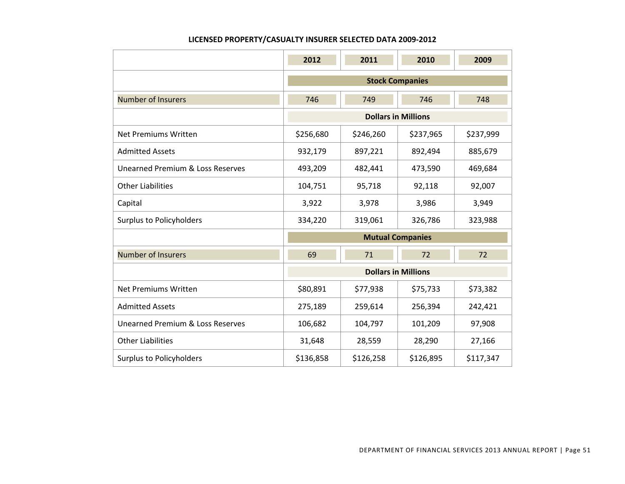#### **LICENSED PROPERTY/CASUALTY INSURER SELECTED DATA 2009‐2012**

|                                  | 2012                    | 2011              | 2010                       | 2009      |  |  |  |
|----------------------------------|-------------------------|-------------------|----------------------------|-----------|--|--|--|
|                                  | <b>Stock Companies</b>  |                   |                            |           |  |  |  |
| <b>Number of Insurers</b>        | 746                     | 749<br>746<br>748 |                            |           |  |  |  |
|                                  |                         |                   | <b>Dollars in Millions</b> |           |  |  |  |
| Net Premiums Written             | \$256,680               | \$246,260         | \$237,965                  | \$237,999 |  |  |  |
| <b>Admitted Assets</b>           | 932,179                 | 897,221           | 892,494                    | 885,679   |  |  |  |
| Unearned Premium & Loss Reserves | 493,209                 | 482,441           | 473,590                    | 469,684   |  |  |  |
| <b>Other Liabilities</b>         | 104,751                 | 95,718            | 92,118                     | 92,007    |  |  |  |
| Capital                          | 3,922                   | 3,978             | 3,986                      | 3,949     |  |  |  |
| <b>Surplus to Policyholders</b>  | 334,220                 | 319,061           | 326,786                    | 323,988   |  |  |  |
|                                  | <b>Mutual Companies</b> |                   |                            |           |  |  |  |
| <b>Number of Insurers</b>        | 69                      | 71                | 72                         | 72        |  |  |  |
|                                  |                         |                   | <b>Dollars in Millions</b> |           |  |  |  |
| Net Premiums Written             | \$80,891                | \$77,938          | \$75,733                   | \$73,382  |  |  |  |
| <b>Admitted Assets</b>           | 275,189                 | 259,614           | 256,394                    | 242,421   |  |  |  |
| Unearned Premium & Loss Reserves | 106,682                 | 104,797           | 101,209                    | 97,908    |  |  |  |
| <b>Other Liabilities</b>         | 31,648                  | 28,559            | 28,290                     | 27,166    |  |  |  |
| <b>Surplus to Policyholders</b>  | \$136,858               | \$126,258         | \$126,895                  | \$117,347 |  |  |  |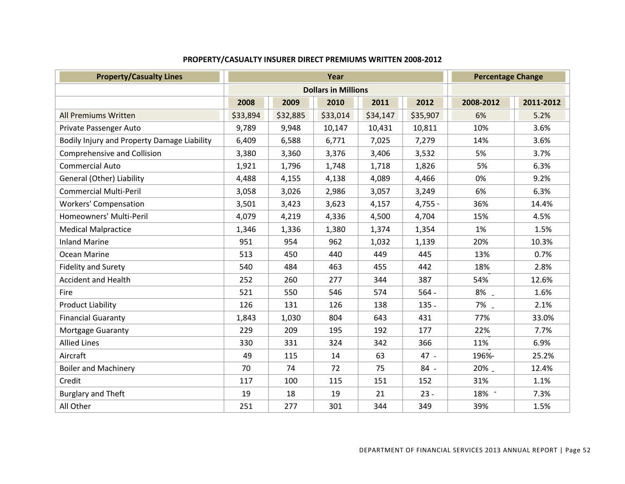| <b>Property/Casualty Lines</b>              | Year     |                            |          |          | <b>Percentage Change</b> |           |           |
|---------------------------------------------|----------|----------------------------|----------|----------|--------------------------|-----------|-----------|
|                                             |          | <b>Dollars in Millions</b> |          |          |                          |           |           |
|                                             | 2008     | 2009                       | 2010     | 2011     | 2012                     | 2008-2012 | 2011-2012 |
| <b>All Premiums Written</b>                 | \$33,894 | \$32,885                   | \$33,014 | \$34,147 | \$35,907                 | 6%        | 5.2%      |
| Private Passenger Auto                      | 9,789    | 9,948                      | 10,147   | 10,431   | 10,811                   | 10%       | 3.6%      |
| Bodily Injury and Property Damage Liability | 6,409    | 6,588                      | 6,771    | 7,025    | 7,279                    | 14%       | 3.6%      |
| <b>Comprehensive and Collision</b>          | 3,380    | 3,360                      | 3,376    | 3,406    | 3,532                    | 5%        | 3.7%      |
| <b>Commercial Auto</b>                      | 1,921    | 1,796                      | 1,748    | 1,718    | 1,826                    | 5%        | 6.3%      |
| General (Other) Liability                   | 4,488    | 4,155                      | 4,138    | 4,089    | 4,466                    | 0%        | 9.2%      |
| <b>Commercial Multi-Peril</b>               | 3,058    | 3,026                      | 2,986    | 3,057    | 3,249                    | 6%        | 6.3%      |
| <b>Workers' Compensation</b>                | 3,501    | 3,423                      | 3,623    | 4,157    | $4,755 -$                | 36%       | 14.4%     |
| Homeowners' Multi-Peril                     | 4,079    | 4,219                      | 4,336    | 4,500    | 4,704                    | 15%       | 4.5%      |
| <b>Medical Malpractice</b>                  | 1,346    | 1,336                      | 1,380    | 1,374    | 1,354                    | 1%        | 1.5%      |
| <b>Inland Marine</b>                        | 951      | 954                        | 962      | 1,032    | 1,139                    | 20%       | 10.3%     |
| Ocean Marine                                | 513      | 450                        | 440      | 449      | 445                      | 13%       | 0.7%      |
| <b>Fidelity and Surety</b>                  | 540      | 484                        | 463      | 455      | 442                      | 18%       | 2.8%      |
| <b>Accident and Health</b>                  | 252      | 260                        | 277      | 344      | 387                      | 54%       | 12.6%     |
| Fire                                        | 521      | 550                        | 546      | 574      | $564 -$                  | 8%.       | 1.6%      |
| <b>Product Liability</b>                    | 126      | 131                        | 126      | 138      | $135 -$                  | 7% -      | 2.1%      |
| <b>Financial Guaranty</b>                   | 1,843    | 1,030                      | 804      | 643      | 431                      | 77%       | 33.0%     |
| Mortgage Guaranty                           | 229      | 209                        | 195      | 192      | 177                      | 22%       | 7.7%      |
| <b>Allied Lines</b>                         | 330      | 331                        | 324      | 342      | 366                      | 11%       | 6.9%      |
| Aircraft                                    | 49       | 115                        | 14       | 63       | 47 -                     | 196%-     | 25.2%     |
| <b>Boiler and Machinery</b>                 | 70       | 74                         | 72       | 75       | 84 -                     | 20% _     | 12.4%     |
| Credit                                      | 117      | 100                        | 115      | 151      | 152                      | 31%       | 1.1%      |
| <b>Burglary and Theft</b>                   | 19       | 18                         | 19       | 21       | $23 -$                   | 18% -     | 7.3%      |
| All Other                                   | 251      | 277                        | 301      | 344      | 349                      | 39%       | 1.5%      |

## **PROPERTY/CASUALTY INSURER DIRECT PREMIUMS WRITTEN 2008‐2012**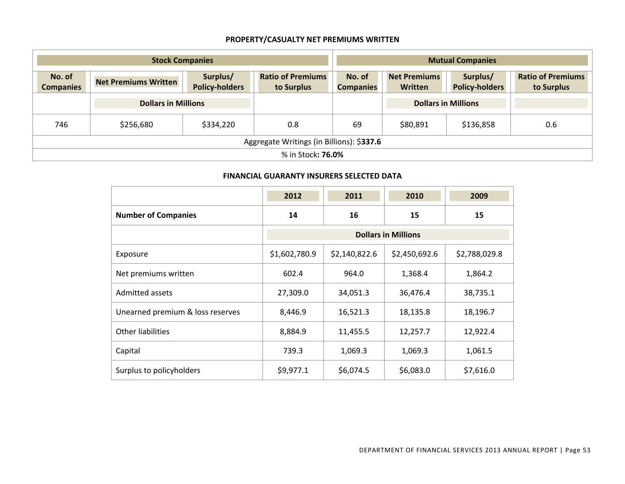## **PROPERTY/CASUALTY NET PREMIUMS WRITTEN**

| <b>Stock Companies</b>                    |                             |                                   | <b>Mutual Companies</b>                |                            |                                       |                                   |                                        |
|-------------------------------------------|-----------------------------|-----------------------------------|----------------------------------------|----------------------------|---------------------------------------|-----------------------------------|----------------------------------------|
| No. of<br><b>Companies</b>                | <b>Net Premiums Written</b> | Surplus/<br><b>Policy-holders</b> | <b>Ratio of Premiums</b><br>to Surplus | No. of<br><b>Companies</b> | <b>Net Premiums</b><br><b>Written</b> | Surplus/<br><b>Policy-holders</b> | <b>Ratio of Premiums</b><br>to Surplus |
|                                           | <b>Dollars in Millions</b>  |                                   |                                        |                            | <b>Dollars in Millions</b>            |                                   |                                        |
| 746                                       | \$256,680                   | \$334,220                         | 0.8                                    | 69                         | \$80,891                              | \$136,858                         | 0.6                                    |
| Aggregate Writings (in Billions): \$337.6 |                             |                                   |                                        |                            |                                       |                                   |                                        |
|                                           | % in Stock: <b>76.0%</b>    |                                   |                                        |                            |                                       |                                   |                                        |

#### **FINANCIAL GUARANTY INSURERS SELECTED DATA**

|                                  | 2012                       | 2011          | 2010          | 2009          |  |  |
|----------------------------------|----------------------------|---------------|---------------|---------------|--|--|
| <b>Number of Companies</b>       | 16<br>14                   |               | 15            | 15            |  |  |
|                                  | <b>Dollars in Millions</b> |               |               |               |  |  |
| Exposure                         | \$1,602,780.9              | \$2,140,822.6 | \$2,450,692.6 | \$2,788,029.8 |  |  |
| Net premiums written             | 602.4                      | 964.0         | 1,368.4       | 1,864.2       |  |  |
| Admitted assets                  | 27,309.0                   | 34,051.3      | 36,476.4      | 38,735.1      |  |  |
| Unearned premium & loss reserves | 8,446.9                    | 16,521.3      | 18,135.8      | 18,196.7      |  |  |
| Other liabilities                | 8,884.9                    | 11,455.5      | 12,257.7      | 12,922.4      |  |  |
| Capital                          | 739.3                      | 1,069.3       | 1,069.3       | 1,061.5       |  |  |
| Surplus to policyholders         | \$9,977.1                  | \$6,074.5     | \$6,083.0     | \$7,616.0     |  |  |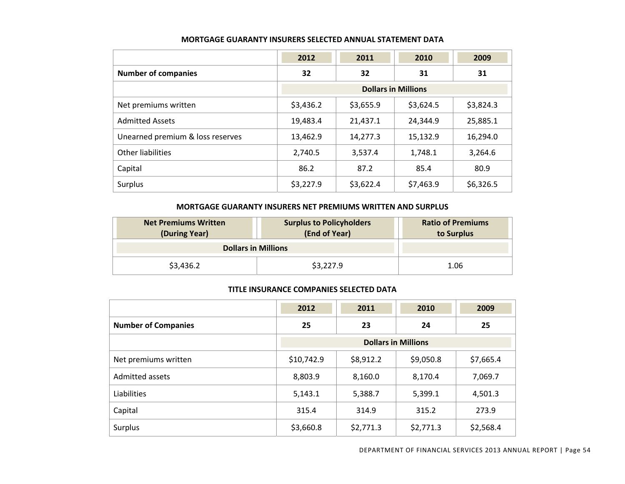|                                  | 2012      | 2011                       | 2010      | 2009      |  |  |
|----------------------------------|-----------|----------------------------|-----------|-----------|--|--|
| <b>Number of companies</b>       | 32        | 32                         | 31        | 31        |  |  |
|                                  |           | <b>Dollars in Millions</b> |           |           |  |  |
| Net premiums written             | \$3,436.2 | \$3,655.9                  | \$3,624.5 | \$3,824.3 |  |  |
| <b>Admitted Assets</b>           | 19,483.4  | 21,437.1                   | 24,344.9  | 25,885.1  |  |  |
| Unearned premium & loss reserves | 13,462.9  | 14,277.3                   | 15,132.9  | 16,294.0  |  |  |
| Other liabilities                | 2,740.5   | 3,537.4                    | 1,748.1   | 3,264.6   |  |  |
| Capital                          | 86.2      | 87.2                       | 85.4      | 80.9      |  |  |
| Surplus                          | \$3,227.9 | \$3,622.4                  | \$7,463.9 | \$6,326.5 |  |  |

#### **MORTGAGE GUARANTY INSURERS SELECTED ANNUAL STATEMENT DATA**

#### **MORTGAGE GUARANTY INSURERS NET PREMIUMS WRITTEN AND SURPLUS**

| <b>Net Premiums Written</b><br>(During Year) | <b>Surplus to Policyholders</b><br>(End of Year) | <b>Ratio of Premiums</b><br>to Surplus |
|----------------------------------------------|--------------------------------------------------|----------------------------------------|
| <b>Dollars in Millions</b>                   |                                                  |                                        |
| \$3,436.2                                    | \$3,227.9                                        | 1.06                                   |

#### **TITLE INSURANCE COMPANIES SELECTED DATA**

|                            | 2012                       | 2011      | 2010      | 2009      |  |
|----------------------------|----------------------------|-----------|-----------|-----------|--|
| <b>Number of Companies</b> | 23<br>25                   |           | 24        | 25        |  |
|                            | <b>Dollars in Millions</b> |           |           |           |  |
| Net premiums written       | \$10,742.9                 | \$8,912.2 | \$9,050.8 | \$7,665.4 |  |
| Admitted assets            | 8,803.9                    | 8,160.0   | 8,170.4   | 7,069.7   |  |
| Liabilities                | 5,143.1                    | 5,388.7   | 5,399.1   | 4,501.3   |  |
| Capital                    | 315.4                      | 314.9     | 315.2     | 273.9     |  |
| Surplus                    | \$3,660.8                  | \$2,771.3 | \$2,771.3 | \$2,568.4 |  |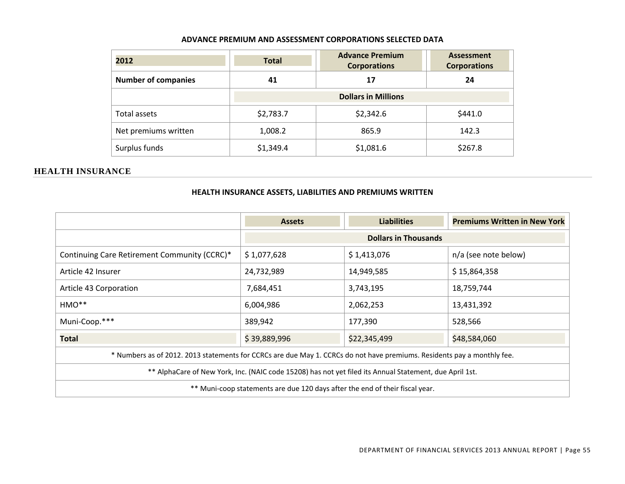#### **ADVANCE PREMIUM AND ASSESSMENT CORPORATIONS SELECTED DATA**

| 2012                       | <b>Total</b> | <b>Advance Premium</b><br><b>Corporations</b> | <b>Assessment</b><br><b>Corporations</b> |
|----------------------------|--------------|-----------------------------------------------|------------------------------------------|
| <b>Number of companies</b> | 41           | 17                                            | 24                                       |
|                            |              | <b>Dollars in Millions</b>                    |                                          |
| Total assets               | \$2,783.7    | \$2,342.6                                     | \$441.0                                  |
| Net premiums written       | 1,008.2      | 865.9                                         | 142.3                                    |
| Surplus funds              | \$1,349.4    | \$1,081.6                                     | \$267.8                                  |

#### **HEALTH INSURANCE**

#### **HEALTH INSURANCE ASSETS, LIABILITIES AND PREMIUMS WRITTEN**

|                                                                                                                         | <b>Assets</b>                                      | <b>Liabilities</b>         | <b>Premiums Written in New York</b> |  |  |  |  |
|-------------------------------------------------------------------------------------------------------------------------|----------------------------------------------------|----------------------------|-------------------------------------|--|--|--|--|
|                                                                                                                         | <b>Dollars in Thousands</b>                        |                            |                                     |  |  |  |  |
| Continuing Care Retirement Community (CCRC)*                                                                            | \$1,413,076<br>n/a (see note below)<br>\$1,077,628 |                            |                                     |  |  |  |  |
| Article 42 Insurer                                                                                                      | 24,732,989                                         | \$15,864,358<br>14,949,585 |                                     |  |  |  |  |
| Article 43 Corporation                                                                                                  | 7,684,451                                          | 3,743,195                  | 18,759,744                          |  |  |  |  |
| HMO**                                                                                                                   | 6,004,986<br>2,062,253<br>13,431,392               |                            |                                     |  |  |  |  |
| Muni-Coop.***                                                                                                           | 389,942                                            | 177,390                    | 528,566                             |  |  |  |  |
| Total                                                                                                                   | \$39,889,996                                       | \$22,345,499               | \$48,584,060                        |  |  |  |  |
| * Numbers as of 2012. 2013 statements for CCRCs are due May 1. CCRCs do not have premiums. Residents pay a monthly fee. |                                                    |                            |                                     |  |  |  |  |
| ** AlphaCare of New York, Inc. (NAIC code 15208) has not yet filed its Annual Statement, due April 1st.                 |                                                    |                            |                                     |  |  |  |  |
| ** Muni-coop statements are due 120 days after the end of their fiscal year.                                            |                                                    |                            |                                     |  |  |  |  |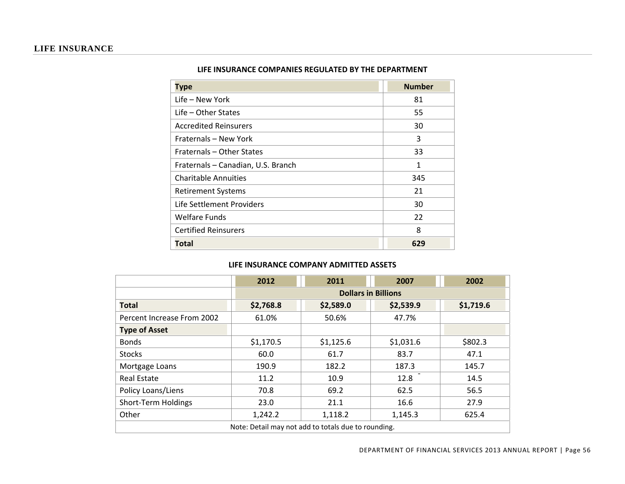|  | LIFE INSURANCE COMPANIES REGULATED BY THE DEPARTMENT |  |  |  |  |  |
|--|------------------------------------------------------|--|--|--|--|--|
|--|------------------------------------------------------|--|--|--|--|--|

| <b>Type</b>                        | <b>Number</b> |
|------------------------------------|---------------|
| Life – New York                    | 81            |
| Life – Other States                | 55            |
| <b>Accredited Reinsurers</b>       | 30            |
| Fraternals - New York              | 3             |
| Fraternals - Other States          | 33            |
| Fraternals - Canadian, U.S. Branch | 1             |
| <b>Charitable Annuities</b>        | 345           |
| <b>Retirement Systems</b>          | 21            |
| Life Settlement Providers          | 30            |
| <b>Welfare Funds</b>               | 22            |
| <b>Certified Reinsurers</b>        | 8             |
| Total                              | 629           |

#### **LIFE INSURANCE COMPANY ADMITTED ASSETS**

|                            | 2012                                                | 2011      | 2007                       | 2002      |  |  |
|----------------------------|-----------------------------------------------------|-----------|----------------------------|-----------|--|--|
|                            |                                                     |           | <b>Dollars in Billions</b> |           |  |  |
| <b>Total</b>               | \$2,768.8                                           | \$2,589.0 | \$2,539.9                  | \$1,719.6 |  |  |
| Percent Increase From 2002 | 61.0%                                               | 50.6%     | 47.7%                      |           |  |  |
| <b>Type of Asset</b>       |                                                     |           |                            |           |  |  |
| <b>Bonds</b>               | \$1,170.5                                           | \$1,125.6 | \$1,031.6                  | \$802.3   |  |  |
| <b>Stocks</b>              | 60.0                                                | 61.7      | 83.7                       | 47.1      |  |  |
| Mortgage Loans             | 190.9                                               | 182.2     | 187.3                      | 145.7     |  |  |
| <b>Real Estate</b>         | 11.2                                                | 10.9      | 12.8                       | 14.5      |  |  |
| Policy Loans/Liens         | 70.8                                                | 69.2      | 62.5                       | 56.5      |  |  |
| Short-Term Holdings        | 23.0                                                | 21.1      | 16.6                       | 27.9      |  |  |
| Other                      | 1,242.2                                             | 1,118.2   | 1,145.3                    | 625.4     |  |  |
|                            | Note: Detail may not add to totals due to rounding. |           |                            |           |  |  |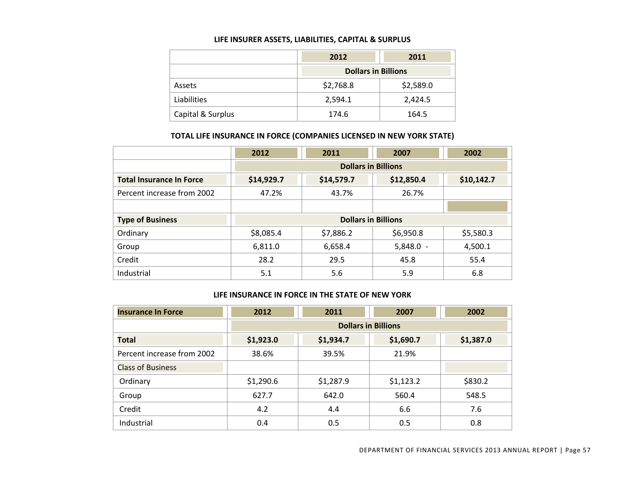#### **LIFE INSURER ASSETS, LIABILITIES, CAPITAL & SURPLUS**

|                   | 2012                       | 2011      |  |
|-------------------|----------------------------|-----------|--|
|                   | <b>Dollars in Billions</b> |           |  |
| Assets            | \$2,768.8                  | \$2,589.0 |  |
| Liabilities       | 2,594.1                    | 2,424.5   |  |
| Capital & Surplus | 174.6                      | 164.5     |  |

#### **TOTAL LIFE INSURANCE IN FORCE (COMPANIES LICENSED IN NEW YORK STATE)**

|                                 | 2012       | 2011                       | 2007        | 2002       |
|---------------------------------|------------|----------------------------|-------------|------------|
|                                 |            | <b>Dollars in Billions</b> |             |            |
| <b>Total Insurance In Force</b> | \$14,929.7 | \$14,579.7                 | \$12,850.4  | \$10,142.7 |
| Percent increase from 2002      | 47.2%      | 43.7%                      | 26.7%       |            |
|                                 |            |                            |             |            |
| <b>Type of Business</b>         |            | <b>Dollars in Billions</b> |             |            |
| Ordinary                        | \$8,085.4  | \$7,886.2                  | \$6,950.8   | \$5,580.3  |
| Group                           | 6,811.0    | 6,658.4                    | $5,848.0 -$ | 4,500.1    |
| Credit                          | 28.2       | 29.5                       | 45.8        | 55.4       |
| Industrial                      | 5.1        | 5.6                        | 5.9         | 6.8        |

#### **LIFE INSURANCE IN FORCE IN THE STATE OF NEW YORK**

| <b>Insurance In Force</b>  | 2012<br>2011 |           | 2007                       | 2002      |
|----------------------------|--------------|-----------|----------------------------|-----------|
|                            |              |           | <b>Dollars in Billions</b> |           |
| <b>Total</b>               | \$1,923.0    | \$1,934.7 | \$1,690.7                  | \$1,387.0 |
| Percent increase from 2002 | 38.6%        | 39.5%     | 21.9%                      |           |
| <b>Class of Business</b>   |              |           |                            |           |
| Ordinary                   | \$1,290.6    | \$1,287.9 | \$1,123.2                  | \$830.2   |
| Group                      | 627.7        | 642.0     | 560.4                      | 548.5     |
| Credit                     | 4.2          | 4.4       | 6.6                        | 7.6       |
| Industrial                 | 0.4          | 0.5       | 0.5                        | 0.8       |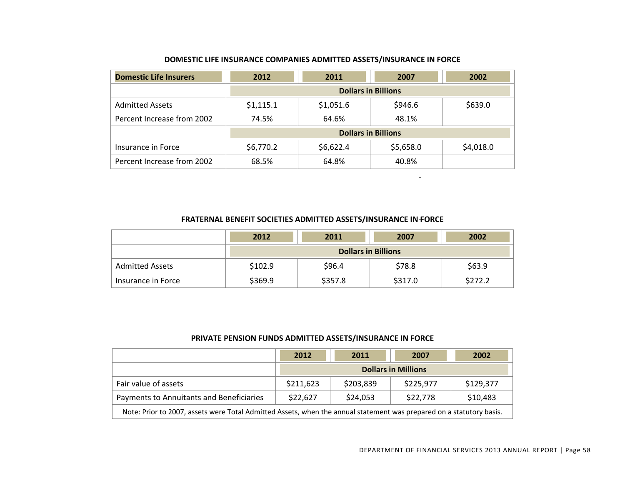| <b>Domestic Life Insurers</b> | 2012                       | 2011      | 2007                       | 2002      |  |
|-------------------------------|----------------------------|-----------|----------------------------|-----------|--|
|                               |                            |           | <b>Dollars in Billions</b> |           |  |
| <b>Admitted Assets</b>        | \$1,115.1                  | \$1,051.6 | \$946.6                    | \$639.0   |  |
| Percent Increase from 2002    | 74.5%                      | 64.6%     | 48.1%                      |           |  |
|                               | <b>Dollars in Billions</b> |           |                            |           |  |
| Insurance in Force            | \$6,770.2                  | \$6,622.4 | \$5,658.0                  | \$4,018.0 |  |
| Percent Increase from 2002    | 68.5%                      | 64.8%     | 40.8%                      |           |  |

#### **DOMESTIC LIFE INSURANCE COMPANIES ADMITTED ASSETS/INSURANCE IN FORCE**

#### **FRATERNAL BENEFIT SOCIETIES ADMITTED ASSETS/INSURANCE IN**‐**FORCE**

|                        | 2012                       | 2011    | 2007    | 2002    |  |  |
|------------------------|----------------------------|---------|---------|---------|--|--|
|                        | <b>Dollars in Billions</b> |         |         |         |  |  |
| <b>Admitted Assets</b> | \$102.9                    | \$96.4  | \$78.8  | \$63.9  |  |  |
| Insurance in Force     | \$369.9                    | \$357.8 | \$317.0 | \$272.2 |  |  |

#### **PRIVATE PENSION FUNDS ADMITTED ASSETS/INSURANCE IN FORCE**

|                                                                                                                      | 2012                       | 2011      | 2007      | 2002      |  |
|----------------------------------------------------------------------------------------------------------------------|----------------------------|-----------|-----------|-----------|--|
|                                                                                                                      | <b>Dollars in Millions</b> |           |           |           |  |
| Fair value of assets                                                                                                 | \$211,623                  | \$203,839 | \$225,977 | \$129,377 |  |
| \$22,778<br>\$10,483<br>\$22,627<br>\$24,053<br>Payments to Annuitants and Beneficiaries                             |                            |           |           |           |  |
| Note: Prior to 2007, assets were Total Admitted Assets, when the annual statement was prepared on a statutory basis. |                            |           |           |           |  |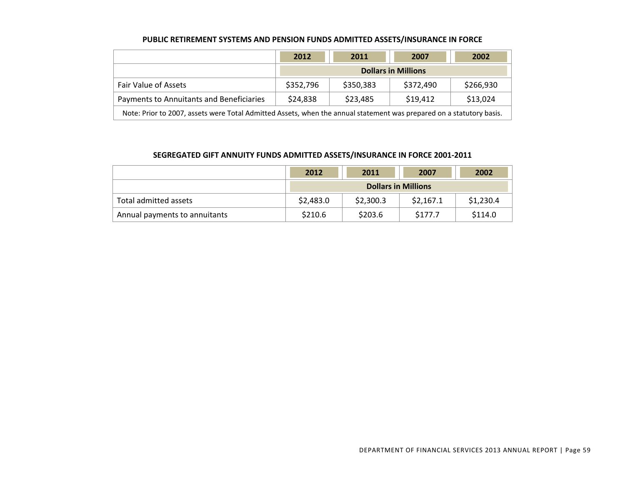|                                                                                                                      | 2012                       | 2011      | 2007      | 2002      |  |
|----------------------------------------------------------------------------------------------------------------------|----------------------------|-----------|-----------|-----------|--|
|                                                                                                                      | <b>Dollars in Millions</b> |           |           |           |  |
| <b>Fair Value of Assets</b>                                                                                          | \$352,796                  | \$350,383 | \$372,490 | \$266,930 |  |
| \$13,024<br>\$24,838<br>\$23,485<br>\$19,412<br>Payments to Annuitants and Beneficiaries                             |                            |           |           |           |  |
| Note: Prior to 2007, assets were Total Admitted Assets, when the annual statement was prepared on a statutory basis. |                            |           |           |           |  |

#### **PUBLIC RETIREMENT SYSTEMS AND PENSION FUNDS ADMITTED ASSETS/INSURANCE IN FORCE**

#### **SEGREGATED GIFT ANNUITY FUNDS ADMITTED ASSETS/INSURANCE IN FORCE 2001‐2011**

|                               | 2012                       | 2011      | 2007      | 2002      |
|-------------------------------|----------------------------|-----------|-----------|-----------|
|                               | <b>Dollars in Millions</b> |           |           |           |
| Total admitted assets         | \$2,483.0                  | \$2,300.3 | \$2,167.1 | \$1,230.4 |
| Annual payments to annuitants | \$210.6                    | \$203.6   | \$177.7   | \$114.0   |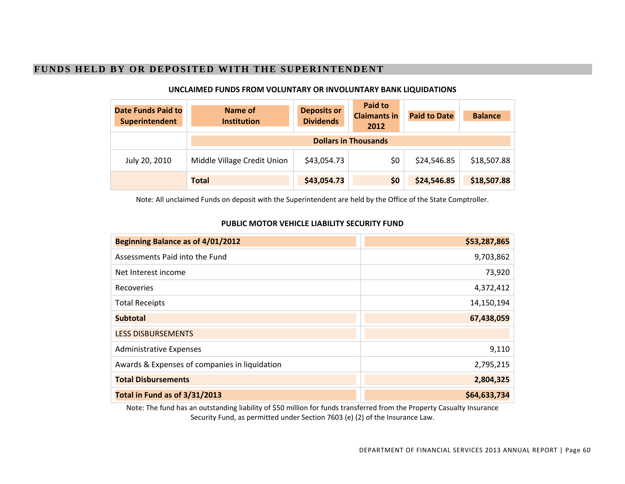## **FUNDS HELD BY OR DEPOSITED WITH THE SUPERINTENDENT**

| <b>Date Funds Paid to</b><br>Superintendent | Name of<br><b>Institution</b> | <b>Deposits or</b><br><b>Dividends</b> | <b>Paid to</b><br><b>Claimants in</b><br>2012 | <b>Paid to Date</b> | <b>Balance</b> |
|---------------------------------------------|-------------------------------|----------------------------------------|-----------------------------------------------|---------------------|----------------|
|                                             | <b>Dollars in Thousands</b>   |                                        |                                               |                     |                |
| July 20, 2010                               | Middle Village Credit Union   | \$43,054.73                            | \$0                                           | \$24,546.85         | \$18,507.88    |
|                                             | <b>Total</b>                  | \$43,054.73                            | \$0                                           | \$24,546.85         | \$18,507.88    |

#### **UNCLAIMED FUNDS FROM VOLUNTARY OR INVOLUNTARY BANK LIQUIDATIONS**

Note: All unclaimed Funds on deposit with the Superintendent are held by the Office of the State Comptroller.

#### **PUBLIC MOTOR VEHICLE LIABILITY SECURITY FUND**

| Beginning Balance as of 4/01/2012             | \$53,287,865 |
|-----------------------------------------------|--------------|
| Assessments Paid into the Fund                | 9,703,862    |
| Net Interest income                           | 73,920       |
| <b>Recoveries</b>                             | 4,372,412    |
| <b>Total Receipts</b>                         | 14,150,194   |
| <b>Subtotal</b>                               | 67,438,059   |
| <b>LESS DISBURSEMENTS</b>                     |              |
| <b>Administrative Expenses</b>                | 9,110        |
| Awards & Expenses of companies in liquidation | 2,795,215    |
| <b>Total Disbursements</b>                    | 2,804,325    |
| Total in Fund as of 3/31/2013                 | \$64,633,734 |

Note: The fund has an outstanding liability of \$50 million for funds transferred from the Property Casualty Insurance Security Fund, as permitted under Section 7603 (e) (2) of the Insurance Law.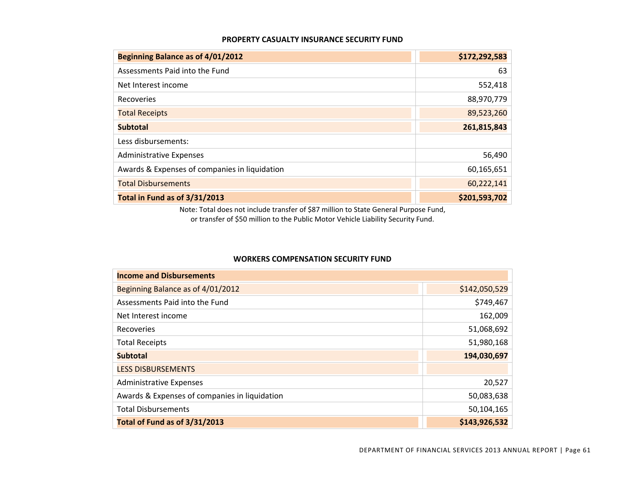#### **PROPERTY CASUALTY INSURANCE SECURITY FUND**

| Beginning Balance as of 4/01/2012             | \$172,292,583 |
|-----------------------------------------------|---------------|
| Assessments Paid into the Fund                | 63            |
| Net Interest income                           | 552,418       |
| Recoveries                                    | 88,970,779    |
| <b>Total Receipts</b>                         | 89,523,260    |
| <b>Subtotal</b>                               | 261,815,843   |
| Less disbursements:                           |               |
| <b>Administrative Expenses</b>                | 56,490        |
| Awards & Expenses of companies in liquidation | 60,165,651    |
| <b>Total Disbursements</b>                    | 60,222,141    |
| Total in Fund as of 3/31/2013                 | \$201,593,702 |

Note: Total does not include transfer of \$87 million to State General Purpose Fund, or transfer of \$50 million to the Public Motor Vehicle Liability Security Fund.

#### **WORKERS COMPENSATION SECURITY FUND**

| <b>Income and Disbursements</b>               |               |  |
|-----------------------------------------------|---------------|--|
| Beginning Balance as of 4/01/2012             | \$142,050,529 |  |
| Assessments Paid into the Fund                | \$749,467     |  |
| Net Interest income                           | 162,009       |  |
| Recoveries                                    | 51,068,692    |  |
| <b>Total Receipts</b>                         | 51,980,168    |  |
| <b>Subtotal</b>                               | 194,030,697   |  |
| <b>LESS DISBURSEMENTS</b>                     |               |  |
| <b>Administrative Expenses</b>                | 20,527        |  |
| Awards & Expenses of companies in liquidation | 50,083,638    |  |
| <b>Total Disbursements</b>                    | 50,104,165    |  |
| Total of Fund as of 3/31/2013                 | \$143,926,532 |  |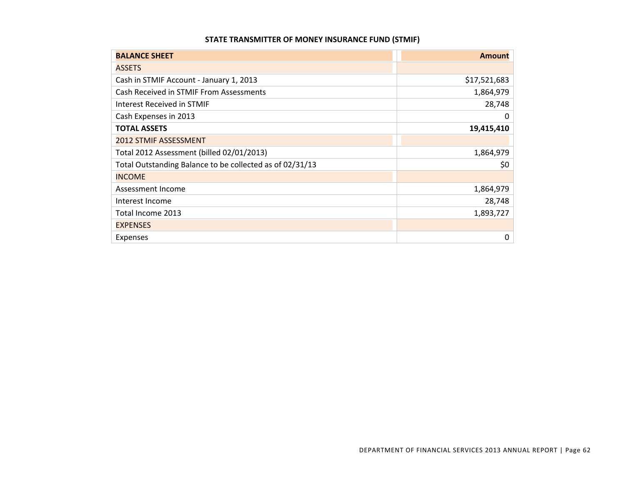#### **STATE TRANSMITTER OF MONEY INSURANCE FUND (STMIF)**

| <b>BALANCE SHEET</b>                                     | <b>Amount</b> |
|----------------------------------------------------------|---------------|
| <b>ASSETS</b>                                            |               |
| Cash in STMIF Account - January 1, 2013                  | \$17,521,683  |
| Cash Received in STMIF From Assessments                  | 1,864,979     |
| Interest Received in STMIF                               | 28,748        |
| Cash Expenses in 2013                                    | 0             |
| <b>TOTAL ASSETS</b>                                      | 19,415,410    |
| <b>2012 STMIF ASSESSMENT</b>                             |               |
| Total 2012 Assessment (billed 02/01/2013)                | 1,864,979     |
| Total Outstanding Balance to be collected as of 02/31/13 | \$0           |
| <b>INCOME</b>                                            |               |
| Assessment Income                                        | 1,864,979     |
| Interest Income                                          | 28,748        |
| Total Income 2013                                        | 1,893,727     |
| <b>EXPENSES</b>                                          |               |
| <b>Expenses</b>                                          | 0             |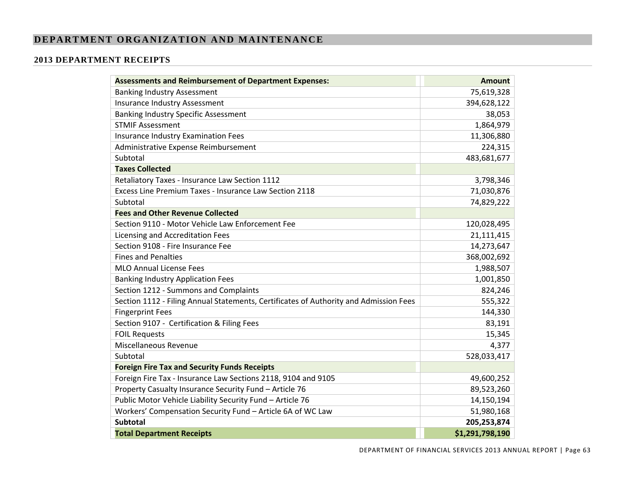## **DEPARTMENT ORGANIZATION AND MAINTENANCE**

#### **2013 DEPARTMENT RECEIPTS**

| <b>Assessments and Reimbursement of Department Expenses:</b>                          | <b>Amount</b>   |
|---------------------------------------------------------------------------------------|-----------------|
| <b>Banking Industry Assessment</b>                                                    | 75,619,328      |
| Insurance Industry Assessment                                                         | 394,628,122     |
| <b>Banking Industry Specific Assessment</b>                                           | 38,053          |
| <b>STMIF Assessment</b>                                                               | 1,864,979       |
| Insurance Industry Examination Fees                                                   | 11,306,880      |
| Administrative Expense Reimbursement                                                  | 224,315         |
| Subtotal                                                                              | 483,681,677     |
| <b>Taxes Collected</b>                                                                |                 |
| Retaliatory Taxes - Insurance Law Section 1112                                        | 3,798,346       |
| Excess Line Premium Taxes - Insurance Law Section 2118                                | 71,030,876      |
| Subtotal                                                                              | 74,829,222      |
| <b>Fees and Other Revenue Collected</b>                                               |                 |
| Section 9110 - Motor Vehicle Law Enforcement Fee                                      | 120,028,495     |
| Licensing and Accreditation Fees                                                      | 21,111,415      |
| Section 9108 - Fire Insurance Fee                                                     | 14,273,647      |
| <b>Fines and Penalties</b>                                                            | 368,002,692     |
| <b>MLO Annual License Fees</b>                                                        | 1,988,507       |
| <b>Banking Industry Application Fees</b>                                              | 1,001,850       |
| Section 1212 - Summons and Complaints                                                 | 824,246         |
| Section 1112 - Filing Annual Statements, Certificates of Authority and Admission Fees | 555,322         |
| <b>Fingerprint Fees</b>                                                               | 144,330         |
| Section 9107 - Certification & Filing Fees                                            | 83,191          |
| <b>FOIL Requests</b>                                                                  | 15,345          |
| Miscellaneous Revenue                                                                 | 4,377           |
| Subtotal                                                                              | 528,033,417     |
| <b>Foreign Fire Tax and Security Funds Receipts</b>                                   |                 |
| Foreign Fire Tax - Insurance Law Sections 2118, 9104 and 9105                         | 49,600,252      |
| Property Casualty Insurance Security Fund - Article 76                                | 89,523,260      |
| Public Motor Vehicle Liability Security Fund - Article 76                             | 14,150,194      |
| Workers' Compensation Security Fund - Article 6A of WC Law                            | 51,980,168      |
| <b>Subtotal</b>                                                                       | 205,253,874     |
| <b>Total Department Receipts</b>                                                      | \$1,291,798,190 |